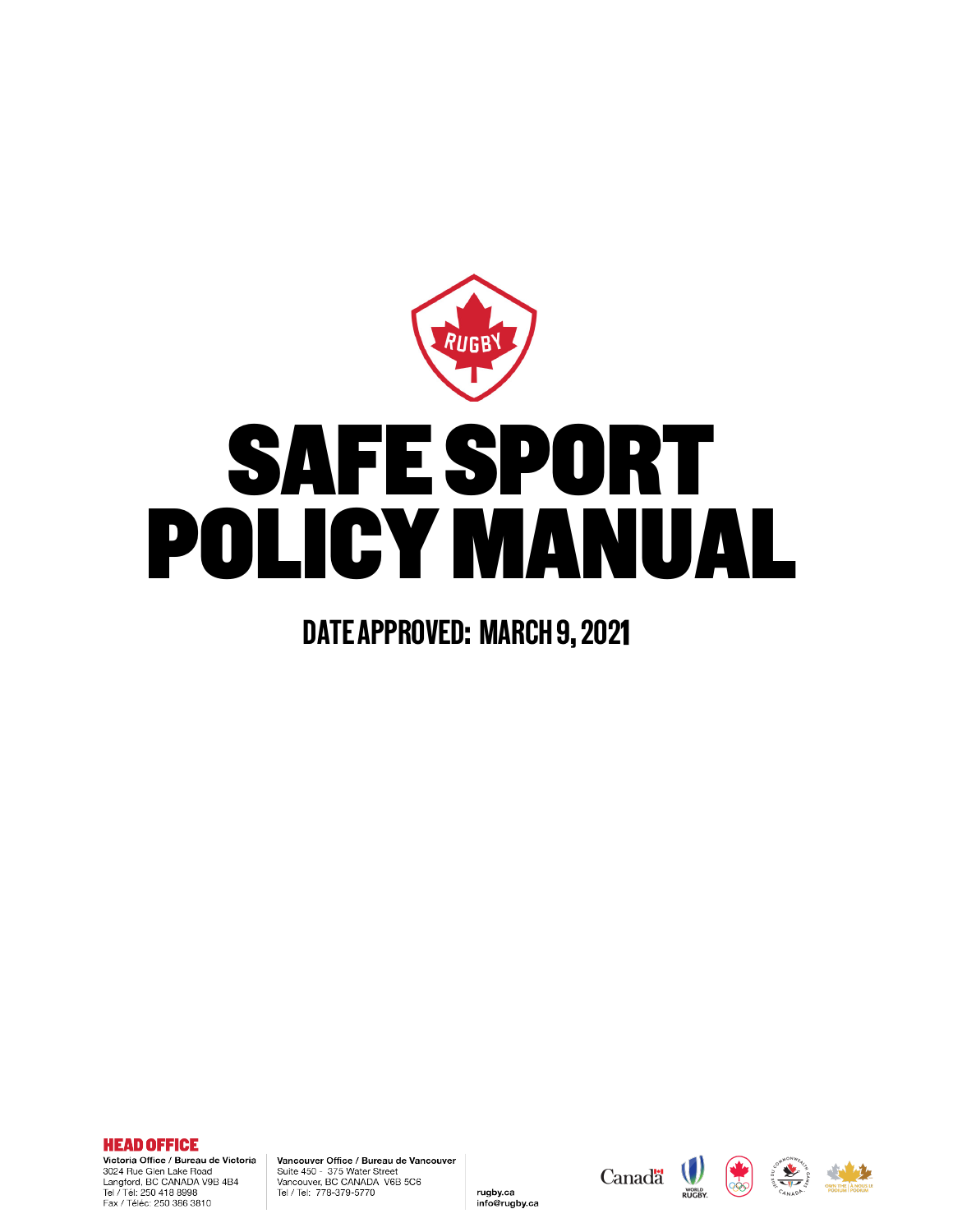

# SAFE SPORT<br>DLICY MANUA POLICY MANUAL

### DATE APPROVED: MARCH 9, 2021

**HEAD OFFICE** Victoria Office / Bureau de Victoria

3024 Rue Glen Lake Road Langford, BC CANADA V9B 4B4<br>Tel / Tél: 250 418 8998 Fax / Téléc: 250 386 3810

Vancouver Office / Bureau de Vancouver Suite 450 - 375 Water Street Vancouver, BC CANADA V6B 5C6<br>Tel / Tel: 778-379-5770

rugby.ca

info@rugby.ca

Canada (



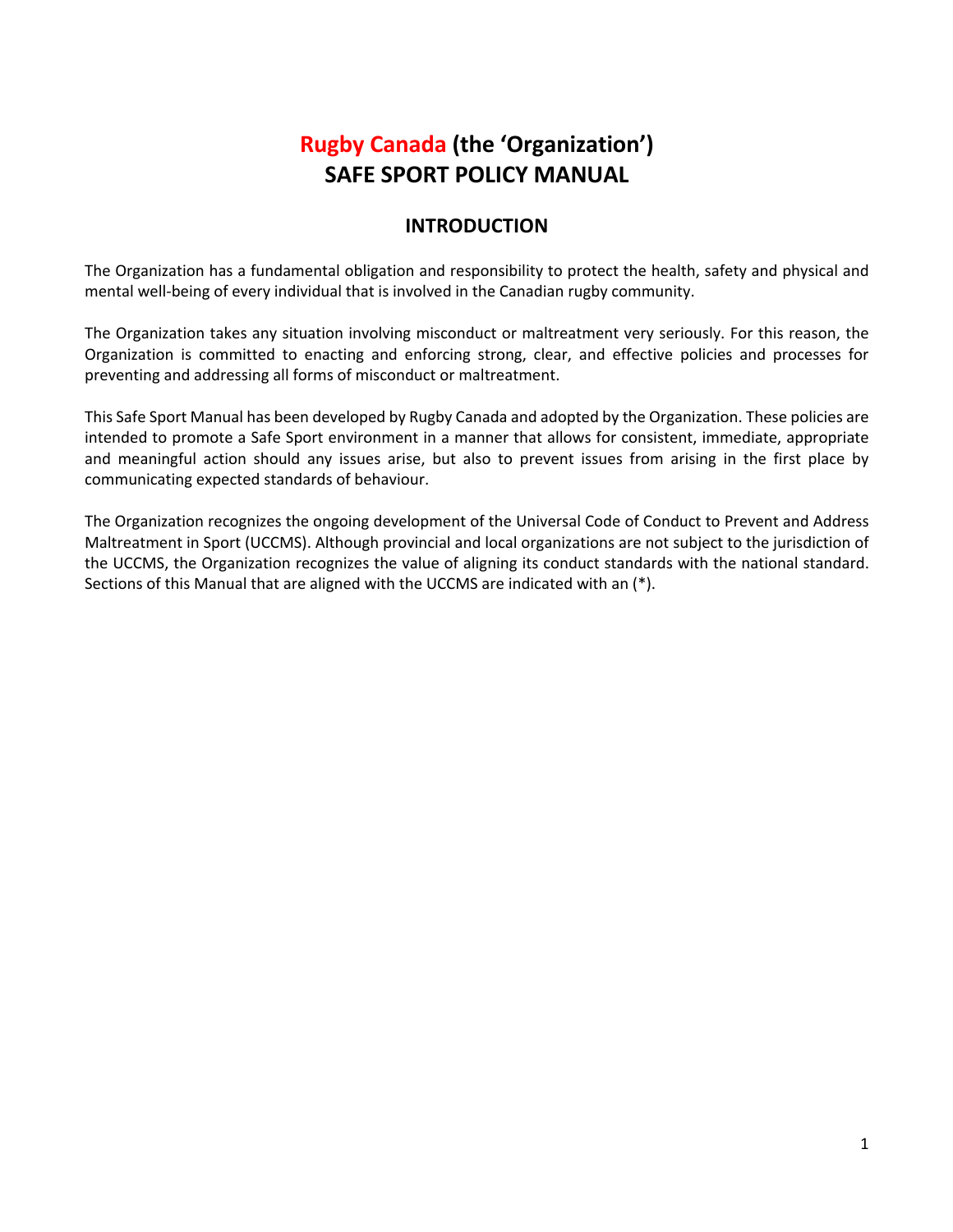#### **Rugby Canada (the 'Organization') SAFE SPORT POLICY MANUAL**

#### **INTRODUCTION**

The Organization has a fundamental obligation and responsibility to protect the health, safety and physical and mental well-being of every individual that is involved in the Canadian rugby community.

The Organization takes any situation involving misconduct or maltreatment very seriously. For this reason, the Organization is committed to enacting and enforcing strong, clear, and effective policies and processes for preventing and addressing all forms of misconduct or maltreatment.

This Safe Sport Manual has been developed by Rugby Canada and adopted by the Organization. These policies are intended to promote a Safe Sport environment in a manner that allows for consistent, immediate, appropriate and meaningful action should any issues arise, but also to prevent issues from arising in the first place by communicating expected standards of behaviour.

The Organization recognizes the ongoing development of the Universal Code of Conduct to Prevent and Address Maltreatment in Sport (UCCMS). Although provincial and local organizations are not subject to the jurisdiction of the UCCMS, the Organization recognizes the value of aligning its conduct standards with the national standard. Sections of this Manual that are aligned with the UCCMS are indicated with an (\*).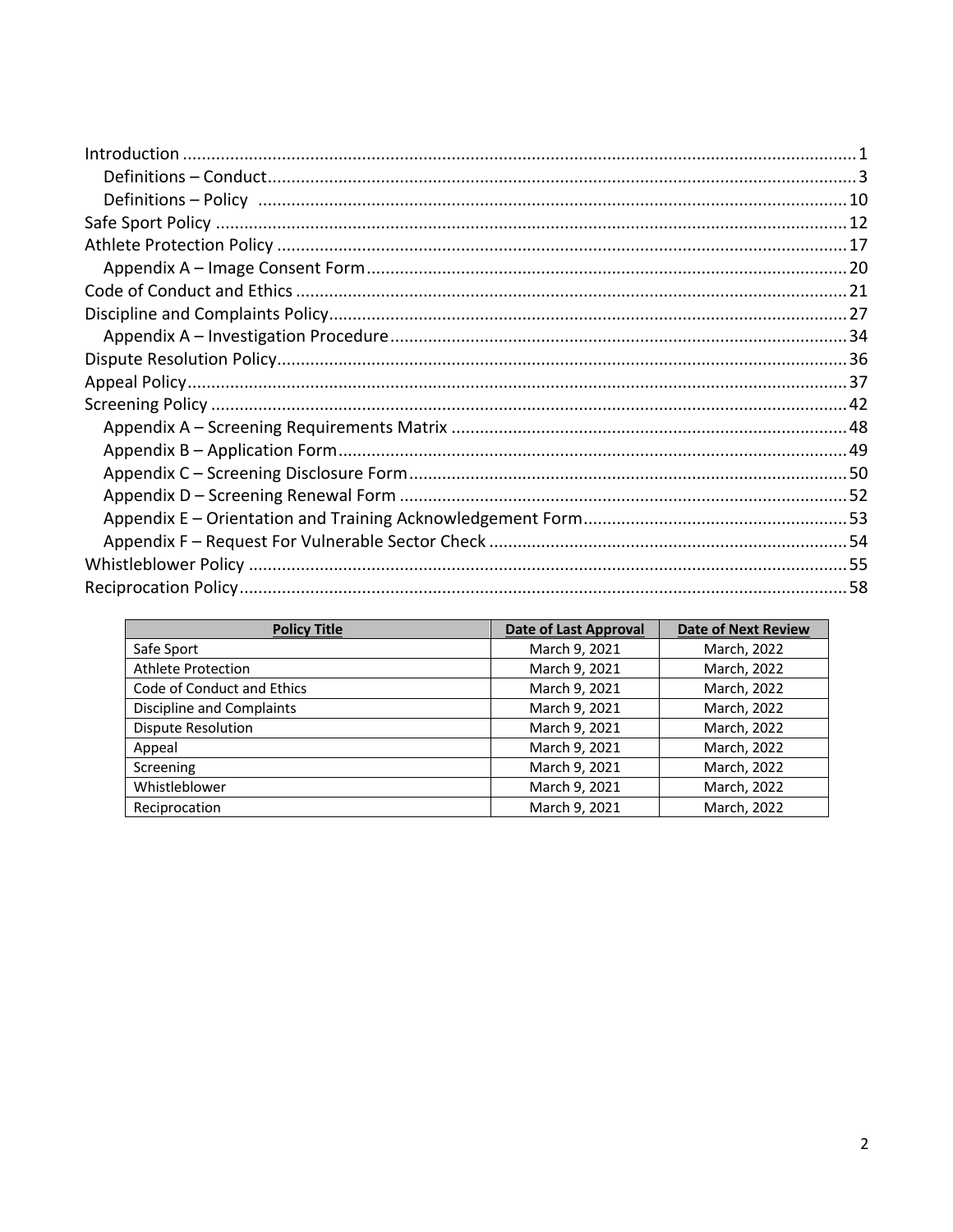| <b>Policy Title</b>        | Date of Last Approval | <b>Date of Next Review</b> |
|----------------------------|-----------------------|----------------------------|
| Safe Sport                 | March 9, 2021         | March, 2022                |
| Athlete Protection         | March 9, 2021         | March, 2022                |
| Code of Conduct and Ethics | March 9, 2021         | March, 2022                |
| Discipline and Complaints  | March 9, 2021         | March, 2022                |
| Dispute Resolution         | March 9, 2021         | March, 2022                |
| Appeal                     | March 9, 2021         | March, 2022                |
| Screening                  | March 9, 2021         | March, 2022                |
| Whistleblower              | March 9, 2021         | March, 2022                |
| Reciprocation              | March 9, 2021         | March, 2022                |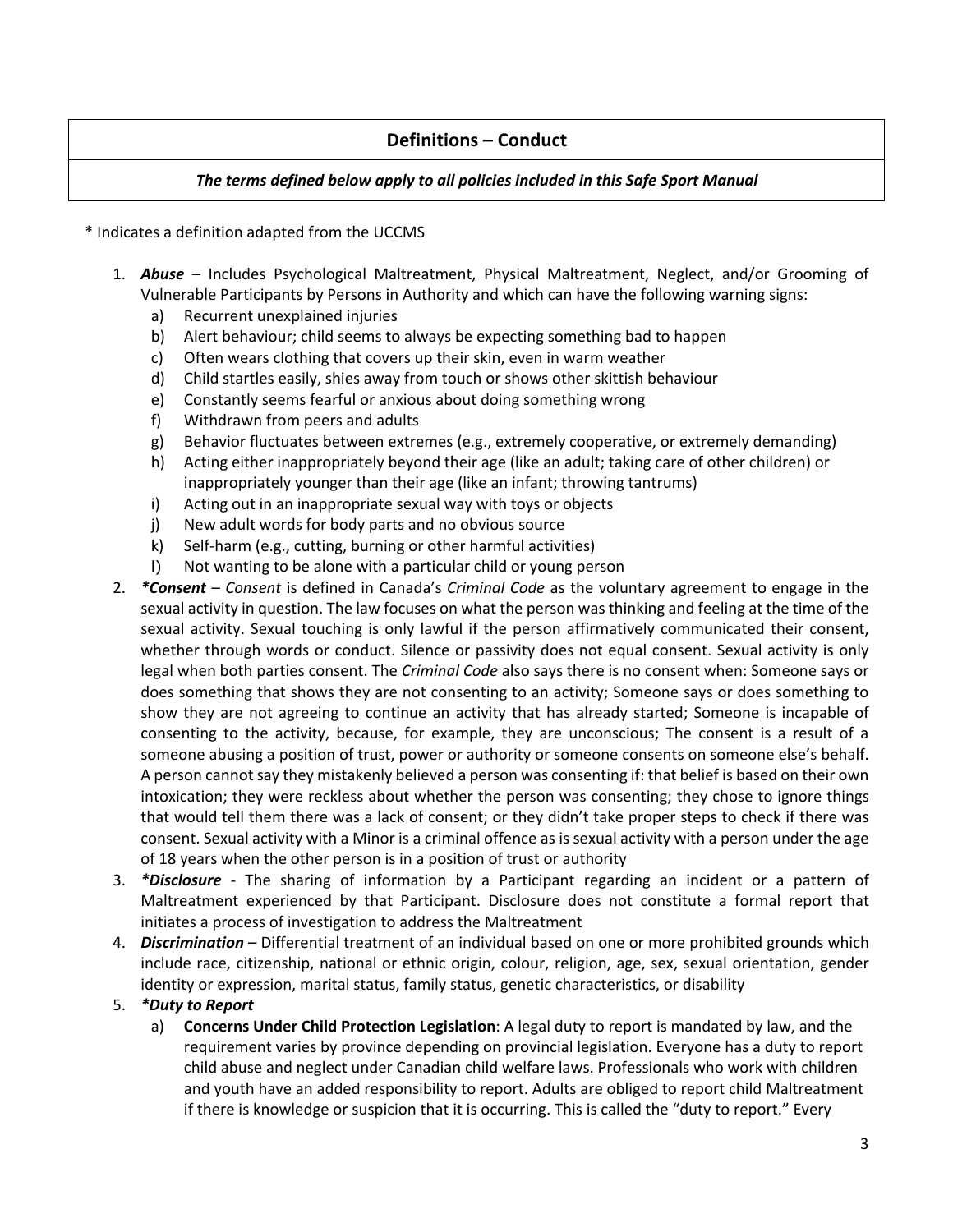#### **Definitions – Conduct**

#### *The terms defined below apply to all policies included in this Safe Sport Manual*

\* Indicates a definition adapted from the UCCMS

- 1. *Abuse* Includes Psychological Maltreatment, Physical Maltreatment, Neglect, and/or Grooming of Vulnerable Participants by Persons in Authority and which can have the following warning signs:
	- a) Recurrent unexplained injuries
	- b) Alert behaviour; child seems to always be expecting something bad to happen
	- c) Often wears clothing that covers up their skin, even in warm weather
	- d) Child startles easily, shies away from touch or shows other skittish behaviour
	- e) Constantly seems fearful or anxious about doing something wrong
	- f) Withdrawn from peers and adults
	- g) Behavior fluctuates between extremes (e.g., extremely cooperative, or extremely demanding)
	- h) Acting either inappropriately beyond their age (like an adult; taking care of other children) or inappropriately younger than their age (like an infant; throwing tantrums)
	- i) Acting out in an inappropriate sexual way with toys or objects
	- j) New adult words for body parts and no obvious source
	- k) Self-harm (e.g., cutting, burning or other harmful activities)
	- l) Not wanting to be alone with a particular child or young person
- 2. *\*Consent Consent* is defined in Canada's *Criminal Code* as the voluntary agreement to engage in the sexual activity in question. The law focuses on what the person was thinking and feeling at the time of the sexual activity. Sexual touching is only lawful if the person affirmatively communicated their consent, whether through words or conduct. Silence or passivity does not equal consent. Sexual activity is only legal when both parties consent. The *Criminal Code* also says there is no consent when: Someone says or does something that shows they are not consenting to an activity; Someone says or does something to show they are not agreeing to continue an activity that has already started; Someone is incapable of consenting to the activity, because, for example, they are unconscious; The consent is a result of a someone abusing a position of trust, power or authority or someone consents on someone else's behalf. A person cannot say they mistakenly believed a person was consenting if: that belief is based on their own intoxication; they were reckless about whether the person was consenting; they chose to ignore things that would tell them there was a lack of consent; or they didn't take proper steps to check if there was consent. Sexual activity with a Minor is a criminal offence as is sexual activity with a person under the age of 18 years when the other person is in a position of trust or authority
- 3. *\*Disclosure* The sharing of information by a Participant regarding an incident or a pattern of Maltreatment experienced by that Participant. Disclosure does not constitute a formal report that initiates a process of investigation to address the Maltreatment
- 4. *Discrimination* Differential treatment of an individual based on one or more prohibited grounds which include race, citizenship, national or ethnic origin, colour, religion, age, sex, sexual orientation, gender identity or expression, marital status, family status, genetic characteristics, or disability

#### 5. *\*Duty to Report*

a) **Concerns Under Child Protection Legislation**: A legal duty to report is mandated by law, and the requirement varies by province depending on provincial legislation. Everyone has a duty to report child abuse and neglect under Canadian child welfare laws. Professionals who work with children and youth have an added responsibility to report. Adults are obliged to report child Maltreatment if there is knowledge or suspicion that it is occurring. This is called the "duty to report." Every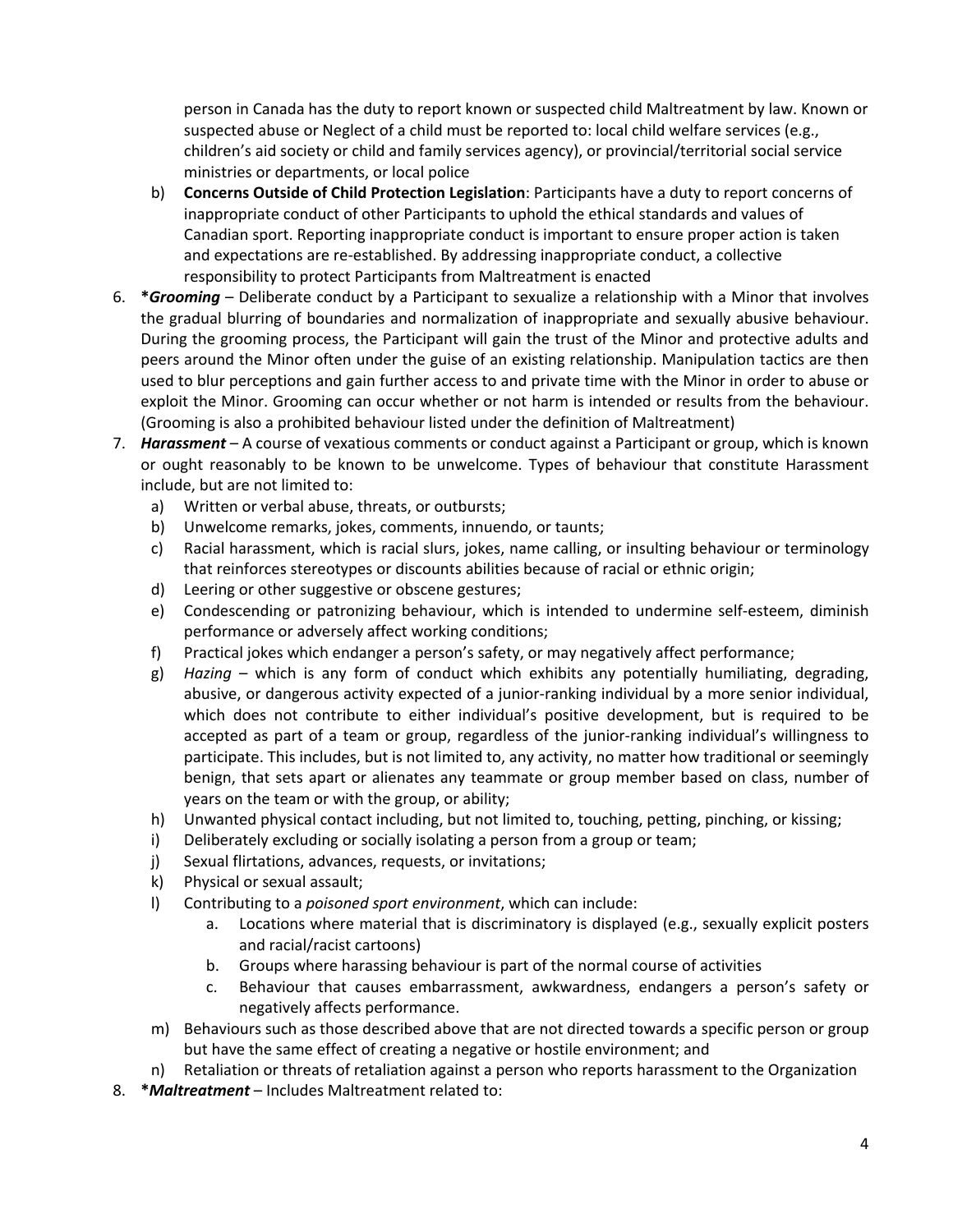person in Canada has the duty to report known or suspected child Maltreatment by law. Known or suspected abuse or Neglect of a child must be reported to: local child welfare services (e.g., children's aid society or child and family services agency), or provincial/territorial social service ministries or departments, or local police

- b) **Concerns Outside of Child Protection Legislation**: Participants have a duty to report concerns of inappropriate conduct of other Participants to uphold the ethical standards and values of Canadian sport. Reporting inappropriate conduct is important to ensure proper action is taken and expectations are re-established. By addressing inappropriate conduct, a collective responsibility to protect Participants from Maltreatment is enacted
- 6. **\****Grooming* Deliberate conduct by a Participant to sexualize a relationship with a Minor that involves the gradual blurring of boundaries and normalization of inappropriate and sexually abusive behaviour. During the grooming process, the Participant will gain the trust of the Minor and protective adults and peers around the Minor often under the guise of an existing relationship. Manipulation tactics are then used to blur perceptions and gain further access to and private time with the Minor in order to abuse or exploit the Minor. Grooming can occur whether or not harm is intended or results from the behaviour. (Grooming is also a prohibited behaviour listed under the definition of Maltreatment)
- 7. *Harassment* A course of vexatious comments or conduct against a Participant or group, which is known or ought reasonably to be known to be unwelcome. Types of behaviour that constitute Harassment include, but are not limited to:
	- a) Written or verbal abuse, threats, or outbursts;
	- b) Unwelcome remarks, jokes, comments, innuendo, or taunts;
	- c) Racial harassment, which is racial slurs, jokes, name calling, or insulting behaviour or terminology that reinforces stereotypes or discounts abilities because of racial or ethnic origin;
	- d) Leering or other suggestive or obscene gestures;
	- e) Condescending or patronizing behaviour, which is intended to undermine self-esteem, diminish performance or adversely affect working conditions;
	- f) Practical jokes which endanger a person's safety, or may negatively affect performance;
	- g) *Hazing* which is any form of conduct which exhibits any potentially humiliating, degrading, abusive, or dangerous activity expected of a junior-ranking individual by a more senior individual, which does not contribute to either individual's positive development, but is required to be accepted as part of a team or group, regardless of the junior-ranking individual's willingness to participate. This includes, but is not limited to, any activity, no matter how traditional or seemingly benign, that sets apart or alienates any teammate or group member based on class, number of years on the team or with the group, or ability;
	- h) Unwanted physical contact including, but not limited to, touching, petting, pinching, or kissing;
	- i) Deliberately excluding or socially isolating a person from a group or team;
	- j) Sexual flirtations, advances, requests, or invitations;
	- k) Physical or sexual assault;
	- l) Contributing to a *poisoned sport environment*, which can include:
		- a. Locations where material that is discriminatory is displayed (e.g., sexually explicit posters and racial/racist cartoons)
		- b. Groups where harassing behaviour is part of the normal course of activities
		- c. Behaviour that causes embarrassment, awkwardness, endangers a person's safety or negatively affects performance.
	- m) Behaviours such as those described above that are not directed towards a specific person or group but have the same effect of creating a negative or hostile environment; and
	- n) Retaliation or threats of retaliation against a person who reports harassment to the Organization
- 8. **\****Maltreatment* Includes Maltreatment related to: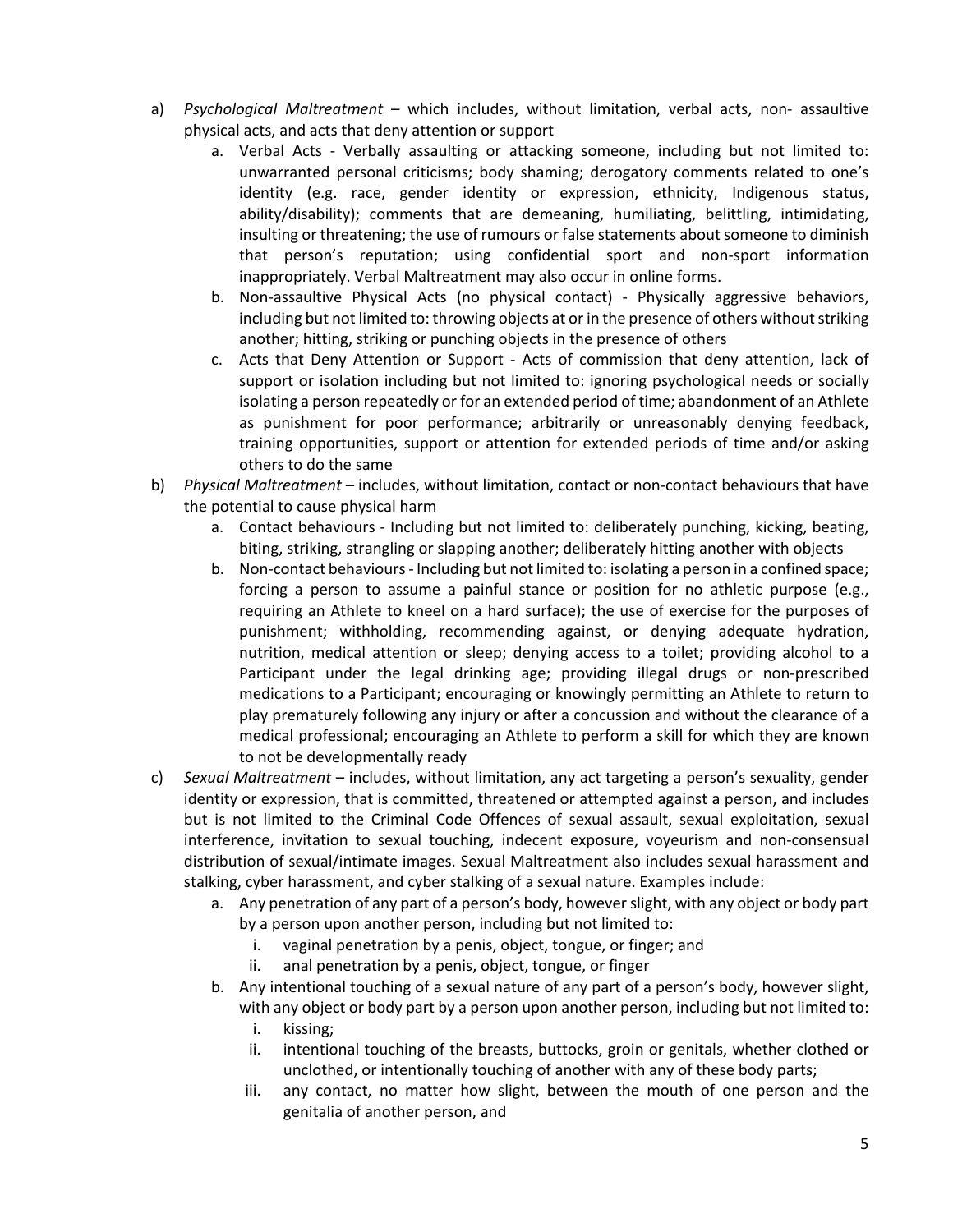- a) *Psychological Maltreatment*  which includes, without limitation, verbal acts, non- assaultive physical acts, and acts that deny attention or support
	- a. Verbal Acts Verbally assaulting or attacking someone, including but not limited to: unwarranted personal criticisms; body shaming; derogatory comments related to one's identity (e.g. race, gender identity or expression, ethnicity, Indigenous status, ability/disability); comments that are demeaning, humiliating, belittling, intimidating, insulting or threatening; the use of rumours or false statements about someone to diminish that person's reputation; using confidential sport and non-sport information inappropriately. Verbal Maltreatment may also occur in online forms.
	- b. Non-assaultive Physical Acts (no physical contact) Physically aggressive behaviors, including but not limited to: throwing objects at or in the presence of others without striking another; hitting, striking or punching objects in the presence of others
	- c. Acts that Deny Attention or Support Acts of commission that deny attention, lack of support or isolation including but not limited to: ignoring psychological needs or socially isolating a person repeatedly or for an extended period of time; abandonment of an Athlete as punishment for poor performance; arbitrarily or unreasonably denying feedback, training opportunities, support or attention for extended periods of time and/or asking others to do the same
- b) *Physical Maltreatment*  includes, without limitation, contact or non-contact behaviours that have the potential to cause physical harm
	- a. Contact behaviours Including but not limited to: deliberately punching, kicking, beating, biting, striking, strangling or slapping another; deliberately hitting another with objects
	- b. Non-contact behaviours Including but not limited to: isolating a person in a confined space; forcing a person to assume a painful stance or position for no athletic purpose (e.g., requiring an Athlete to kneel on a hard surface); the use of exercise for the purposes of punishment; withholding, recommending against, or denying adequate hydration, nutrition, medical attention or sleep; denying access to a toilet; providing alcohol to a Participant under the legal drinking age; providing illegal drugs or non-prescribed medications to a Participant; encouraging or knowingly permitting an Athlete to return to play prematurely following any injury or after a concussion and without the clearance of a medical professional; encouraging an Athlete to perform a skill for which they are known to not be developmentally ready
- c) *Sexual Maltreatment*  includes, without limitation, any act targeting a person's sexuality, gender identity or expression, that is committed, threatened or attempted against a person, and includes but is not limited to the Criminal Code Offences of sexual assault, sexual exploitation, sexual interference, invitation to sexual touching, indecent exposure, voyeurism and non-consensual distribution of sexual/intimate images. Sexual Maltreatment also includes sexual harassment and stalking, cyber harassment, and cyber stalking of a sexual nature. Examples include:
	- a. Any penetration of any part of a person's body, however slight, with any object or body part by a person upon another person, including but not limited to:
		- i. vaginal penetration by a penis, object, tongue, or finger; and
		- ii. anal penetration by a penis, object, tongue, or finger
	- b. Any intentional touching of a sexual nature of any part of a person's body, however slight, with any object or body part by a person upon another person, including but not limited to:
		- i. kissing;
		- ii. intentional touching of the breasts, buttocks, groin or genitals, whether clothed or unclothed, or intentionally touching of another with any of these body parts;
		- iii. any contact, no matter how slight, between the mouth of one person and the genitalia of another person, and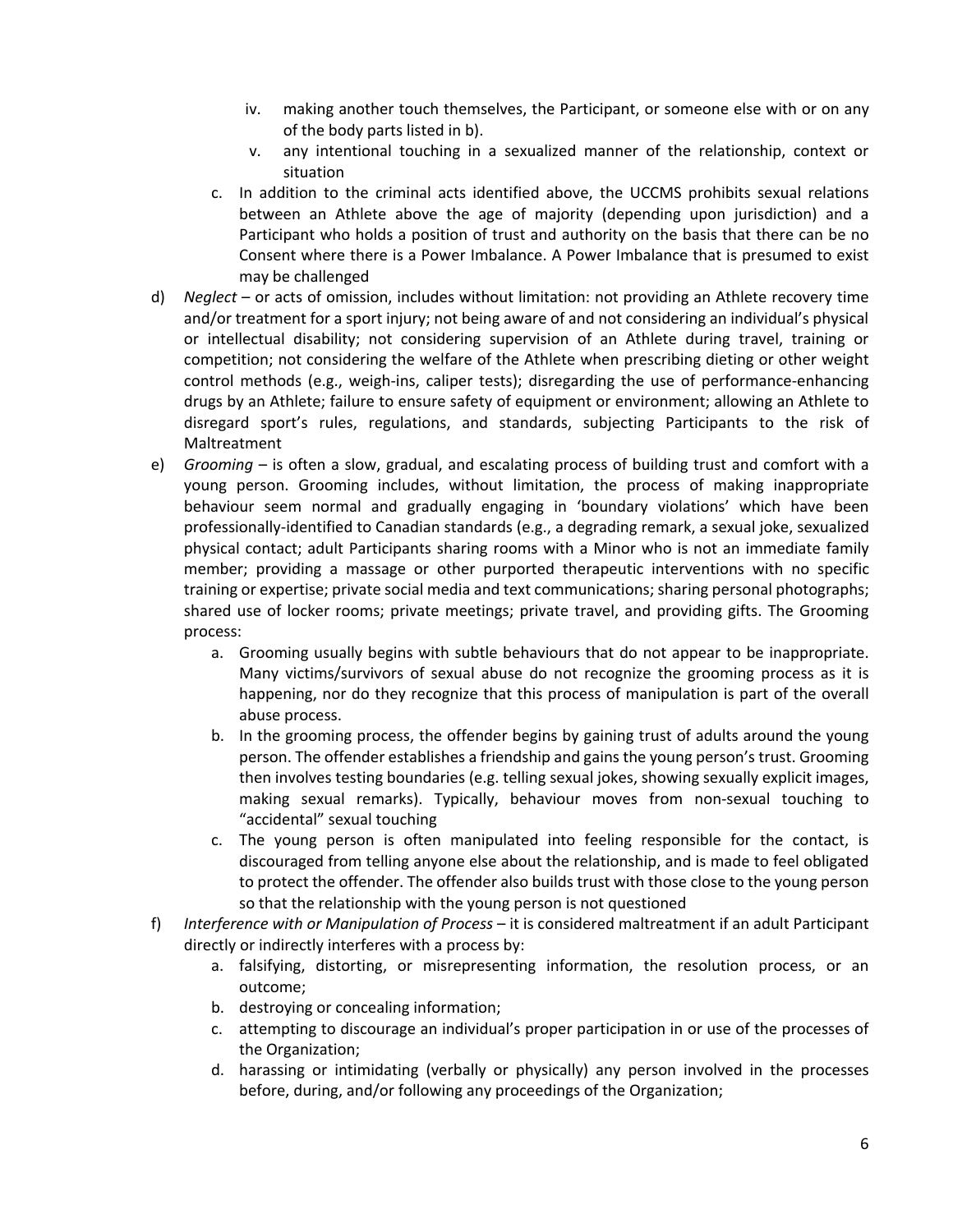- iv. making another touch themselves, the Participant, or someone else with or on any of the body parts listed in b).
- v. any intentional touching in a sexualized manner of the relationship, context or situation
- c. In addition to the criminal acts identified above, the UCCMS prohibits sexual relations between an Athlete above the age of majority (depending upon jurisdiction) and a Participant who holds a position of trust and authority on the basis that there can be no Consent where there is a Power Imbalance. A Power Imbalance that is presumed to exist may be challenged
- d) *Neglect* or acts of omission, includes without limitation: not providing an Athlete recovery time and/or treatment for a sport injury; not being aware of and not considering an individual's physical or intellectual disability; not considering supervision of an Athlete during travel, training or competition; not considering the welfare of the Athlete when prescribing dieting or other weight control methods (e.g., weigh-ins, caliper tests); disregarding the use of performance-enhancing drugs by an Athlete; failure to ensure safety of equipment or environment; allowing an Athlete to disregard sport's rules, regulations, and standards, subjecting Participants to the risk of Maltreatment
- e) *Grooming* is often a slow, gradual, and escalating process of building trust and comfort with a young person. Grooming includes, without limitation, the process of making inappropriate behaviour seem normal and gradually engaging in 'boundary violations' which have been professionally-identified to Canadian standards (e.g., a degrading remark, a sexual joke, sexualized physical contact; adult Participants sharing rooms with a Minor who is not an immediate family member; providing a massage or other purported therapeutic interventions with no specific training or expertise; private social media and text communications; sharing personal photographs; shared use of locker rooms; private meetings; private travel, and providing gifts. The Grooming process:
	- a. Grooming usually begins with subtle behaviours that do not appear to be inappropriate. Many victims/survivors of sexual abuse do not recognize the grooming process as it is happening, nor do they recognize that this process of manipulation is part of the overall abuse process.
	- b. In the grooming process, the offender begins by gaining trust of adults around the young person. The offender establishes a friendship and gains the young person's trust. Grooming then involves testing boundaries (e.g. telling sexual jokes, showing sexually explicit images, making sexual remarks). Typically, behaviour moves from non-sexual touching to "accidental" sexual touching
	- c. The young person is often manipulated into feeling responsible for the contact, is discouraged from telling anyone else about the relationship, and is made to feel obligated to protect the offender. The offender also builds trust with those close to the young person so that the relationship with the young person is not questioned
- f) *Interference with or Manipulation of Process* it is considered maltreatment if an adult Participant directly or indirectly interferes with a process by:
	- a. falsifying, distorting, or misrepresenting information, the resolution process, or an outcome;
	- b. destroying or concealing information;
	- c. attempting to discourage an individual's proper participation in or use of the processes of the Organization;
	- d. harassing or intimidating (verbally or physically) any person involved in the processes before, during, and/or following any proceedings of the Organization;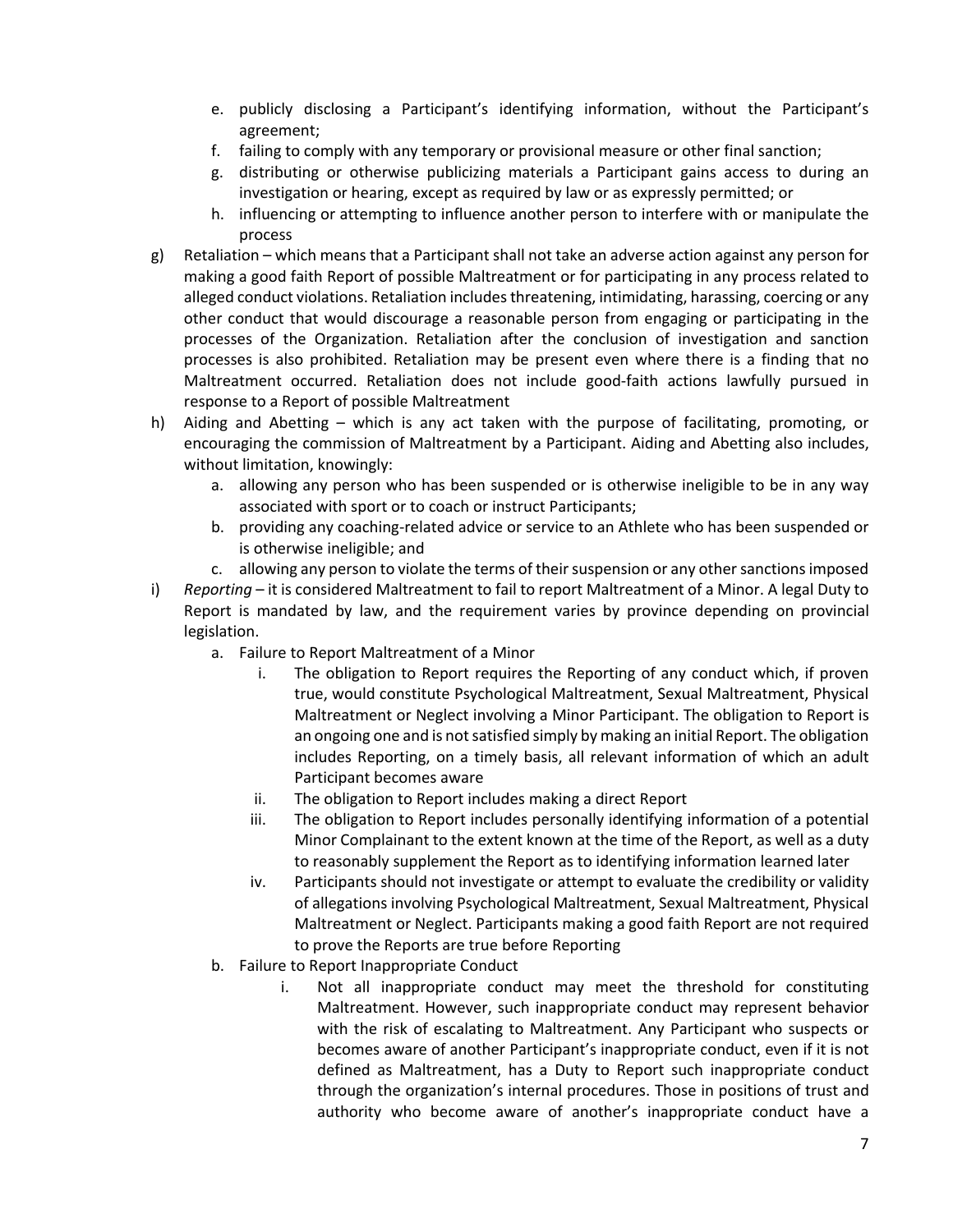- e. publicly disclosing a Participant's identifying information, without the Participant's agreement;
- f. failing to comply with any temporary or provisional measure or other final sanction;
- g. distributing or otherwise publicizing materials a Participant gains access to during an investigation or hearing, except as required by law or as expressly permitted; or
- h. influencing or attempting to influence another person to interfere with or manipulate the process
- g) Retaliation which means that a Participant shall not take an adverse action against any person for making a good faith Report of possible Maltreatment or for participating in any process related to alleged conduct violations. Retaliation includes threatening, intimidating, harassing, coercing or any other conduct that would discourage a reasonable person from engaging or participating in the processes of the Organization. Retaliation after the conclusion of investigation and sanction processes is also prohibited. Retaliation may be present even where there is a finding that no Maltreatment occurred. Retaliation does not include good-faith actions lawfully pursued in response to a Report of possible Maltreatment
- h) Aiding and Abetting which is any act taken with the purpose of facilitating, promoting, or encouraging the commission of Maltreatment by a Participant. Aiding and Abetting also includes, without limitation, knowingly:
	- a. allowing any person who has been suspended or is otherwise ineligible to be in any way associated with sport or to coach or instruct Participants;
	- b. providing any coaching-related advice or service to an Athlete who has been suspended or is otherwise ineligible; and
	- c. allowing any person to violate the terms of their suspension or any other sanctions imposed
- i) *Reporting* it is considered Maltreatment to fail to report Maltreatment of a Minor. A legal Duty to Report is mandated by law, and the requirement varies by province depending on provincial legislation.
	- a. Failure to Report Maltreatment of a Minor
		- i. The obligation to Report requires the Reporting of any conduct which, if proven true, would constitute Psychological Maltreatment, Sexual Maltreatment, Physical Maltreatment or Neglect involving a Minor Participant. The obligation to Report is an ongoing one and is not satisfied simply by making an initial Report. The obligation includes Reporting, on a timely basis, all relevant information of which an adult Participant becomes aware
		- ii. The obligation to Report includes making a direct Report
		- iii. The obligation to Report includes personally identifying information of a potential Minor Complainant to the extent known at the time of the Report, as well as a duty to reasonably supplement the Report as to identifying information learned later
		- iv. Participants should not investigate or attempt to evaluate the credibility or validity of allegations involving Psychological Maltreatment, Sexual Maltreatment, Physical Maltreatment or Neglect. Participants making a good faith Report are not required to prove the Reports are true before Reporting
	- b. Failure to Report Inappropriate Conduct
		- i. Not all inappropriate conduct may meet the threshold for constituting Maltreatment. However, such inappropriate conduct may represent behavior with the risk of escalating to Maltreatment. Any Participant who suspects or becomes aware of another Participant's inappropriate conduct, even if it is not defined as Maltreatment, has a Duty to Report such inappropriate conduct through the organization's internal procedures. Those in positions of trust and authority who become aware of another's inappropriate conduct have a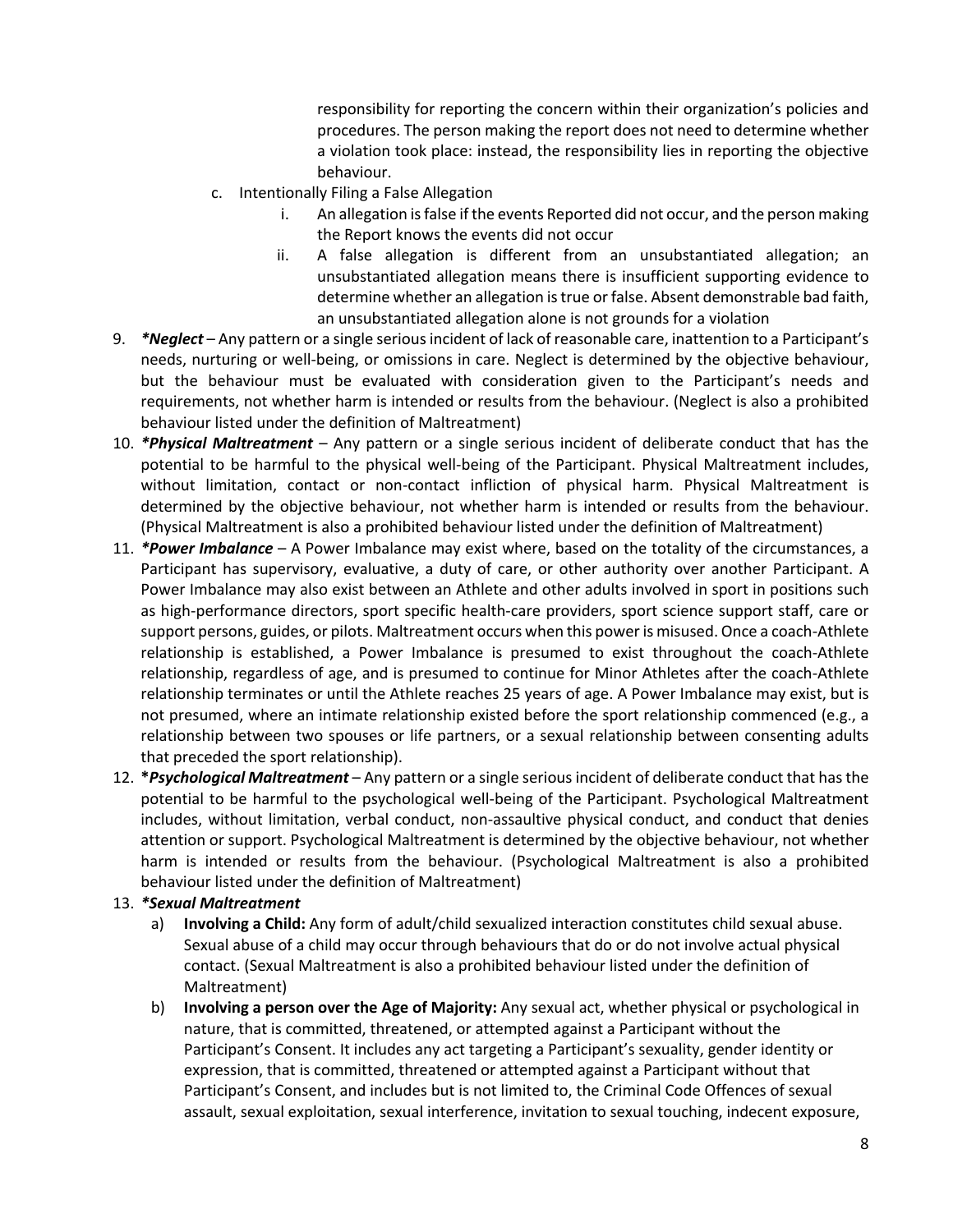responsibility for reporting the concern within their organization's policies and procedures. The person making the report does not need to determine whether a violation took place: instead, the responsibility lies in reporting the objective behaviour.

- c. Intentionally Filing a False Allegation
	- i. An allegation is false if the events Reported did not occur, and the person making the Report knows the events did not occur
	- ii. A false allegation is different from an unsubstantiated allegation; an unsubstantiated allegation means there is insufficient supporting evidence to determine whether an allegation is true or false. Absent demonstrable bad faith, an unsubstantiated allegation alone is not grounds for a violation
- 9. *\*Neglect* Any pattern or a single serious incident of lack of reasonable care, inattention to a Participant's needs, nurturing or well-being, or omissions in care. Neglect is determined by the objective behaviour, but the behaviour must be evaluated with consideration given to the Participant's needs and requirements, not whether harm is intended or results from the behaviour. (Neglect is also a prohibited behaviour listed under the definition of Maltreatment)
- 10. *\*Physical Maltreatment* Any pattern or a single serious incident of deliberate conduct that has the potential to be harmful to the physical well-being of the Participant. Physical Maltreatment includes, without limitation, contact or non-contact infliction of physical harm. Physical Maltreatment is determined by the objective behaviour, not whether harm is intended or results from the behaviour. (Physical Maltreatment is also a prohibited behaviour listed under the definition of Maltreatment)
- 11. *\*Power Imbalance* A Power Imbalance may exist where, based on the totality of the circumstances, a Participant has supervisory, evaluative, a duty of care, or other authority over another Participant. A Power Imbalance may also exist between an Athlete and other adults involved in sport in positions such as high-performance directors, sport specific health-care providers, sport science support staff, care or support persons, guides, or pilots. Maltreatment occurs when this power is misused. Once a coach-Athlete relationship is established, a Power Imbalance is presumed to exist throughout the coach-Athlete relationship, regardless of age, and is presumed to continue for Minor Athletes after the coach-Athlete relationship terminates or until the Athlete reaches 25 years of age. A Power Imbalance may exist, but is not presumed, where an intimate relationship existed before the sport relationship commenced (e.g., a relationship between two spouses or life partners, or a sexual relationship between consenting adults that preceded the sport relationship).
- 12. **\****Psychological Maltreatment* Any pattern or a single serious incident of deliberate conduct that has the potential to be harmful to the psychological well-being of the Participant. Psychological Maltreatment includes, without limitation, verbal conduct, non-assaultive physical conduct, and conduct that denies attention or support. Psychological Maltreatment is determined by the objective behaviour, not whether harm is intended or results from the behaviour. (Psychological Maltreatment is also a prohibited behaviour listed under the definition of Maltreatment)

#### 13. *\*Sexual Maltreatment*

- a) **Involving a Child:** Any form of adult/child sexualized interaction constitutes child sexual abuse. Sexual abuse of a child may occur through behaviours that do or do not involve actual physical contact. (Sexual Maltreatment is also a prohibited behaviour listed under the definition of Maltreatment)
- b) **Involving a person over the Age of Majority:** Any sexual act, whether physical or psychological in nature, that is committed, threatened, or attempted against a Participant without the Participant's Consent. It includes any act targeting a Participant's sexuality, gender identity or expression, that is committed, threatened or attempted against a Participant without that Participant's Consent, and includes but is not limited to, the Criminal Code Offences of sexual assault, sexual exploitation, sexual interference, invitation to sexual touching, indecent exposure,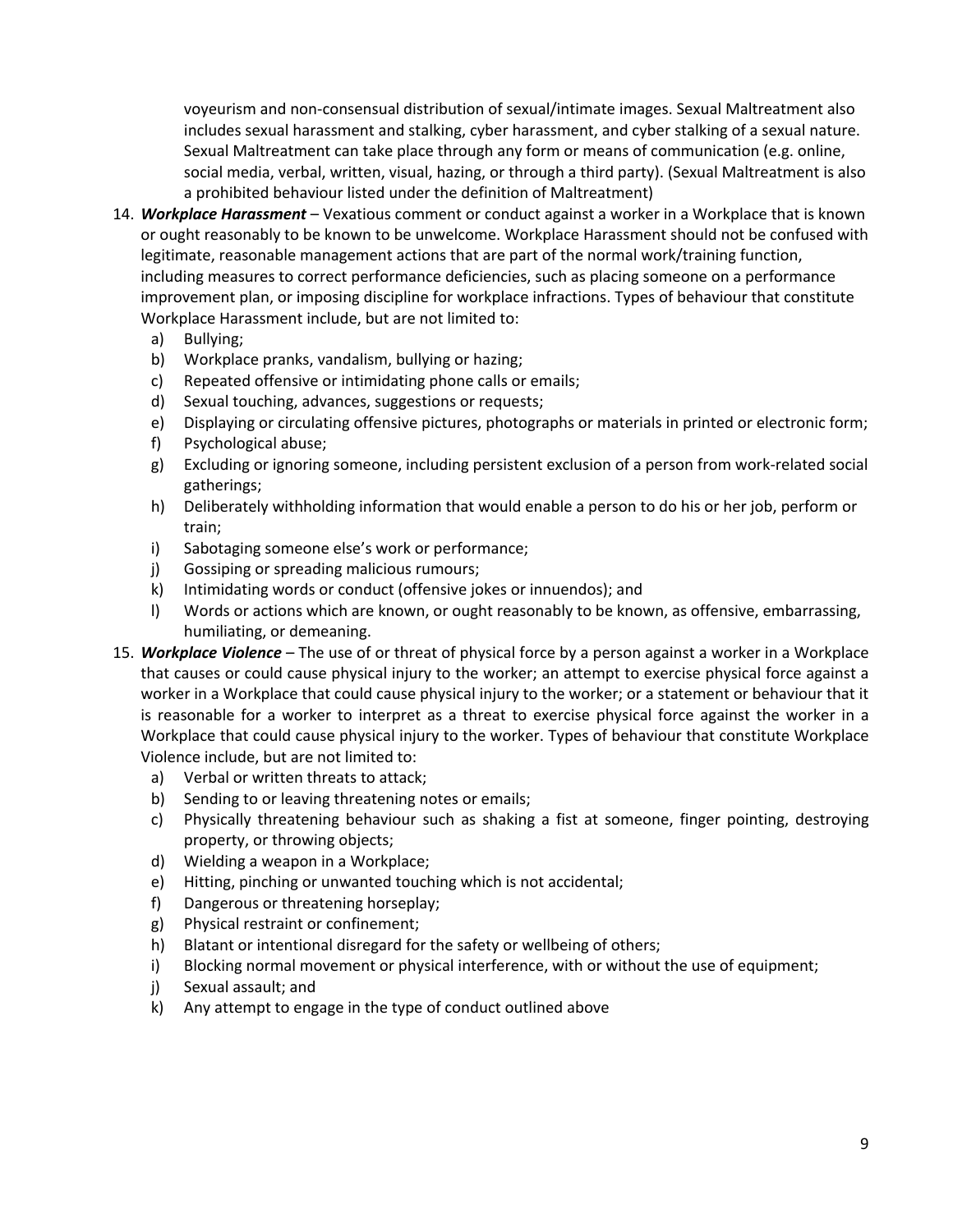voyeurism and non-consensual distribution of sexual/intimate images. Sexual Maltreatment also includes sexual harassment and stalking, cyber harassment, and cyber stalking of a sexual nature. Sexual Maltreatment can take place through any form or means of communication (e.g. online, social media, verbal, written, visual, hazing, or through a third party). (Sexual Maltreatment is also a prohibited behaviour listed under the definition of Maltreatment)

- 14. *Workplace Harassment* Vexatious comment or conduct against a worker in a Workplace that is known or ought reasonably to be known to be unwelcome. Workplace Harassment should not be confused with legitimate, reasonable management actions that are part of the normal work/training function, including measures to correct performance deficiencies, such as placing someone on a performance improvement plan, or imposing discipline for workplace infractions. Types of behaviour that constitute Workplace Harassment include, but are not limited to:
	- a) Bullying;
	- b) Workplace pranks, vandalism, bullying or hazing;
	- c) Repeated offensive or intimidating phone calls or emails;
	- d) Sexual touching, advances, suggestions or requests;
	- e) Displaying or circulating offensive pictures, photographs or materials in printed or electronic form;
	- f) Psychological abuse;
	- g) Excluding or ignoring someone, including persistent exclusion of a person from work-related social gatherings;
	- h) Deliberately withholding information that would enable a person to do his or her job, perform or train;
	- i) Sabotaging someone else's work or performance;
	- j) Gossiping or spreading malicious rumours;
	- k) Intimidating words or conduct (offensive jokes or innuendos); and
	- l) Words or actions which are known, or ought reasonably to be known, as offensive, embarrassing, humiliating, or demeaning.
- 15. *Workplace Violence* The use of or threat of physical force by a person against a worker in a Workplace that causes or could cause physical injury to the worker; an attempt to exercise physical force against a worker in a Workplace that could cause physical injury to the worker; or a statement or behaviour that it is reasonable for a worker to interpret as a threat to exercise physical force against the worker in a Workplace that could cause physical injury to the worker. Types of behaviour that constitute Workplace Violence include, but are not limited to:
	- a) Verbal or written threats to attack;
	- b) Sending to or leaving threatening notes or emails;
	- c) Physically threatening behaviour such as shaking a fist at someone, finger pointing, destroying property, or throwing objects;
	- d) Wielding a weapon in a Workplace;
	- e) Hitting, pinching or unwanted touching which is not accidental;
	- f) Dangerous or threatening horseplay;
	- g) Physical restraint or confinement;
	- h) Blatant or intentional disregard for the safety or wellbeing of others;
	- i) Blocking normal movement or physical interference, with or without the use of equipment;
	- j) Sexual assault; and
	- k) Any attempt to engage in the type of conduct outlined above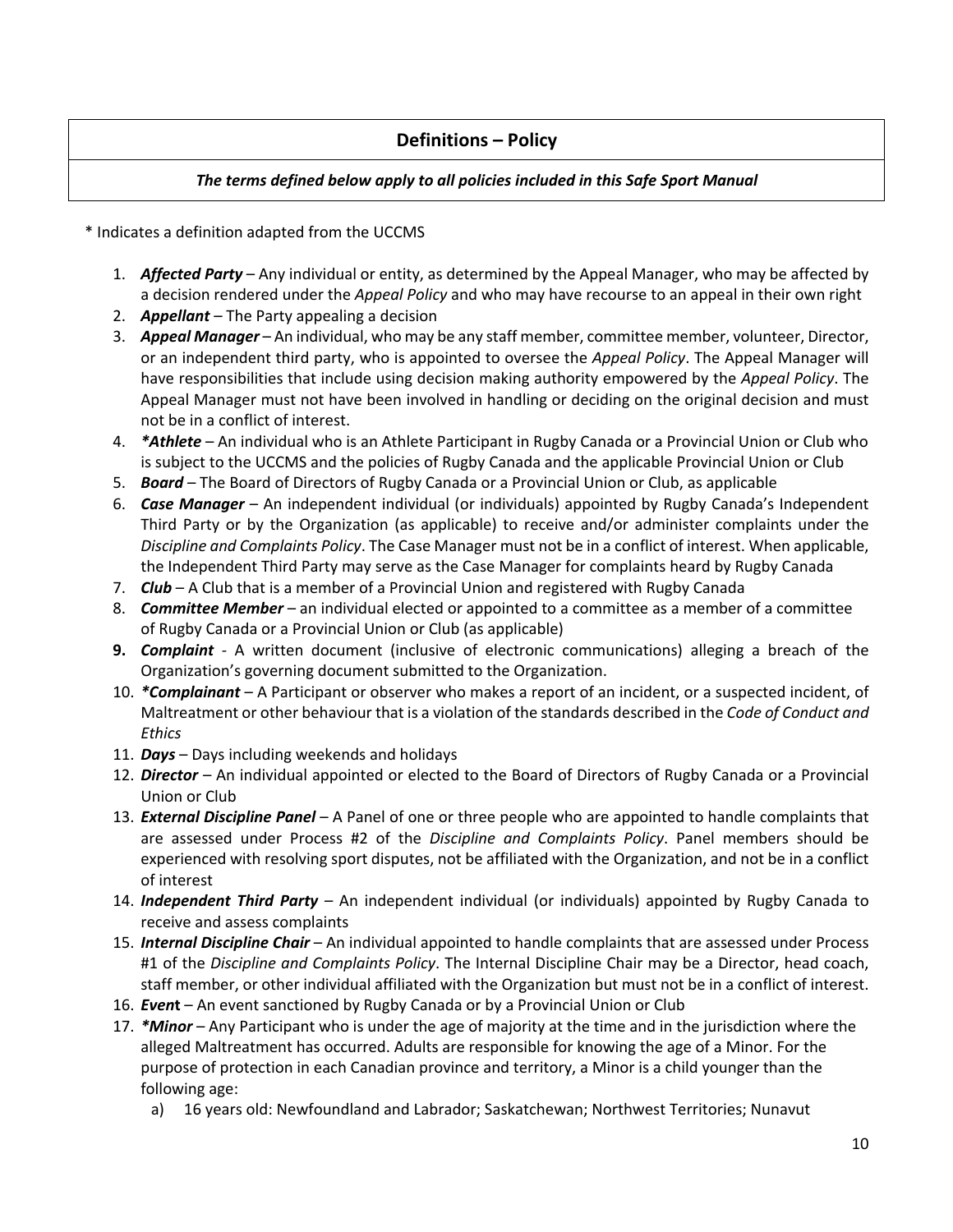#### **Definitions – Policy**

#### *The terms defined below apply to all policies included in this Safe Sport Manual*

\* Indicates a definition adapted from the UCCMS

- 1. *Affected Party* Any individual or entity, as determined by the Appeal Manager, who may be affected by a decision rendered under the *Appeal Policy* and who may have recourse to an appeal in their own right
- 2. *Appellant* The Party appealing a decision
- 3. *Appeal Manager* An individual, who may be any staff member, committee member, volunteer, Director, or an independent third party, who is appointed to oversee the *Appeal Policy*. The Appeal Manager will have responsibilities that include using decision making authority empowered by the *Appeal Policy*. The Appeal Manager must not have been involved in handling or deciding on the original decision and must not be in a conflict of interest.
- 4. *\*Athlete* An individual who is an Athlete Participant in Rugby Canada or a Provincial Union or Club who is subject to the UCCMS and the policies of Rugby Canada and the applicable Provincial Union or Club
- 5. *Board* The Board of Directors of Rugby Canada or a Provincial Union or Club, as applicable
- 6. *Case Manager* An independent individual (or individuals) appointed by Rugby Canada's Independent Third Party or by the Organization (as applicable) to receive and/or administer complaints under the *Discipline and Complaints Policy*. The Case Manager must not be in a conflict of interest. When applicable, the Independent Third Party may serve as the Case Manager for complaints heard by Rugby Canada
- 7. *Club* A Club that is a member of a Provincial Union and registered with Rugby Canada
- 8. *Committee Member* an individual elected or appointed to a committee as a member of a committee of Rugby Canada or a Provincial Union or Club (as applicable)
- **9.** *Complaint* A written document (inclusive of electronic communications) alleging a breach of the Organization's governing document submitted to the Organization.
- 10. *\*Complainant* A Participant or observer who makes a report of an incident, or a suspected incident, of Maltreatment or other behaviour that is a violation of the standards described in the *Code of Conduct and Ethics*
- 11. *Days* Days including weekends and holidays
- 12. *Director* An individual appointed or elected to the Board of Directors of Rugby Canada or a Provincial Union or Club
- 13. *External Discipline Panel* A Panel of one or three people who are appointed to handle complaints that are assessed under Process #2 of the *Discipline and Complaints Policy*. Panel members should be experienced with resolving sport disputes, not be affiliated with the Organization, and not be in a conflict of interest
- 14. *Independent Third Party –* An independent individual (or individuals) appointed by Rugby Canada to receive and assess complaints
- 15. *Internal Discipline Chair* An individual appointed to handle complaints that are assessed under Process #1 of the *Discipline and Complaints Policy*. The Internal Discipline Chair may be a Director, head coach, staff member, or other individual affiliated with the Organization but must not be in a conflict of interest.
- 16. *Even***t** An event sanctioned by Rugby Canada or by a Provincial Union or Club
- 17. *\*Minor* Any Participant who is under the age of majority at the time and in the jurisdiction where the alleged Maltreatment has occurred. Adults are responsible for knowing the age of a Minor. For the purpose of protection in each Canadian province and territory, a Minor is a child younger than the following age:
	- a) 16 years old: Newfoundland and Labrador; Saskatchewan; Northwest Territories; Nunavut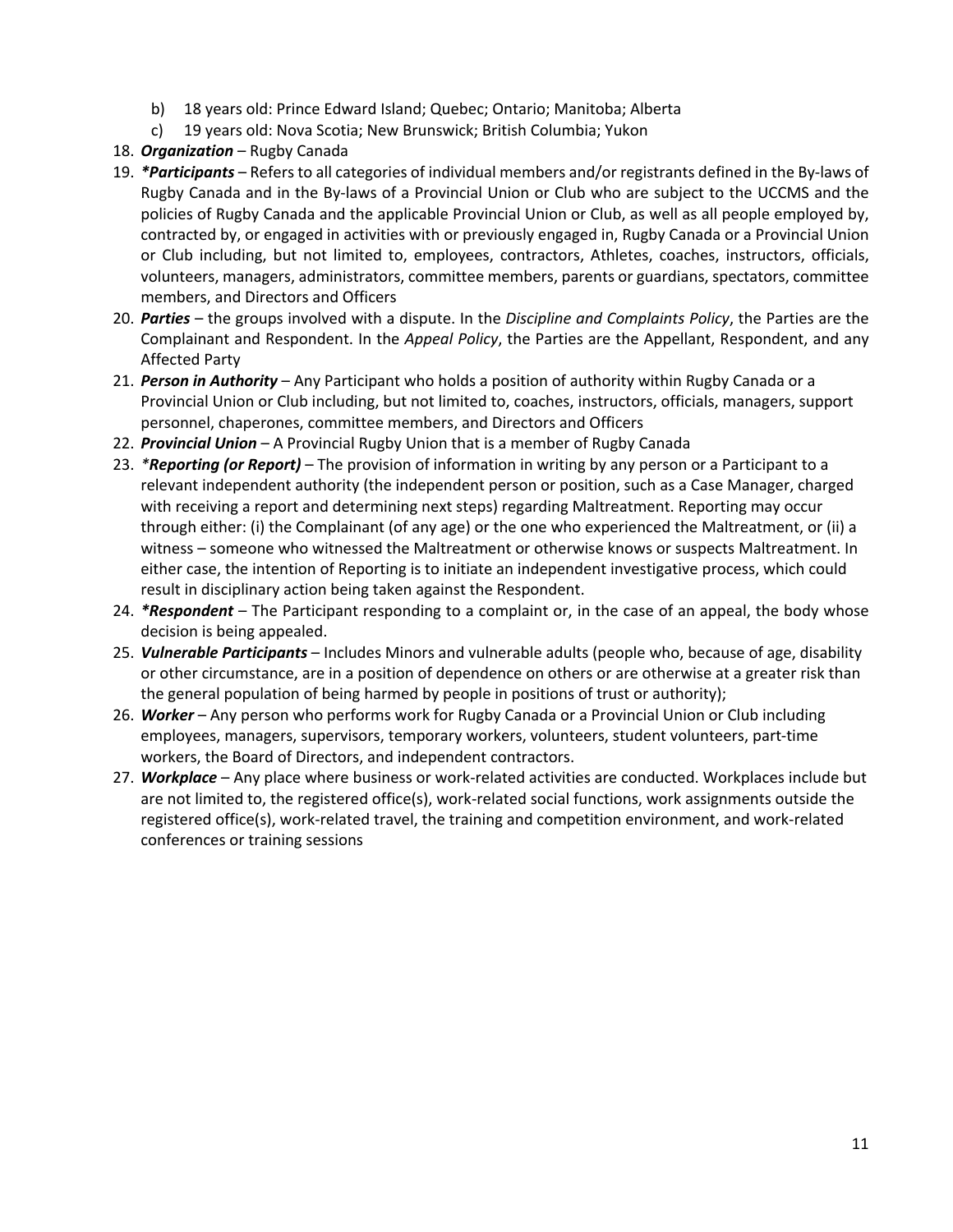- b) 18 years old: Prince Edward Island; Quebec; Ontario; Manitoba; Alberta
- c) 19 years old: Nova Scotia; New Brunswick; British Columbia; Yukon
- 18. *Organization* Rugby Canada
- 19. *\*Participants* Refers to all categories of individual members and/or registrants defined in the By-laws of Rugby Canada and in the By-laws of a Provincial Union or Club who are subject to the UCCMS and the policies of Rugby Canada and the applicable Provincial Union or Club, as well as all people employed by, contracted by, or engaged in activities with or previously engaged in, Rugby Canada or a Provincial Union or Club including, but not limited to, employees, contractors, Athletes, coaches, instructors, officials, volunteers, managers, administrators, committee members, parents or guardians, spectators, committee members, and Directors and Officers
- 20. *Parties* the groups involved with a dispute. In the *Discipline and Complaints Policy*, the Parties are the Complainant and Respondent. In the *Appeal Policy*, the Parties are the Appellant, Respondent, and any Affected Party
- 21. *Person in Authority* Any Participant who holds a position of authority within Rugby Canada or a Provincial Union or Club including, but not limited to, coaches, instructors, officials, managers, support personnel, chaperones, committee members, and Directors and Officers
- 22. *Provincial Union* A Provincial Rugby Union that is a member of Rugby Canada
- 23. *\*Reporting (or Report)* The provision of information in writing by any person or a Participant to a relevant independent authority (the independent person or position, such as a Case Manager, charged with receiving a report and determining next steps) regarding Maltreatment. Reporting may occur through either: (i) the Complainant (of any age) or the one who experienced the Maltreatment, or (ii) a witness – someone who witnessed the Maltreatment or otherwise knows or suspects Maltreatment. In either case, the intention of Reporting is to initiate an independent investigative process, which could result in disciplinary action being taken against the Respondent.
- 24. *\*Respondent* The Participant responding to a complaint or, in the case of an appeal, the body whose decision is being appealed.
- 25. *Vulnerable Participants* Includes Minors and vulnerable adults (people who, because of age, disability or other circumstance, are in a position of dependence on others or are otherwise at a greater risk than the general population of being harmed by people in positions of trust or authority);
- 26. *Worker* Any person who performs work for Rugby Canada or a Provincial Union or Club including employees, managers, supervisors, temporary workers, volunteers, student volunteers, part-time workers, the Board of Directors, and independent contractors.
- 27. *Workplace* Any place where business or work-related activities are conducted. Workplaces include but are not limited to, the registered office(s), work-related social functions, work assignments outside the registered office(s), work-related travel, the training and competition environment, and work-related conferences or training sessions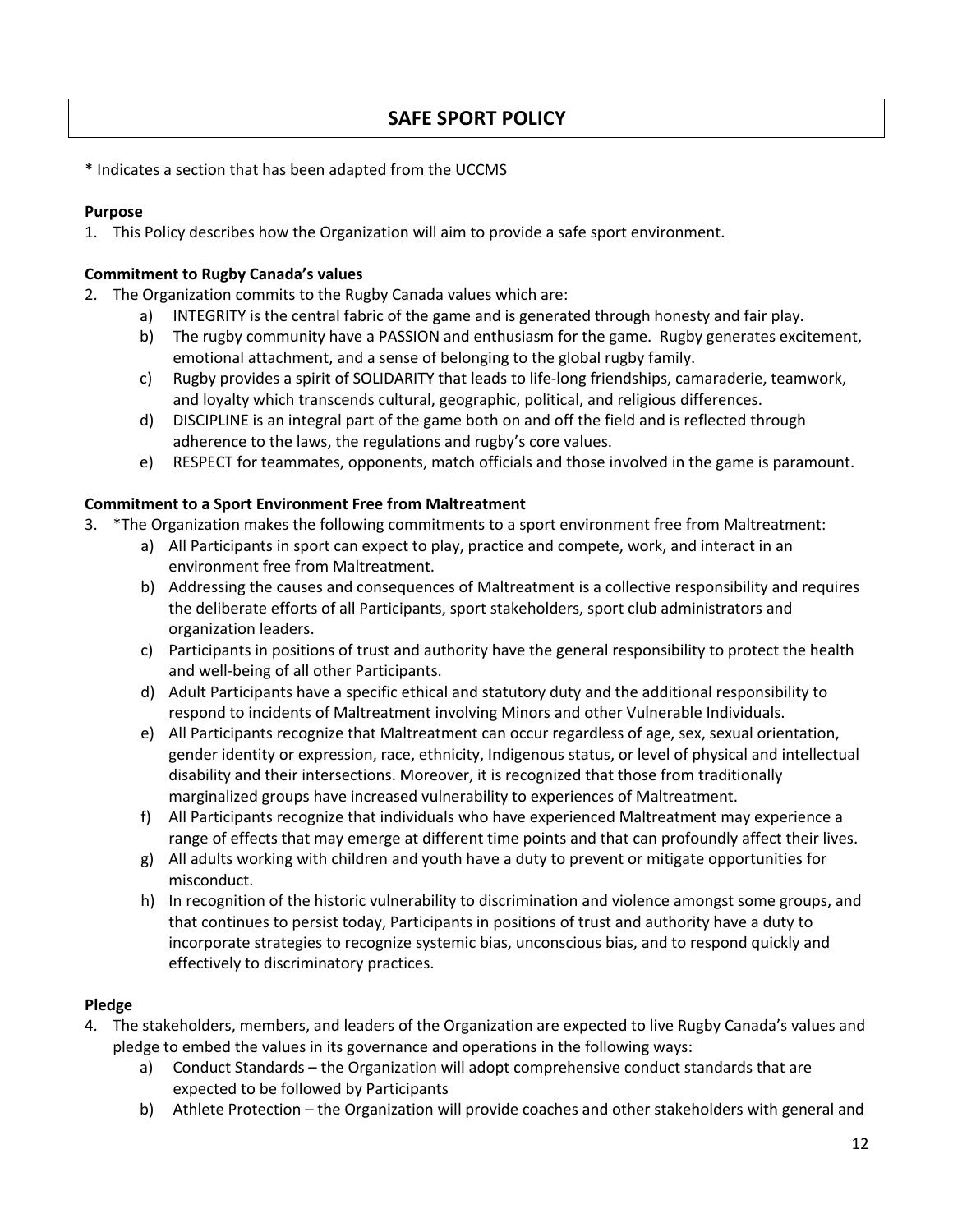#### **SAFE SPORT POLICY**

\* Indicates a section that has been adapted from the UCCMS

#### **Purpose**

1. This Policy describes how the Organization will aim to provide a safe sport environment.

#### **Commitment to Rugby Canada's values**

- 2. The Organization commits to the Rugby Canada values which are:
	- a) INTEGRITY is the central fabric of the game and is generated through honesty and fair play.
	- b) The rugby community have a PASSION and enthusiasm for the game. Rugby generates excitement, emotional attachment, and a sense of belonging to the global rugby family.
	- c) Rugby provides a spirit of SOLIDARITY that leads to life-long friendships, camaraderie, teamwork, and loyalty which transcends cultural, geographic, political, and religious differences.
	- d) DISCIPLINE is an integral part of the game both on and off the field and is reflected through adherence to the laws, the regulations and rugby's core values.
	- e) RESPECT for teammates, opponents, match officials and those involved in the game is paramount.

#### **Commitment to a Sport Environment Free from Maltreatment**

- 3. \*The Organization makes the following commitments to a sport environment free from Maltreatment:
	- a) All Participants in sport can expect to play, practice and compete, work, and interact in an environment free from Maltreatment.
	- b) Addressing the causes and consequences of Maltreatment is a collective responsibility and requires the deliberate efforts of all Participants, sport stakeholders, sport club administrators and organization leaders.
	- c) Participants in positions of trust and authority have the general responsibility to protect the health and well-being of all other Participants.
	- d) Adult Participants have a specific ethical and statutory duty and the additional responsibility to respond to incidents of Maltreatment involving Minors and other Vulnerable Individuals.
	- e) All Participants recognize that Maltreatment can occur regardless of age, sex, sexual orientation, gender identity or expression, race, ethnicity, Indigenous status, or level of physical and intellectual disability and their intersections. Moreover, it is recognized that those from traditionally marginalized groups have increased vulnerability to experiences of Maltreatment.
	- f) All Participants recognize that individuals who have experienced Maltreatment may experience a range of effects that may emerge at different time points and that can profoundly affect their lives.
	- g) All adults working with children and youth have a duty to prevent or mitigate opportunities for misconduct.
	- h) In recognition of the historic vulnerability to discrimination and violence amongst some groups, and that continues to persist today, Participants in positions of trust and authority have a duty to incorporate strategies to recognize systemic bias, unconscious bias, and to respond quickly and effectively to discriminatory practices.

#### **Pledge**

- 4. The stakeholders, members, and leaders of the Organization are expected to live Rugby Canada's values and pledge to embed the values in its governance and operations in the following ways:
	- a) Conduct Standards the Organization will adopt comprehensive conduct standards that are expected to be followed by Participants
	- b) Athlete Protection the Organization will provide coaches and other stakeholders with general and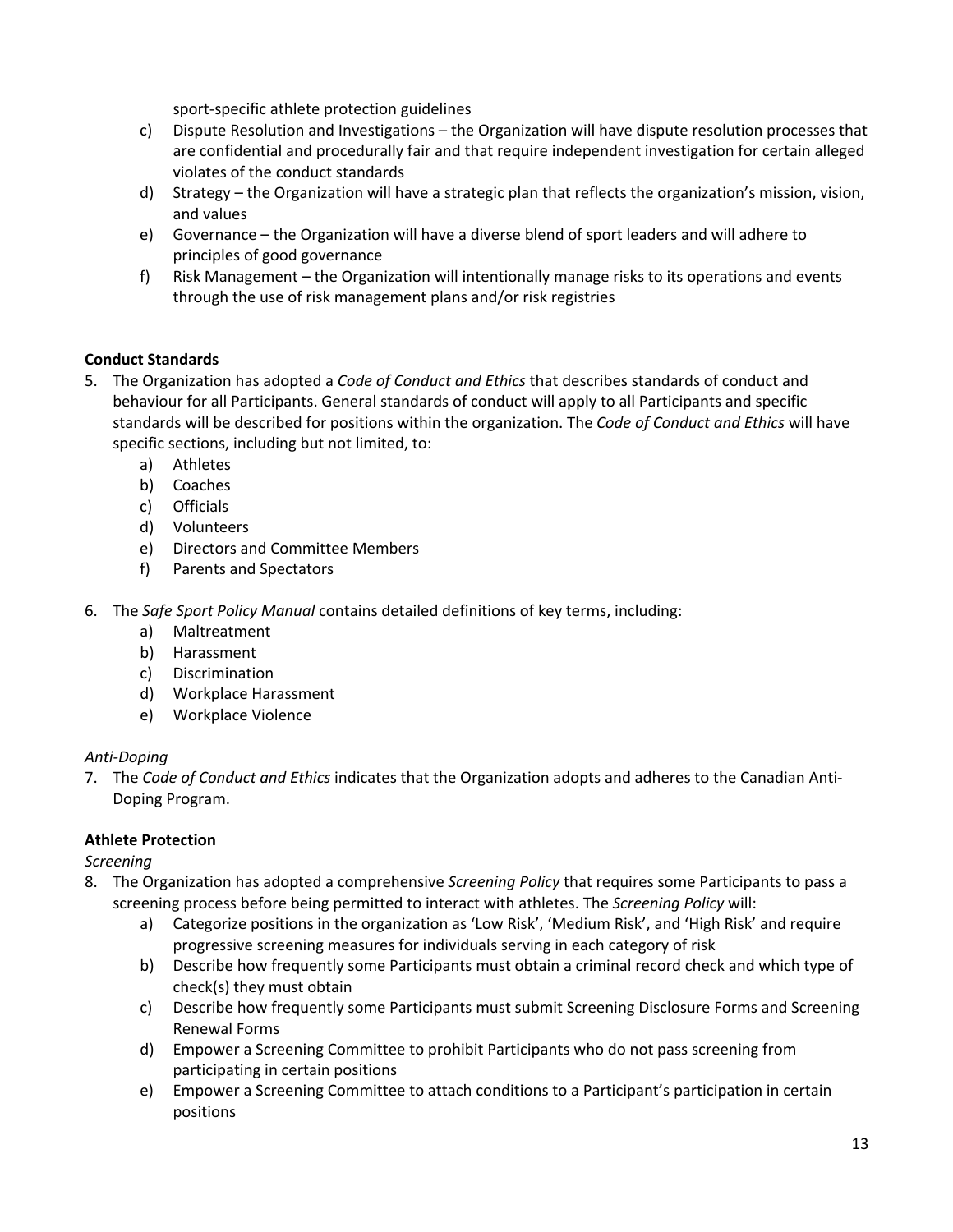sport-specific athlete protection guidelines

- c) Dispute Resolution and Investigations the Organization will have dispute resolution processes that are confidential and procedurally fair and that require independent investigation for certain alleged violates of the conduct standards
- d) Strategy the Organization will have a strategic plan that reflects the organization's mission, vision, and values
- e) Governance the Organization will have a diverse blend of sport leaders and will adhere to principles of good governance
- f) Risk Management the Organization will intentionally manage risks to its operations and events through the use of risk management plans and/or risk registries

#### **Conduct Standards**

- 5. The Organization has adopted a *Code of Conduct and Ethics* that describes standards of conduct and behaviour for all Participants. General standards of conduct will apply to all Participants and specific standards will be described for positions within the organization. The *Code of Conduct and Ethics* will have specific sections, including but not limited, to:
	- a) Athletes
	- b) Coaches
	- c) Officials
	- d) Volunteers
	- e) Directors and Committee Members
	- f) Parents and Spectators
- 6. The *Safe Sport Policy Manual* contains detailed definitions of key terms, including:
	- a) Maltreatment
	- b) Harassment
	- c) Discrimination
	- d) Workplace Harassment
	- e) Workplace Violence

#### *Anti-Doping*

7. The *Code of Conduct and Ethics* indicates that the Organization adopts and adheres to the Canadian Anti-Doping Program.

#### **Athlete Protection**

*Screening* 

- 8. The Organization has adopted a comprehensive *Screening Policy* that requires some Participants to pass a screening process before being permitted to interact with athletes. The *Screening Policy* will:
	- a) Categorize positions in the organization as 'Low Risk', 'Medium Risk', and 'High Risk' and require progressive screening measures for individuals serving in each category of risk
	- b) Describe how frequently some Participants must obtain a criminal record check and which type of check(s) they must obtain
	- c) Describe how frequently some Participants must submit Screening Disclosure Forms and Screening Renewal Forms
	- d) Empower a Screening Committee to prohibit Participants who do not pass screening from participating in certain positions
	- e) Empower a Screening Committee to attach conditions to a Participant's participation in certain positions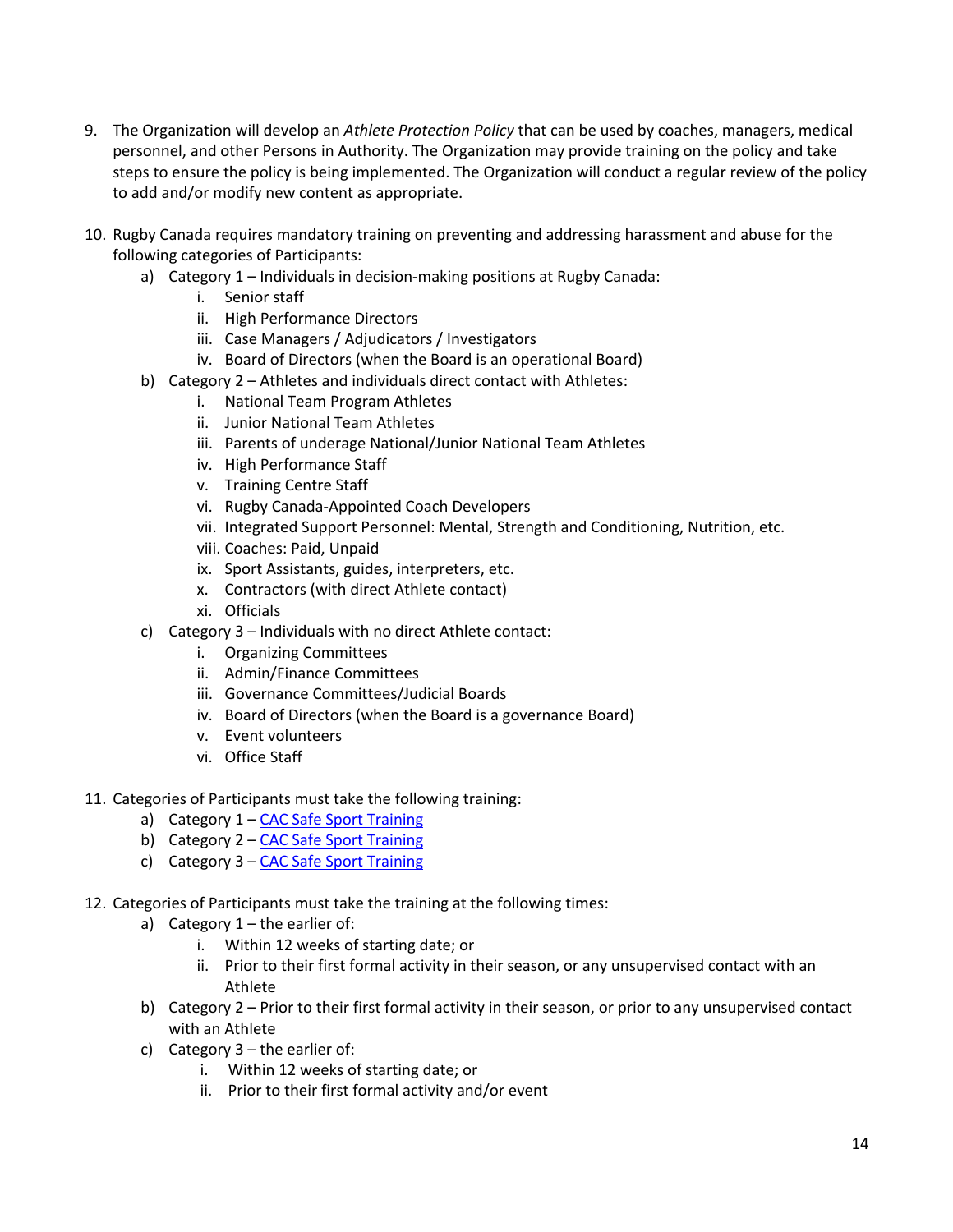- 9. The Organization will develop an *Athlete Protection Policy* that can be used by coaches, managers, medical personnel, and other Persons in Authority. The Organization may provide training on the policy and take steps to ensure the policy is being implemented. The Organization will conduct a regular review of the policy to add and/or modify new content as appropriate.
- 10. Rugby Canada requires mandatory training on preventing and addressing harassment and abuse for the following categories of Participants:
	- a) Category 1 Individuals in decision-making positions at Rugby Canada:
		- i. Senior staff
			- ii. High Performance Directors
			- iii. Case Managers / Adjudicators / Investigators
			- iv. Board of Directors (when the Board is an operational Board)
	- b) Category 2 Athletes and individuals direct contact with Athletes:
		- i. National Team Program Athletes
		- ii. Junior National Team Athletes
		- iii. Parents of underage National/Junior National Team Athletes
		- iv. High Performance Staff
		- v. Training Centre Staff
		- vi. Rugby Canada-Appointed Coach Developers
		- vii. Integrated Support Personnel: Mental, Strength and Conditioning, Nutrition, etc.
		- viii. Coaches: Paid, Unpaid
		- ix. Sport Assistants, guides, interpreters, etc.
		- x. Contractors (with direct Athlete contact)
		- xi. Officials
	- c) Category 3 Individuals with no direct Athlete contact:
		- i. Organizing Committees
		- ii. Admin/Finance Committees
		- iii. Governance Committees/Judicial Boards
		- iv. Board of Directors (when the Board is a governance Board)
		- v. Event volunteers
		- vi. Office Staff
- 11. Categories of Participants must take the following training:
	- a) Category 1 CAC Safe Sport Training
	- b) Category 2 CAC Safe Sport Training
	- c) Category 3 CAC Safe Sport Training
- 12. Categories of Participants must take the training at the following times:
	- a) Category  $1$  the earlier of:
		- i. Within 12 weeks of starting date; or
		- ii. Prior to their first formal activity in their season, or any unsupervised contact with an Athlete
	- b) Category 2 Prior to their first formal activity in their season, or prior to any unsupervised contact with an Athlete
	- c) Category  $3$  the earlier of:
		- i. Within 12 weeks of starting date; or
		- ii. Prior to their first formal activity and/or event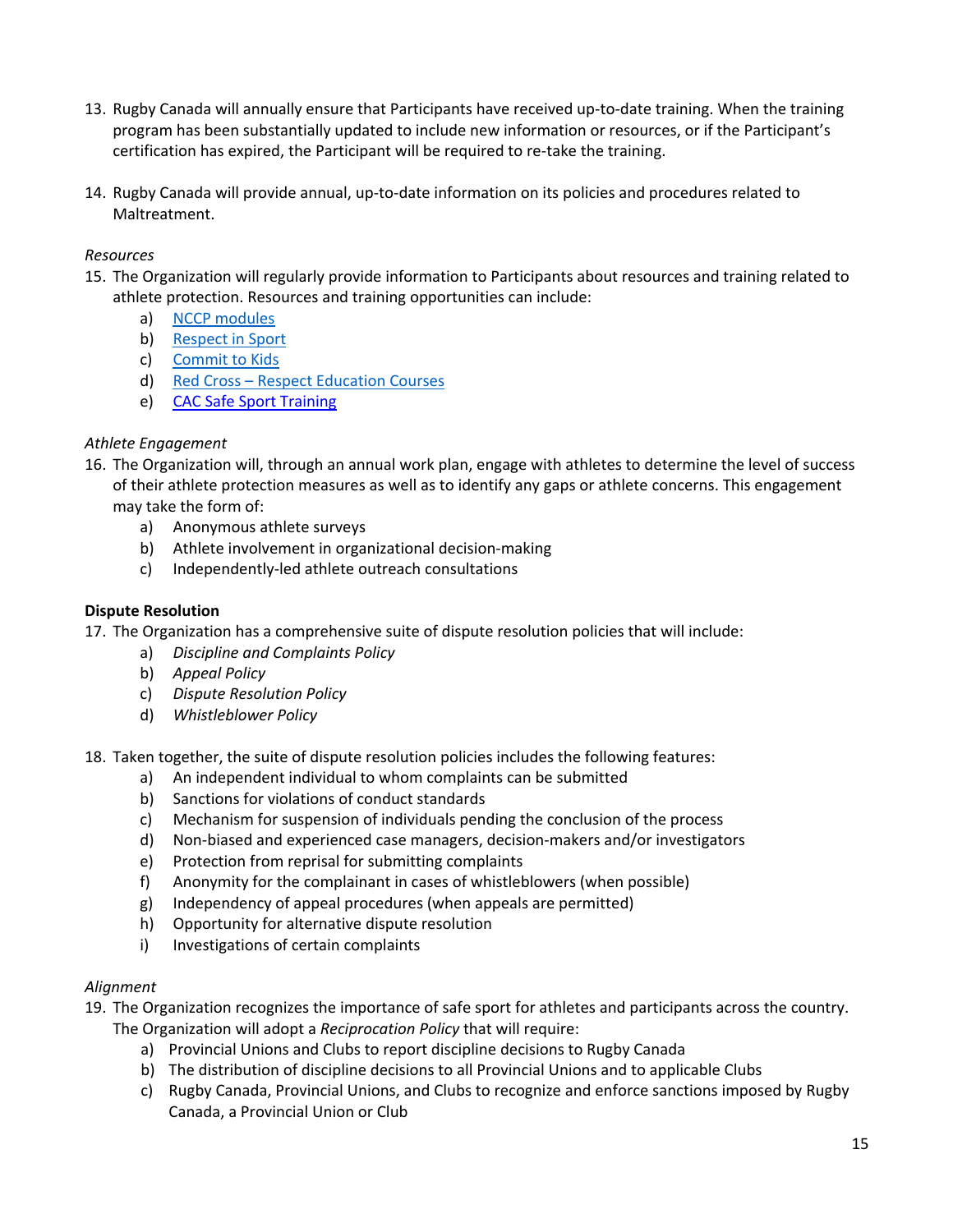- 13. Rugby Canada will annually ensure that Participants have received up-to-date training. When the training program has been substantially updated to include new information or resources, or if the Participant's certification has expired, the Participant will be required to re-take the training.
- 14. Rugby Canada will provide annual, up-to-date information on its policies and procedures related to Maltreatment.

#### *Resources*

- 15. The Organization will regularly provide information to Participants about resources and training related to athlete protection. Resources and training opportunities can include:
	- a) NCCP modules
	- b) Respect in Sport
	- c) Commit to Kids
	- d) Red Cross Respect Education Courses
	- e) CAC Safe Sport Training

#### *Athlete Engagement*

- 16. The Organization will, through an annual work plan, engage with athletes to determine the level of success of their athlete protection measures as well as to identify any gaps or athlete concerns. This engagement may take the form of:
	- a) Anonymous athlete surveys
	- b) Athlete involvement in organizational decision-making
	- c) Independently-led athlete outreach consultations

#### **Dispute Resolution**

17. The Organization has a comprehensive suite of dispute resolution policies that will include:

- a) *Discipline and Complaints Policy*
- b) *Appeal Policy*
- c) *Dispute Resolution Policy*
- d) *Whistleblower Policy*

18. Taken together, the suite of dispute resolution policies includes the following features:

- a) An independent individual to whom complaints can be submitted
- b) Sanctions for violations of conduct standards
- c) Mechanism for suspension of individuals pending the conclusion of the process
- d) Non-biased and experienced case managers, decision-makers and/or investigators
- e) Protection from reprisal for submitting complaints
- f) Anonymity for the complainant in cases of whistleblowers (when possible)
- g) Independency of appeal procedures (when appeals are permitted)
- h) Opportunity for alternative dispute resolution
- i) Investigations of certain complaints

#### *Alignment*

- 19. The Organization recognizes the importance of safe sport for athletes and participants across the country. The Organization will adopt a *Reciprocation Policy* that will require:
	- a) Provincial Unions and Clubs to report discipline decisions to Rugby Canada
	- b) The distribution of discipline decisions to all Provincial Unions and to applicable Clubs
	- c) Rugby Canada, Provincial Unions, and Clubs to recognize and enforce sanctions imposed by Rugby Canada, a Provincial Union or Club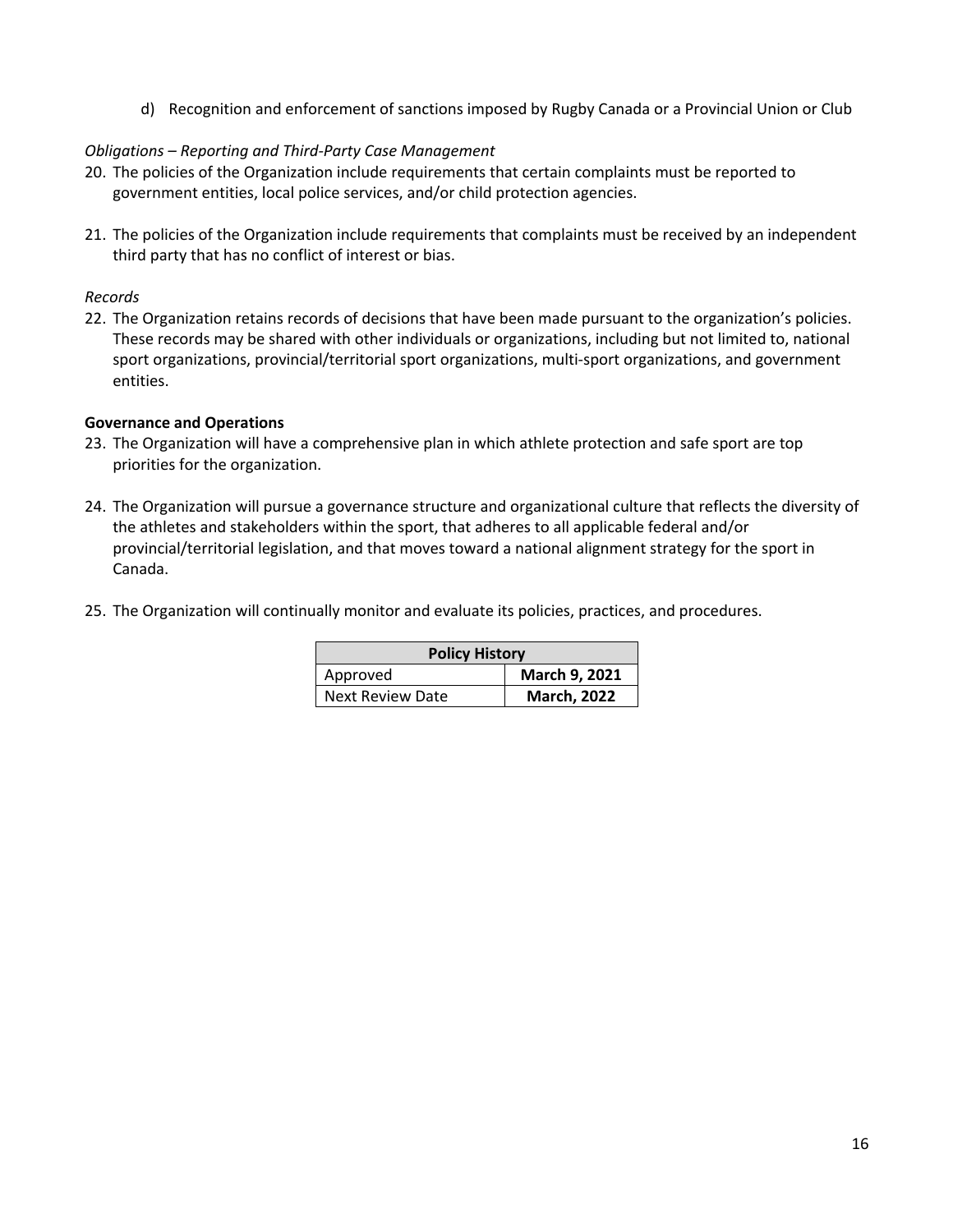d) Recognition and enforcement of sanctions imposed by Rugby Canada or a Provincial Union or Club

#### *Obligations – Reporting and Third-Party Case Management*

- 20. The policies of the Organization include requirements that certain complaints must be reported to government entities, local police services, and/or child protection agencies.
- 21. The policies of the Organization include requirements that complaints must be received by an independent third party that has no conflict of interest or bias.

#### *Records*

22. The Organization retains records of decisions that have been made pursuant to the organization's policies. These records may be shared with other individuals or organizations, including but not limited to, national sport organizations, provincial/territorial sport organizations, multi-sport organizations, and government entities.

#### **Governance and Operations**

- 23. The Organization will have a comprehensive plan in which athlete protection and safe sport are top priorities for the organization.
- 24. The Organization will pursue a governance structure and organizational culture that reflects the diversity of the athletes and stakeholders within the sport, that adheres to all applicable federal and/or provincial/territorial legislation, and that moves toward a national alignment strategy for the sport in Canada.
- 25. The Organization will continually monitor and evaluate its policies, practices, and procedures.

| <b>Policy History</b>   |                    |  |
|-------------------------|--------------------|--|
| Approved                | March 9, 2021      |  |
| <b>Next Review Date</b> | <b>March, 2022</b> |  |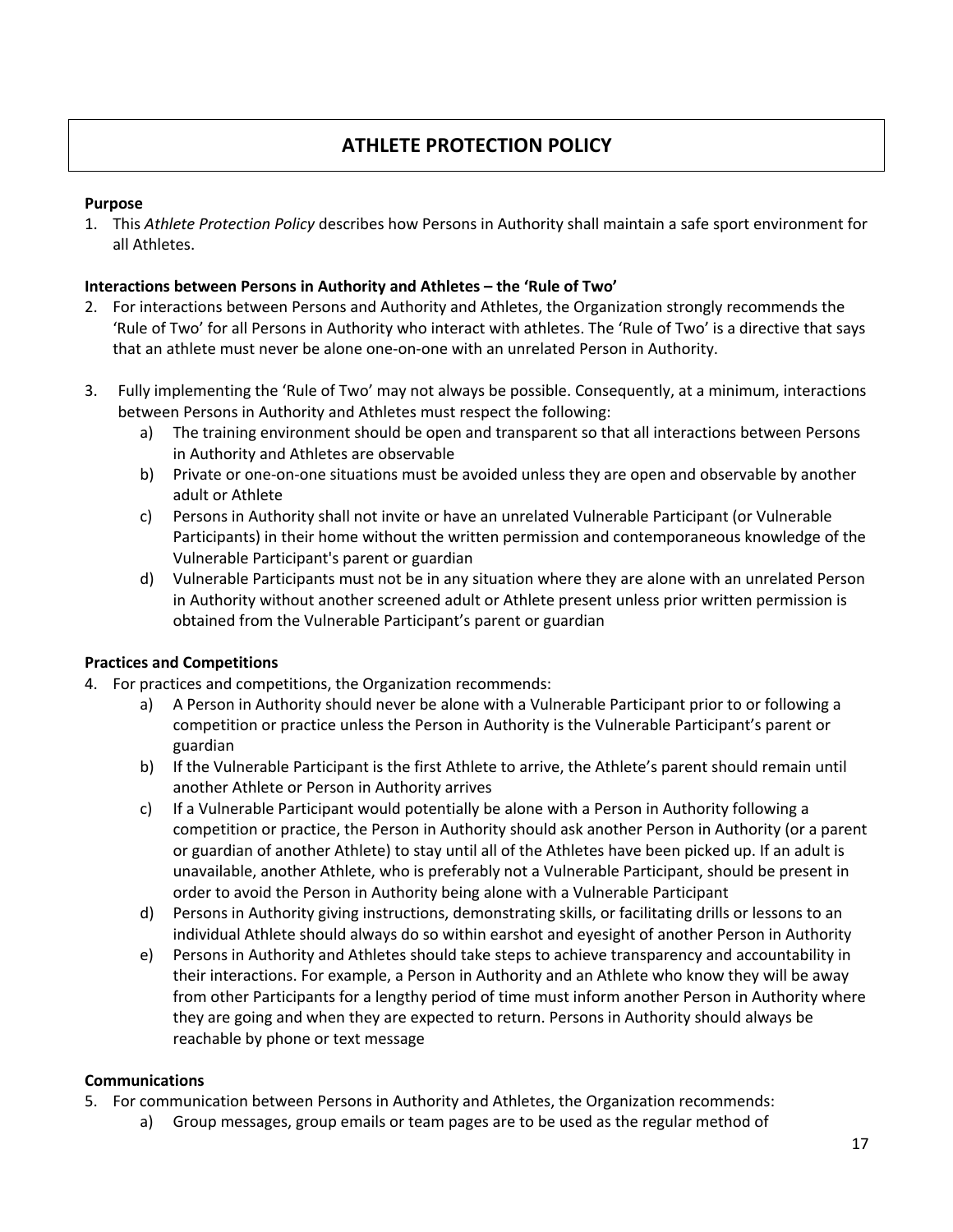#### **ATHLETE PROTECTION POLICY**

#### **Purpose**

1. This *Athlete Protection Policy* describes how Persons in Authority shall maintain a safe sport environment for all Athletes.

#### **Interactions between Persons in Authority and Athletes – the 'Rule of Two'**

- 2. For interactions between Persons and Authority and Athletes, the Organization strongly recommends the 'Rule of Two' for all Persons in Authority who interact with athletes. The 'Rule of Two' is a directive that says that an athlete must never be alone one-on-one with an unrelated Person in Authority.
- 3. Fully implementing the 'Rule of Two' may not always be possible. Consequently, at a minimum, interactions between Persons in Authority and Athletes must respect the following:
	- a) The training environment should be open and transparent so that all interactions between Persons in Authority and Athletes are observable
	- b) Private or one-on-one situations must be avoided unless they are open and observable by another adult or Athlete
	- c) Persons in Authority shall not invite or have an unrelated Vulnerable Participant (or Vulnerable Participants) in their home without the written permission and contemporaneous knowledge of the Vulnerable Participant's parent or guardian
	- d) Vulnerable Participants must not be in any situation where they are alone with an unrelated Person in Authority without another screened adult or Athlete present unless prior written permission is obtained from the Vulnerable Participant's parent or guardian

#### **Practices and Competitions**

- 4. For practices and competitions, the Organization recommends:
	- a) A Person in Authority should never be alone with a Vulnerable Participant prior to or following a competition or practice unless the Person in Authority is the Vulnerable Participant's parent or guardian
	- b) If the Vulnerable Participant is the first Athlete to arrive, the Athlete's parent should remain until another Athlete or Person in Authority arrives
	- c) If a Vulnerable Participant would potentially be alone with a Person in Authority following a competition or practice, the Person in Authority should ask another Person in Authority (or a parent or guardian of another Athlete) to stay until all of the Athletes have been picked up. If an adult is unavailable, another Athlete, who is preferably not a Vulnerable Participant, should be present in order to avoid the Person in Authority being alone with a Vulnerable Participant
	- d) Persons in Authority giving instructions, demonstrating skills, or facilitating drills or lessons to an individual Athlete should always do so within earshot and eyesight of another Person in Authority
	- e) Persons in Authority and Athletes should take steps to achieve transparency and accountability in their interactions. For example, a Person in Authority and an Athlete who know they will be away from other Participants for a lengthy period of time must inform another Person in Authority where they are going and when they are expected to return. Persons in Authority should always be reachable by phone or text message

#### **Communications**

- 5. For communication between Persons in Authority and Athletes, the Organization recommends:
	- a) Group messages, group emails or team pages are to be used as the regular method of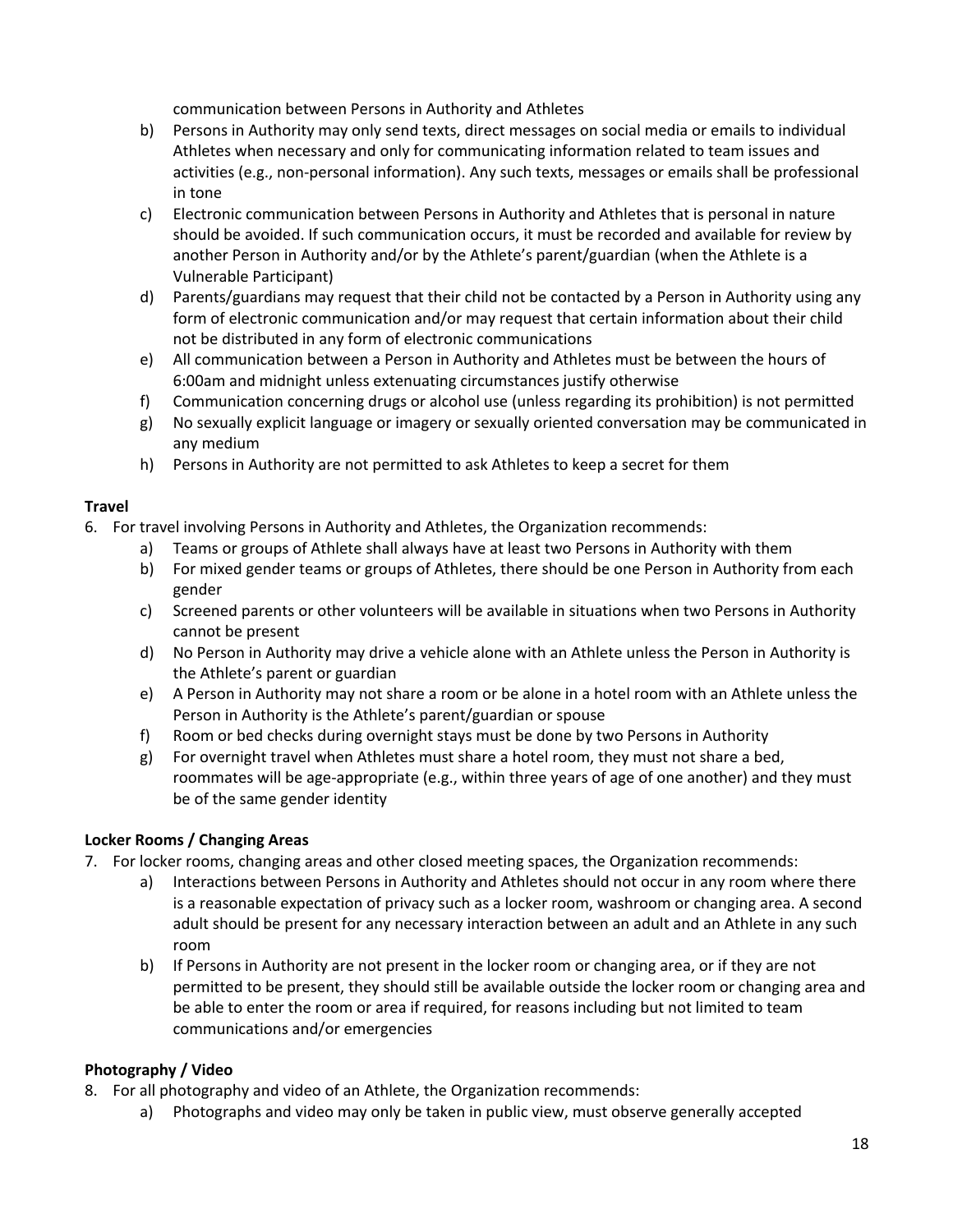communication between Persons in Authority and Athletes

- b) Persons in Authority may only send texts, direct messages on social media or emails to individual Athletes when necessary and only for communicating information related to team issues and activities (e.g., non-personal information). Any such texts, messages or emails shall be professional in tone
- c) Electronic communication between Persons in Authority and Athletes that is personal in nature should be avoided. If such communication occurs, it must be recorded and available for review by another Person in Authority and/or by the Athlete's parent/guardian (when the Athlete is a Vulnerable Participant)
- d) Parents/guardians may request that their child not be contacted by a Person in Authority using any form of electronic communication and/or may request that certain information about their child not be distributed in any form of electronic communications
- e) All communication between a Person in Authority and Athletes must be between the hours of 6:00am and midnight unless extenuating circumstances justify otherwise
- f) Communication concerning drugs or alcohol use (unless regarding its prohibition) is not permitted
- g) No sexually explicit language or imagery or sexually oriented conversation may be communicated in any medium
- h) Persons in Authority are not permitted to ask Athletes to keep a secret for them

#### **Travel**

- 6. For travel involving Persons in Authority and Athletes, the Organization recommends:
	- a) Teams or groups of Athlete shall always have at least two Persons in Authority with them
	- b) For mixed gender teams or groups of Athletes, there should be one Person in Authority from each gender
	- c) Screened parents or other volunteers will be available in situations when two Persons in Authority cannot be present
	- d) No Person in Authority may drive a vehicle alone with an Athlete unless the Person in Authority is the Athlete's parent or guardian
	- e) A Person in Authority may not share a room or be alone in a hotel room with an Athlete unless the Person in Authority is the Athlete's parent/guardian or spouse
	- f) Room or bed checks during overnight stays must be done by two Persons in Authority
	- g) For overnight travel when Athletes must share a hotel room, they must not share a bed, roommates will be age-appropriate (e.g., within three years of age of one another) and they must be of the same gender identity

#### **Locker Rooms / Changing Areas**

- 7. For locker rooms, changing areas and other closed meeting spaces, the Organization recommends:
	- a) Interactions between Persons in Authority and Athletes should not occur in any room where there is a reasonable expectation of privacy such as a locker room, washroom or changing area. A second adult should be present for any necessary interaction between an adult and an Athlete in any such room
	- b) If Persons in Authority are not present in the locker room or changing area, or if they are not permitted to be present, they should still be available outside the locker room or changing area and be able to enter the room or area if required, for reasons including but not limited to team communications and/or emergencies

#### **Photography / Video**

- 8. For all photography and video of an Athlete, the Organization recommends:
	- a) Photographs and video may only be taken in public view, must observe generally accepted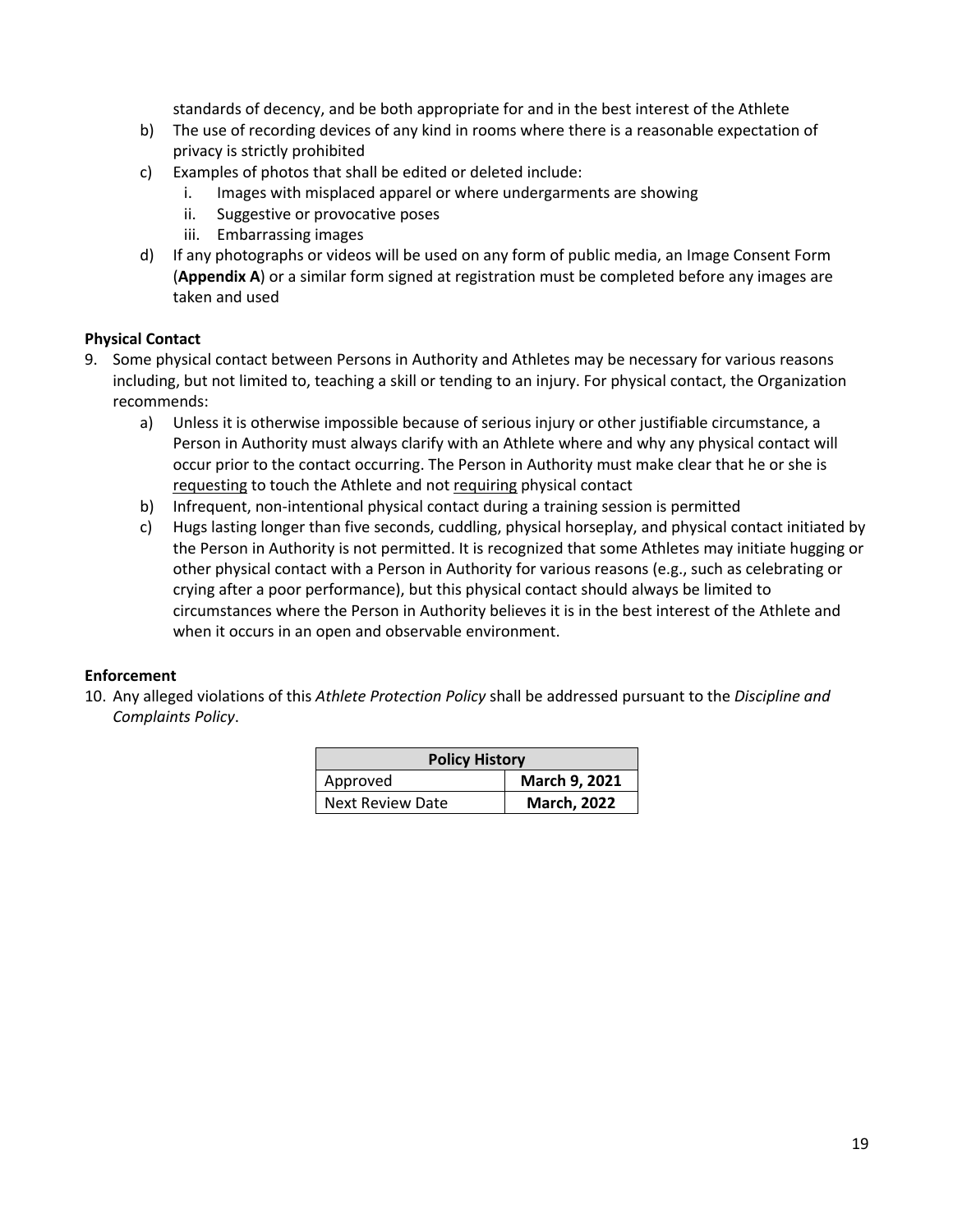standards of decency, and be both appropriate for and in the best interest of the Athlete

- b) The use of recording devices of any kind in rooms where there is a reasonable expectation of privacy is strictly prohibited
- c) Examples of photos that shall be edited or deleted include:
	- i. Images with misplaced apparel or where undergarments are showing
	- ii. Suggestive or provocative poses
	- iii. Embarrassing images
- d) If any photographs or videos will be used on any form of public media, an Image Consent Form (**Appendix A**) or a similar form signed at registration must be completed before any images are taken and used

#### **Physical Contact**

- 9. Some physical contact between Persons in Authority and Athletes may be necessary for various reasons including, but not limited to, teaching a skill or tending to an injury. For physical contact, the Organization recommends:
	- a) Unless it is otherwise impossible because of serious injury or other justifiable circumstance, a Person in Authority must always clarify with an Athlete where and why any physical contact will occur prior to the contact occurring. The Person in Authority must make clear that he or she is requesting to touch the Athlete and not requiring physical contact
	- b) Infrequent, non-intentional physical contact during a training session is permitted
	- c) Hugs lasting longer than five seconds, cuddling, physical horseplay, and physical contact initiated by the Person in Authority is not permitted. It is recognized that some Athletes may initiate hugging or other physical contact with a Person in Authority for various reasons (e.g., such as celebrating or crying after a poor performance), but this physical contact should always be limited to circumstances where the Person in Authority believes it is in the best interest of the Athlete and when it occurs in an open and observable environment.

#### **Enforcement**

10. Any alleged violations of this *Athlete Protection Policy* shall be addressed pursuant to the *Discipline and Complaints Policy*.

| <b>Policy History</b> |                    |  |
|-----------------------|--------------------|--|
| Approved              | March 9, 2021      |  |
| Next Review Date      | <b>March, 2022</b> |  |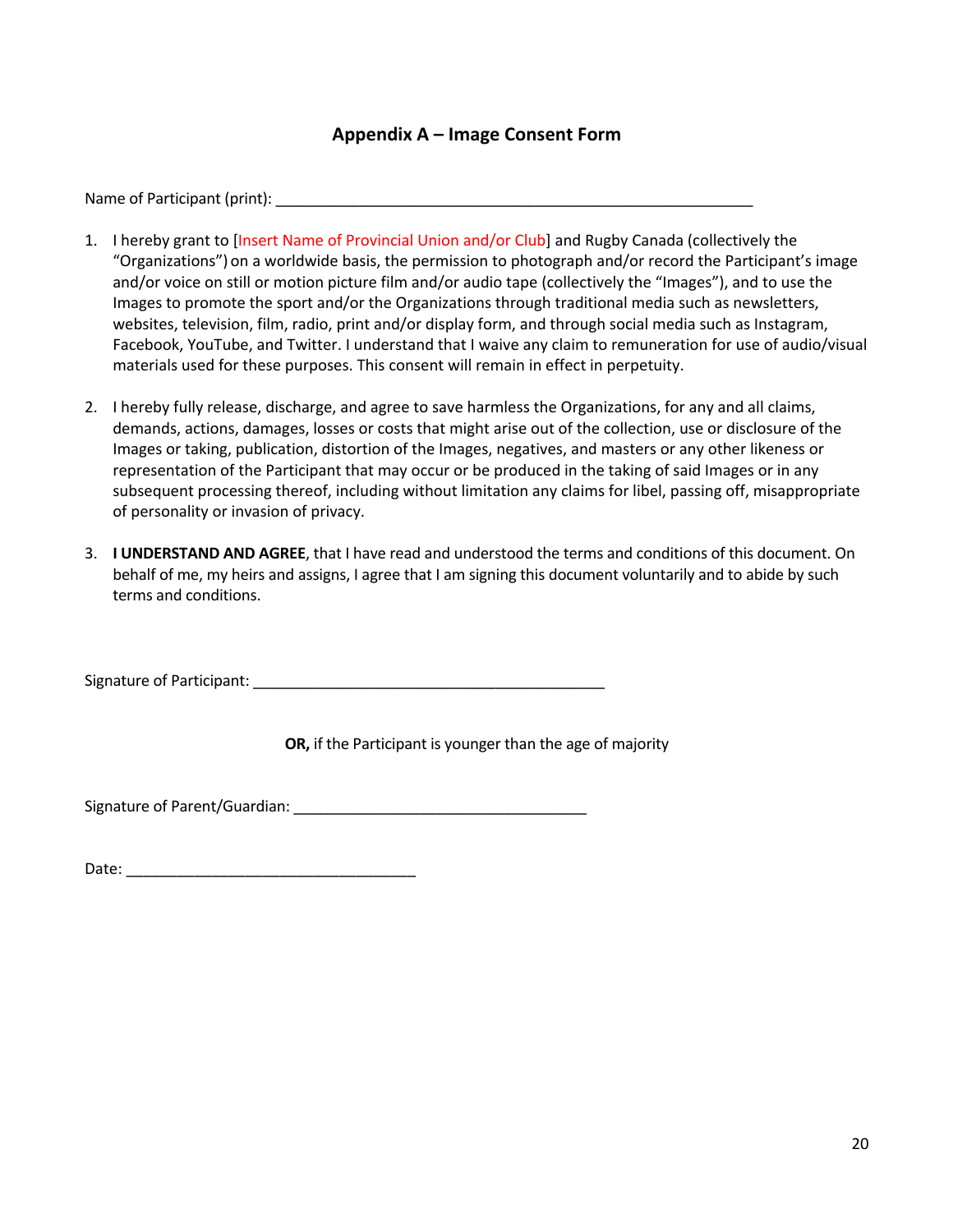#### **Appendix A – Image Consent Form**

Name of Participant (print): \_\_\_\_\_\_\_\_\_\_\_\_\_\_\_\_\_\_\_\_\_\_\_\_\_\_\_\_\_\_\_\_\_\_\_\_\_\_\_\_\_\_\_\_\_\_\_\_\_\_\_\_\_\_\_\_\_

- 1. I hereby grant to [Insert Name of Provincial Union and/or Club] and Rugby Canada (collectively the "Organizations") on a worldwide basis, the permission to photograph and/or record the Participant's image and/or voice on still or motion picture film and/or audio tape (collectively the "Images"), and to use the Images to promote the sport and/or the Organizations through traditional media such as newsletters, websites, television, film, radio, print and/or display form, and through social media such as Instagram, Facebook, YouTube, and Twitter. I understand that I waive any claim to remuneration for use of audio/visual materials used for these purposes. This consent will remain in effect in perpetuity.
- 2. I hereby fully release, discharge, and agree to save harmless the Organizations, for any and all claims, demands, actions, damages, losses or costs that might arise out of the collection, use or disclosure of the Images or taking, publication, distortion of the Images, negatives, and masters or any other likeness or representation of the Participant that may occur or be produced in the taking of said Images or in any subsequent processing thereof, including without limitation any claims for libel, passing off, misappropriate of personality or invasion of privacy.
- 3. **I UNDERSTAND AND AGREE**, that I have read and understood the terms and conditions of this document. On behalf of me, my heirs and assigns, I agree that I am signing this document voluntarily and to abide by such terms and conditions.

Signature of Participant: \_\_\_\_\_\_\_\_\_\_\_\_\_\_\_\_\_\_\_\_\_\_\_\_\_\_\_\_\_\_\_\_\_\_\_\_\_\_\_\_\_\_

**OR,** if the Participant is younger than the age of majority

Signature of Parent/Guardian: \_\_\_\_\_\_\_\_\_\_\_\_\_\_\_\_\_\_\_\_\_\_\_\_\_\_\_\_\_\_\_\_\_\_\_

Date: \_\_\_\_\_\_\_\_\_\_\_\_\_\_\_\_\_\_\_\_\_\_\_\_\_\_\_\_\_\_\_\_\_\_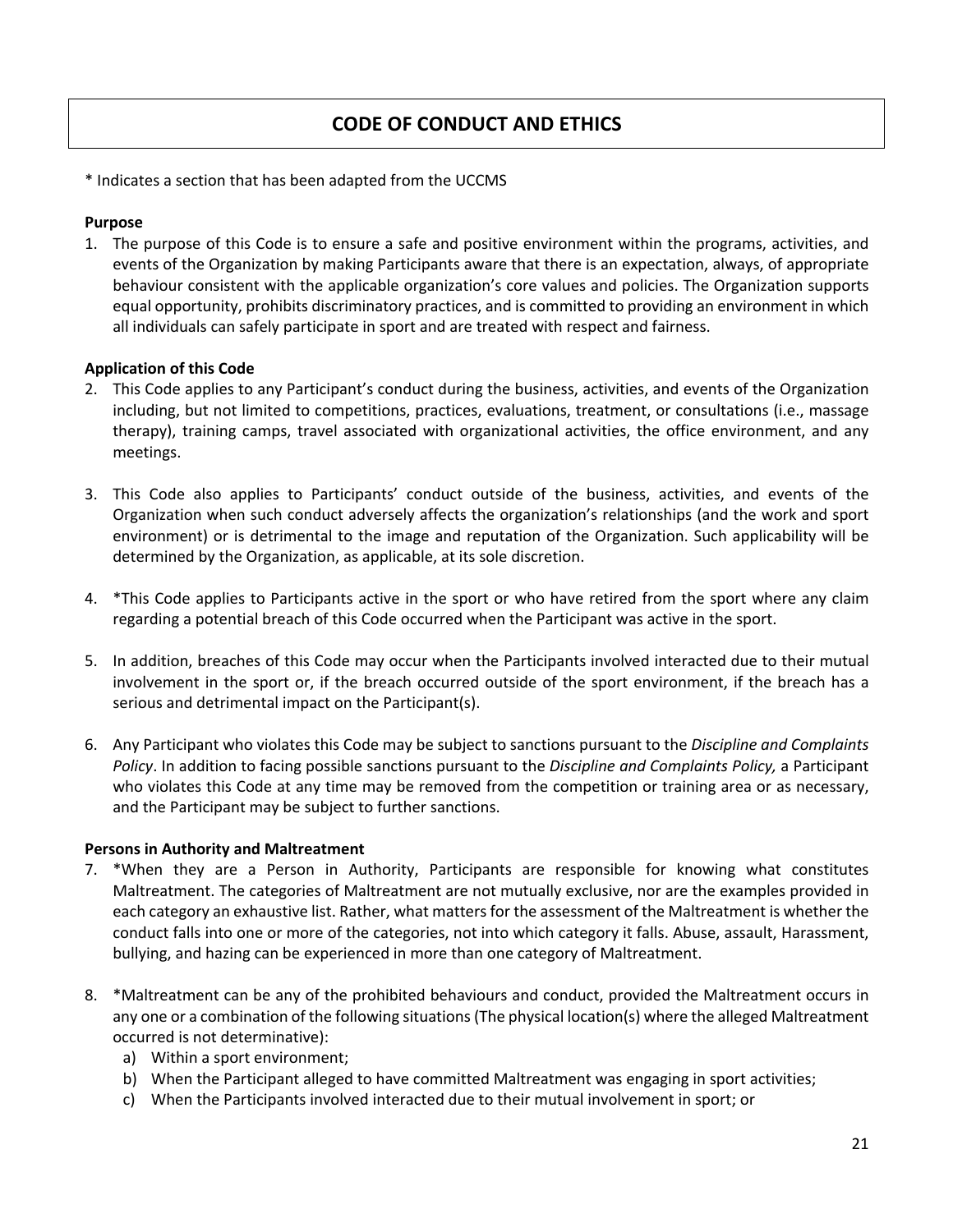#### **CODE OF CONDUCT AND ETHICS**

\* Indicates a section that has been adapted from the UCCMS

#### **Purpose**

1. The purpose of this Code is to ensure a safe and positive environment within the programs, activities, and events of the Organization by making Participants aware that there is an expectation, always, of appropriate behaviour consistent with the applicable organization's core values and policies. The Organization supports equal opportunity, prohibits discriminatory practices, and is committed to providing an environment in which all individuals can safely participate in sport and are treated with respect and fairness.

#### **Application of this Code**

- 2. This Code applies to any Participant's conduct during the business, activities, and events of the Organization including, but not limited to competitions, practices, evaluations, treatment, or consultations (i.e., massage therapy), training camps, travel associated with organizational activities, the office environment, and any meetings.
- 3. This Code also applies to Participants' conduct outside of the business, activities, and events of the Organization when such conduct adversely affects the organization's relationships (and the work and sport environment) or is detrimental to the image and reputation of the Organization. Such applicability will be determined by the Organization, as applicable, at its sole discretion.
- 4. \*This Code applies to Participants active in the sport or who have retired from the sport where any claim regarding a potential breach of this Code occurred when the Participant was active in the sport.
- 5. In addition, breaches of this Code may occur when the Participants involved interacted due to their mutual involvement in the sport or, if the breach occurred outside of the sport environment, if the breach has a serious and detrimental impact on the Participant(s).
- 6. Any Participant who violates this Code may be subject to sanctions pursuant to the *Discipline and Complaints Policy*. In addition to facing possible sanctions pursuant to the *Discipline and Complaints Policy,* a Participant who violates this Code at any time may be removed from the competition or training area or as necessary, and the Participant may be subject to further sanctions.

#### **Persons in Authority and Maltreatment**

- 7. \*When they are a Person in Authority, Participants are responsible for knowing what constitutes Maltreatment. The categories of Maltreatment are not mutually exclusive, nor are the examples provided in each category an exhaustive list. Rather, what matters for the assessment of the Maltreatment is whether the conduct falls into one or more of the categories, not into which category it falls. Abuse, assault, Harassment, bullying, and hazing can be experienced in more than one category of Maltreatment.
- 8. \*Maltreatment can be any of the prohibited behaviours and conduct, provided the Maltreatment occurs in any one or a combination of the following situations(The physical location(s) where the alleged Maltreatment occurred is not determinative):
	- a) Within a sport environment;
	- b) When the Participant alleged to have committed Maltreatment was engaging in sport activities;
	- c) When the Participants involved interacted due to their mutual involvement in sport; or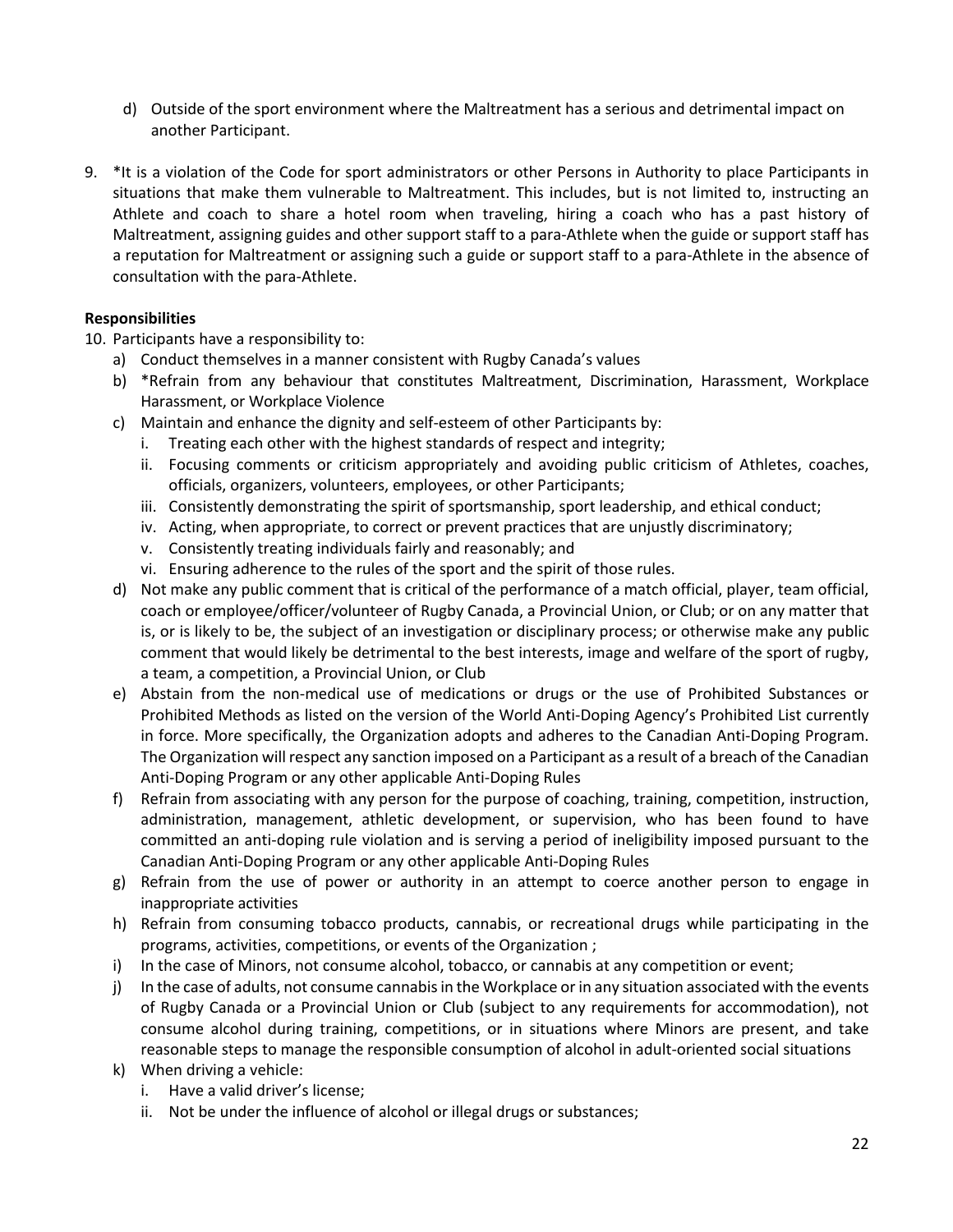- d) Outside of the sport environment where the Maltreatment has a serious and detrimental impact on another Participant.
- 9. \*It is a violation of the Code for sport administrators or other Persons in Authority to place Participants in situations that make them vulnerable to Maltreatment. This includes, but is not limited to, instructing an Athlete and coach to share a hotel room when traveling, hiring a coach who has a past history of Maltreatment, assigning guides and other support staff to a para-Athlete when the guide or support staff has a reputation for Maltreatment or assigning such a guide or support staff to a para-Athlete in the absence of consultation with the para-Athlete.

#### **Responsibilities**

10. Participants have a responsibility to:

- a) Conduct themselves in a manner consistent with Rugby Canada's values
- b) \*Refrain from any behaviour that constitutes Maltreatment, Discrimination, Harassment, Workplace Harassment, or Workplace Violence
- c) Maintain and enhance the dignity and self-esteem of other Participants by:
	- i. Treating each other with the highest standards of respect and integrity;
	- ii. Focusing comments or criticism appropriately and avoiding public criticism of Athletes, coaches, officials, organizers, volunteers, employees, or other Participants;
	- iii. Consistently demonstrating the spirit of sportsmanship, sport leadership, and ethical conduct;
	- iv. Acting, when appropriate, to correct or prevent practices that are unjustly discriminatory;
	- v. Consistently treating individuals fairly and reasonably; and
	- vi. Ensuring adherence to the rules of the sport and the spirit of those rules.
- d) Not make any public comment that is critical of the performance of a match official, player, team official, coach or employee/officer/volunteer of Rugby Canada, a Provincial Union, or Club; or on any matter that is, or is likely to be, the subject of an investigation or disciplinary process; or otherwise make any public comment that would likely be detrimental to the best interests, image and welfare of the sport of rugby, a team, a competition, a Provincial Union, or Club
- e) Abstain from the non-medical use of medications or drugs or the use of Prohibited Substances or Prohibited Methods as listed on the version of the World Anti-Doping Agency's Prohibited List currently in force. More specifically, the Organization adopts and adheres to the Canadian Anti-Doping Program. The Organization will respect any sanction imposed on a Participant as a result of a breach of the Canadian Anti-Doping Program or any other applicable Anti-Doping Rules
- f) Refrain from associating with any person for the purpose of coaching, training, competition, instruction, administration, management, athletic development, or supervision, who has been found to have committed an anti-doping rule violation and is serving a period of ineligibility imposed pursuant to the Canadian Anti-Doping Program or any other applicable Anti-Doping Rules
- g) Refrain from the use of power or authority in an attempt to coerce another person to engage in inappropriate activities
- h) Refrain from consuming tobacco products, cannabis, or recreational drugs while participating in the programs, activities, competitions, or events of the Organization ;
- i) In the case of Minors, not consume alcohol, tobacco, or cannabis at any competition or event;
- j) In the case of adults, not consume cannabis in the Workplace or in any situation associated with the events of Rugby Canada or a Provincial Union or Club (subject to any requirements for accommodation), not consume alcohol during training, competitions, or in situations where Minors are present, and take reasonable steps to manage the responsible consumption of alcohol in adult-oriented social situations
- k) When driving a vehicle:
	- i. Have a valid driver's license;
	- ii. Not be under the influence of alcohol or illegal drugs or substances;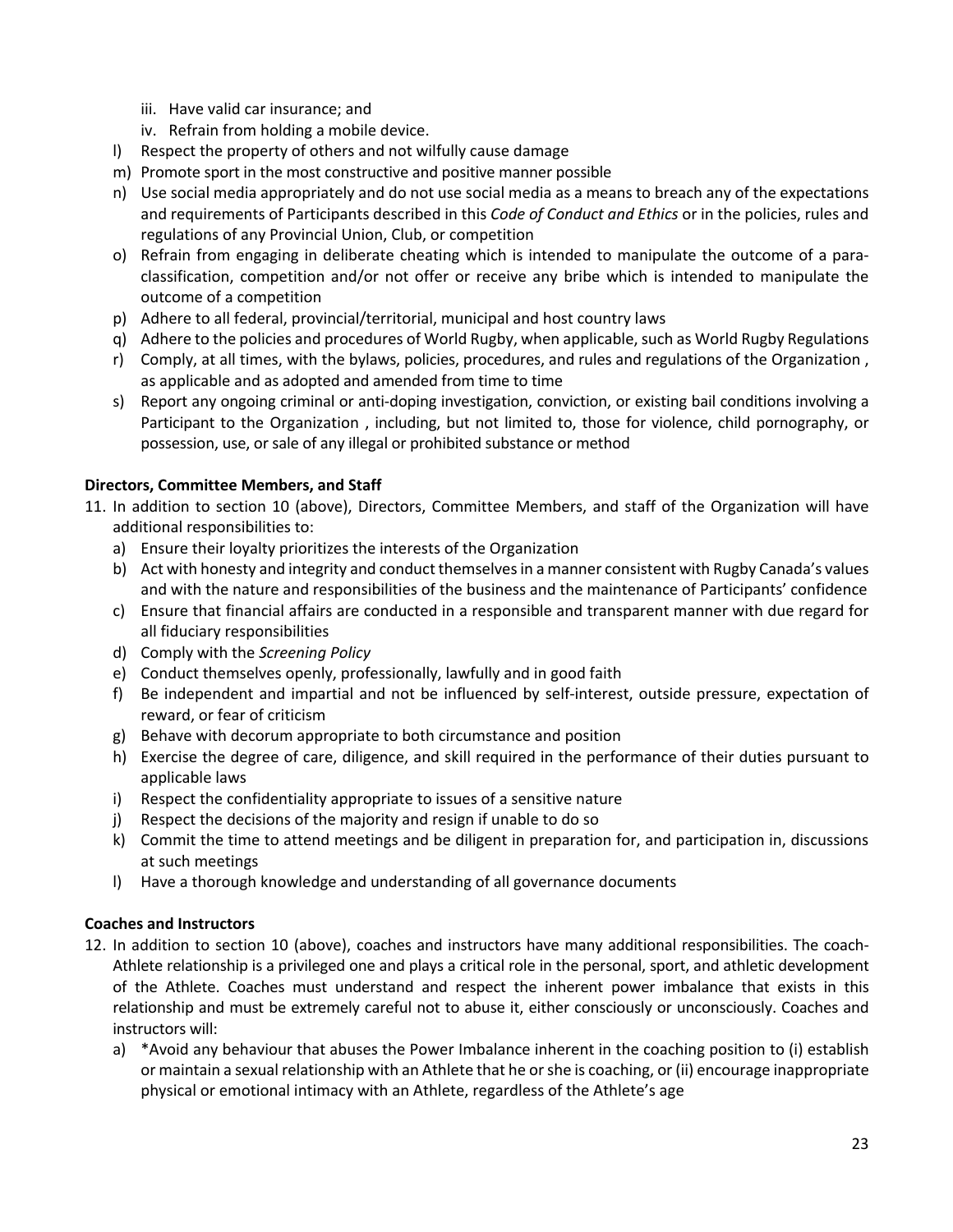- iii. Have valid car insurance; and
- iv. Refrain from holding a mobile device.
- l) Respect the property of others and not wilfully cause damage
- m) Promote sport in the most constructive and positive manner possible
- n) Use social media appropriately and do not use social media as a means to breach any of the expectations and requirements of Participants described in this *Code of Conduct and Ethics* or in the policies, rules and regulations of any Provincial Union, Club, or competition
- o) Refrain from engaging in deliberate cheating which is intended to manipulate the outcome of a paraclassification, competition and/or not offer or receive any bribe which is intended to manipulate the outcome of a competition
- p) Adhere to all federal, provincial/territorial, municipal and host country laws
- q) Adhere to the policies and procedures of World Rugby, when applicable, such as World Rugby Regulations
- r) Comply, at all times, with the bylaws, policies, procedures, and rules and regulations of the Organization , as applicable and as adopted and amended from time to time
- s) Report any ongoing criminal or anti-doping investigation, conviction, or existing bail conditions involving a Participant to the Organization , including, but not limited to, those for violence, child pornography, or possession, use, or sale of any illegal or prohibited substance or method

#### **Directors, Committee Members, and Staff**

- 11. In addition to section 10 (above), Directors, Committee Members, and staff of the Organization will have additional responsibilities to:
	- a) Ensure their loyalty prioritizes the interests of the Organization
	- b) Act with honesty and integrity and conduct themselves in a manner consistent with Rugby Canada's values and with the nature and responsibilities of the business and the maintenance of Participants' confidence
	- c) Ensure that financial affairs are conducted in a responsible and transparent manner with due regard for all fiduciary responsibilities
	- d) Comply with the *Screening Policy*
	- e) Conduct themselves openly, professionally, lawfully and in good faith
	- f) Be independent and impartial and not be influenced by self-interest, outside pressure, expectation of reward, or fear of criticism
	- g) Behave with decorum appropriate to both circumstance and position
	- h) Exercise the degree of care, diligence, and skill required in the performance of their duties pursuant to applicable laws
	- i) Respect the confidentiality appropriate to issues of a sensitive nature
	- j) Respect the decisions of the majority and resign if unable to do so
	- k) Commit the time to attend meetings and be diligent in preparation for, and participation in, discussions at such meetings
	- l) Have a thorough knowledge and understanding of all governance documents

#### **Coaches and Instructors**

- 12. In addition to section 10 (above), coaches and instructors have many additional responsibilities. The coach-Athlete relationship is a privileged one and plays a critical role in the personal, sport, and athletic development of the Athlete. Coaches must understand and respect the inherent power imbalance that exists in this relationship and must be extremely careful not to abuse it, either consciously or unconsciously. Coaches and instructors will:
	- a) \*Avoid any behaviour that abuses the Power Imbalance inherent in the coaching position to (i) establish or maintain a sexual relationship with an Athlete that he or she is coaching, or (ii) encourage inappropriate physical or emotional intimacy with an Athlete, regardless of the Athlete's age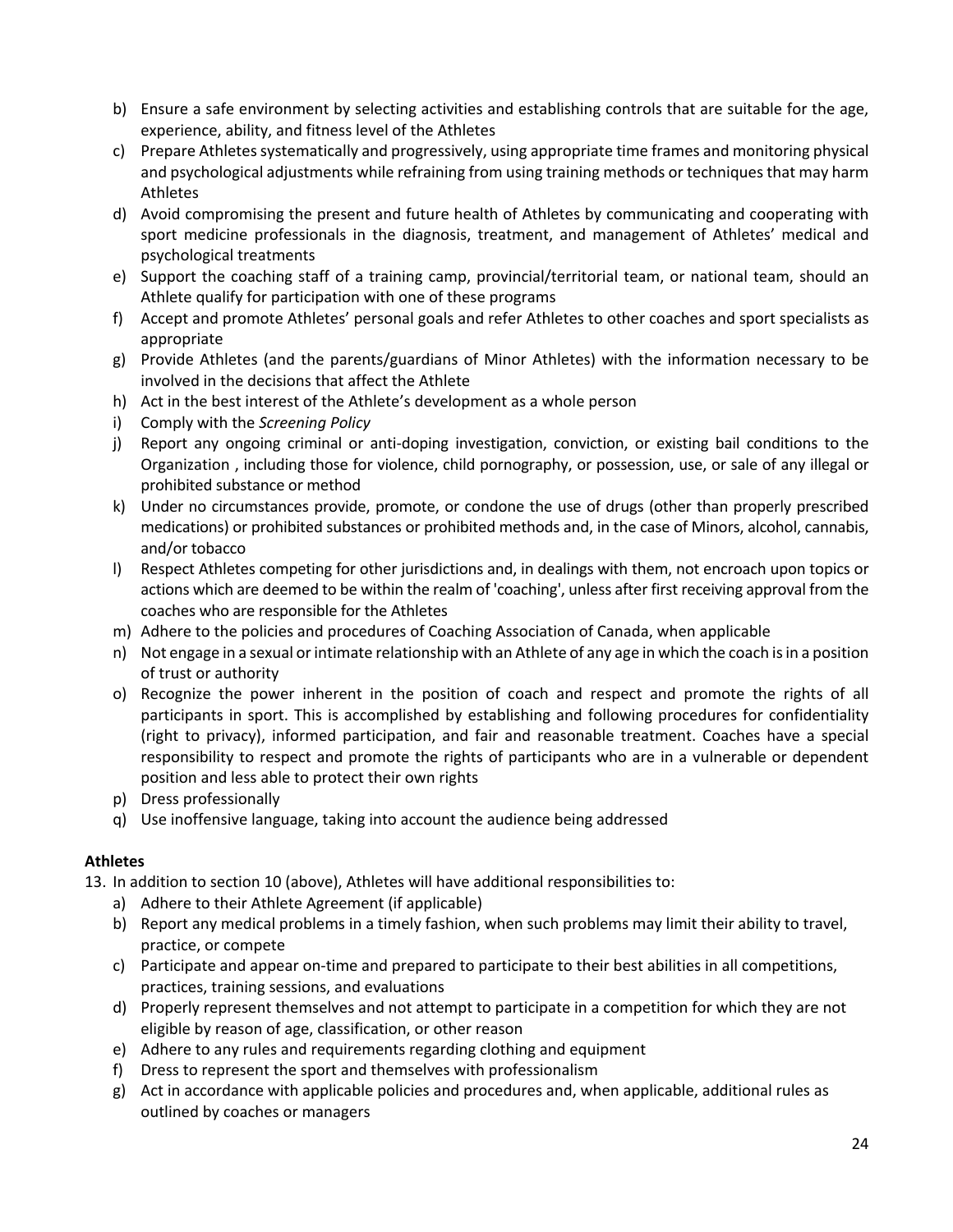- b) Ensure a safe environment by selecting activities and establishing controls that are suitable for the age, experience, ability, and fitness level of the Athletes
- c) Prepare Athletes systematically and progressively, using appropriate time frames and monitoring physical and psychological adjustments while refraining from using training methods or techniques that may harm Athletes
- d) Avoid compromising the present and future health of Athletes by communicating and cooperating with sport medicine professionals in the diagnosis, treatment, and management of Athletes' medical and psychological treatments
- e) Support the coaching staff of a training camp, provincial/territorial team, or national team, should an Athlete qualify for participation with one of these programs
- f) Accept and promote Athletes' personal goals and refer Athletes to other coaches and sport specialists as appropriate
- g) Provide Athletes (and the parents/guardians of Minor Athletes) with the information necessary to be involved in the decisions that affect the Athlete
- h) Act in the best interest of the Athlete's development as a whole person
- i) Comply with the *Screening Policy*
- j) Report any ongoing criminal or anti-doping investigation, conviction, or existing bail conditions to the Organization , including those for violence, child pornography, or possession, use, or sale of any illegal or prohibited substance or method
- k) Under no circumstances provide, promote, or condone the use of drugs (other than properly prescribed medications) or prohibited substances or prohibited methods and, in the case of Minors, alcohol, cannabis, and/or tobacco
- l) Respect Athletes competing for other jurisdictions and, in dealings with them, not encroach upon topics or actions which are deemed to be within the realm of 'coaching', unless after first receiving approval from the coaches who are responsible for the Athletes
- m) Adhere to the policies and procedures of Coaching Association of Canada, when applicable
- n) Not engage in a sexual or intimate relationship with an Athlete of any age in which the coach is in a position of trust or authority
- o) Recognize the power inherent in the position of coach and respect and promote the rights of all participants in sport. This is accomplished by establishing and following procedures for confidentiality (right to privacy), informed participation, and fair and reasonable treatment. Coaches have a special responsibility to respect and promote the rights of participants who are in a vulnerable or dependent position and less able to protect their own rights
- p) Dress professionally
- q) Use inoffensive language, taking into account the audience being addressed

#### **Athletes**

13. In addition to section 10 (above), Athletes will have additional responsibilities to:

- a) Adhere to their Athlete Agreement (if applicable)
- b) Report any medical problems in a timely fashion, when such problems may limit their ability to travel, practice, or compete
- c) Participate and appear on-time and prepared to participate to their best abilities in all competitions, practices, training sessions, and evaluations
- d) Properly represent themselves and not attempt to participate in a competition for which they are not eligible by reason of age, classification, or other reason
- e) Adhere to any rules and requirements regarding clothing and equipment
- f) Dress to represent the sport and themselves with professionalism
- g) Act in accordance with applicable policies and procedures and, when applicable, additional rules as outlined by coaches or managers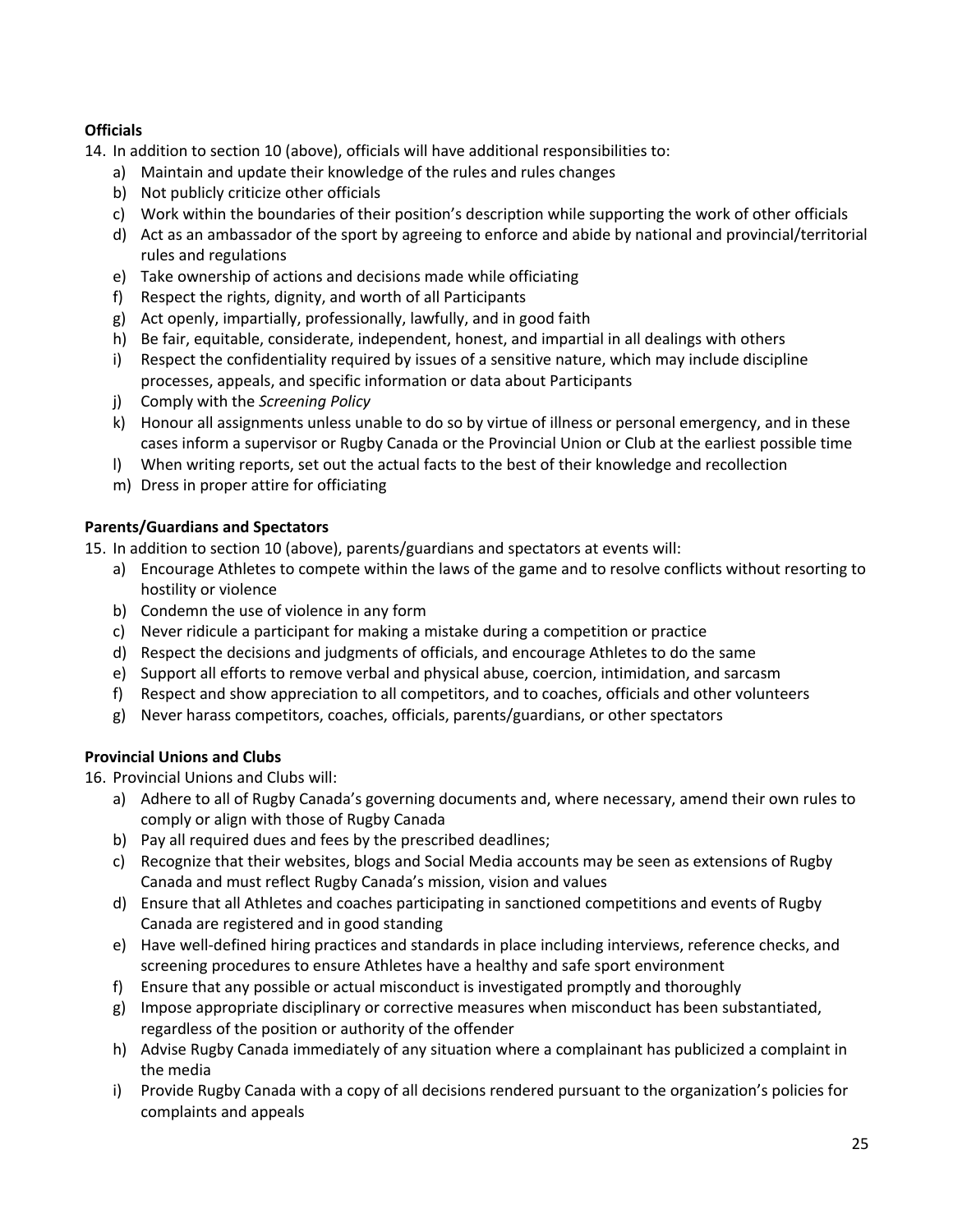#### **Officials**

14. In addition to section 10 (above), officials will have additional responsibilities to:

- a) Maintain and update their knowledge of the rules and rules changes
- b) Not publicly criticize other officials
- c) Work within the boundaries of their position's description while supporting the work of other officials
- d) Act as an ambassador of the sport by agreeing to enforce and abide by national and provincial/territorial rules and regulations
- e) Take ownership of actions and decisions made while officiating
- f) Respect the rights, dignity, and worth of all Participants
- g) Act openly, impartially, professionally, lawfully, and in good faith
- h) Be fair, equitable, considerate, independent, honest, and impartial in all dealings with others
- i) Respect the confidentiality required by issues of a sensitive nature, which may include discipline processes, appeals, and specific information or data about Participants
- j) Comply with the *Screening Policy*
- k) Honour all assignments unless unable to do so by virtue of illness or personal emergency, and in these cases inform a supervisor or Rugby Canada or the Provincial Union or Club at the earliest possible time
- l) When writing reports, set out the actual facts to the best of their knowledge and recollection
- m) Dress in proper attire for officiating

#### **Parents/Guardians and Spectators**

15. In addition to section 10 (above), parents/guardians and spectators at events will:

- a) Encourage Athletes to compete within the laws of the game and to resolve conflicts without resorting to hostility or violence
- b) Condemn the use of violence in any form
- c) Never ridicule a participant for making a mistake during a competition or practice
- d) Respect the decisions and judgments of officials, and encourage Athletes to do the same
- e) Support all efforts to remove verbal and physical abuse, coercion, intimidation, and sarcasm
- f) Respect and show appreciation to all competitors, and to coaches, officials and other volunteers
- g) Never harass competitors, coaches, officials, parents/guardians, or other spectators

#### **Provincial Unions and Clubs**

16. Provincial Unions and Clubs will:

- a) Adhere to all of Rugby Canada's governing documents and, where necessary, amend their own rules to comply or align with those of Rugby Canada
- b) Pay all required dues and fees by the prescribed deadlines;
- c) Recognize that their websites, blogs and Social Media accounts may be seen as extensions of Rugby Canada and must reflect Rugby Canada's mission, vision and values
- d) Ensure that all Athletes and coaches participating in sanctioned competitions and events of Rugby Canada are registered and in good standing
- e) Have well-defined hiring practices and standards in place including interviews, reference checks, and screening procedures to ensure Athletes have a healthy and safe sport environment
- f) Ensure that any possible or actual misconduct is investigated promptly and thoroughly
- g) Impose appropriate disciplinary or corrective measures when misconduct has been substantiated, regardless of the position or authority of the offender
- h) Advise Rugby Canada immediately of any situation where a complainant has publicized a complaint in the media
- i) Provide Rugby Canada with a copy of all decisions rendered pursuant to the organization's policies for complaints and appeals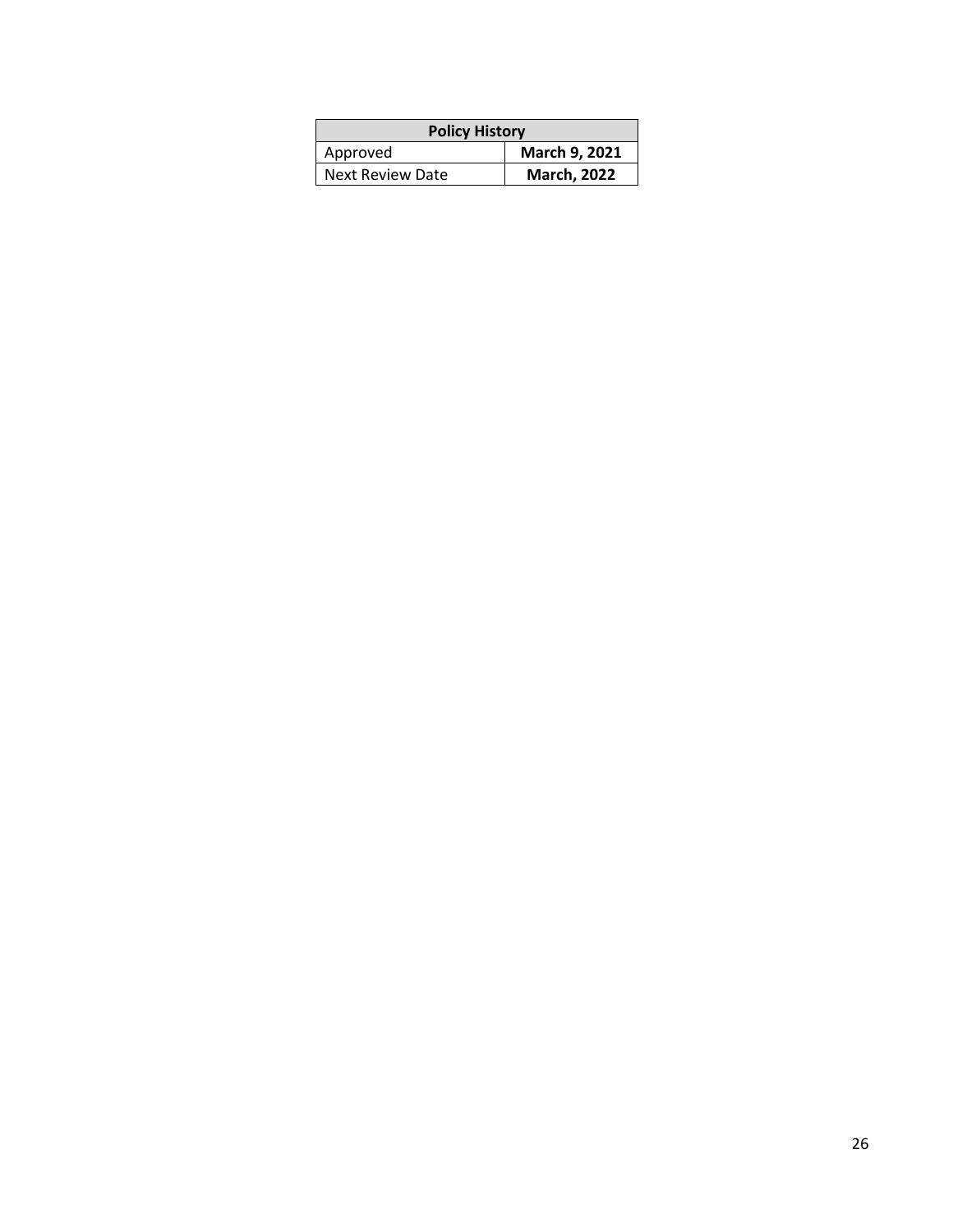| <b>Policy History</b> |                    |  |
|-----------------------|--------------------|--|
| Approved              | March 9, 2021      |  |
| Next Review Date      | <b>March, 2022</b> |  |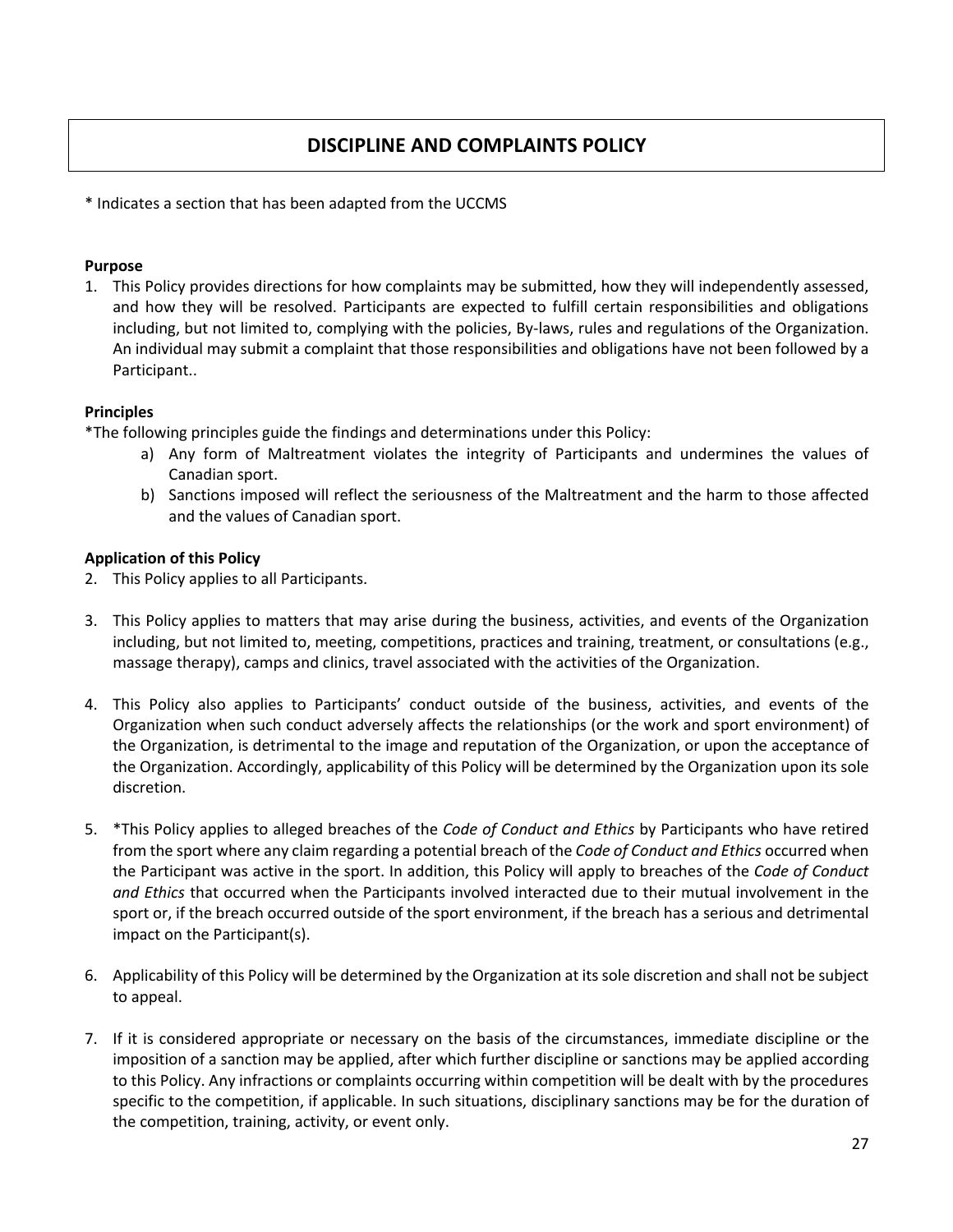#### **DISCIPLINE AND COMPLAINTS POLICY**

\* Indicates a section that has been adapted from the UCCMS

#### **Purpose**

1. This Policy provides directions for how complaints may be submitted, how they will independently assessed, and how they will be resolved. Participants are expected to fulfill certain responsibilities and obligations including, but not limited to, complying with the policies, By-laws, rules and regulations of the Organization. An individual may submit a complaint that those responsibilities and obligations have not been followed by a Participant..

#### **Principles**

\*The following principles guide the findings and determinations under this Policy:

- a) Any form of Maltreatment violates the integrity of Participants and undermines the values of Canadian sport.
- b) Sanctions imposed will reflect the seriousness of the Maltreatment and the harm to those affected and the values of Canadian sport.

#### **Application of this Policy**

- 2. This Policy applies to all Participants.
- 3. This Policy applies to matters that may arise during the business, activities, and events of the Organization including, but not limited to, meeting, competitions, practices and training, treatment, or consultations (e.g., massage therapy), camps and clinics, travel associated with the activities of the Organization.
- 4. This Policy also applies to Participants' conduct outside of the business, activities, and events of the Organization when such conduct adversely affects the relationships (or the work and sport environment) of the Organization, is detrimental to the image and reputation of the Organization, or upon the acceptance of the Organization. Accordingly, applicability of this Policy will be determined by the Organization upon its sole discretion.
- 5. \*This Policy applies to alleged breaches of the *Code of Conduct and Ethics* by Participants who have retired from the sport where any claim regarding a potential breach of the *Code of Conduct and Ethics* occurred when the Participant was active in the sport. In addition, this Policy will apply to breaches of the *Code of Conduct and Ethics* that occurred when the Participants involved interacted due to their mutual involvement in the sport or, if the breach occurred outside of the sport environment, if the breach has a serious and detrimental impact on the Participant(s).
- 6. Applicability of this Policy will be determined by the Organization at its sole discretion and shall not be subject to appeal.
- 7. If it is considered appropriate or necessary on the basis of the circumstances, immediate discipline or the imposition of a sanction may be applied, after which further discipline or sanctions may be applied according to this Policy. Any infractions or complaints occurring within competition will be dealt with by the procedures specific to the competition, if applicable. In such situations, disciplinary sanctions may be for the duration of the competition, training, activity, or event only.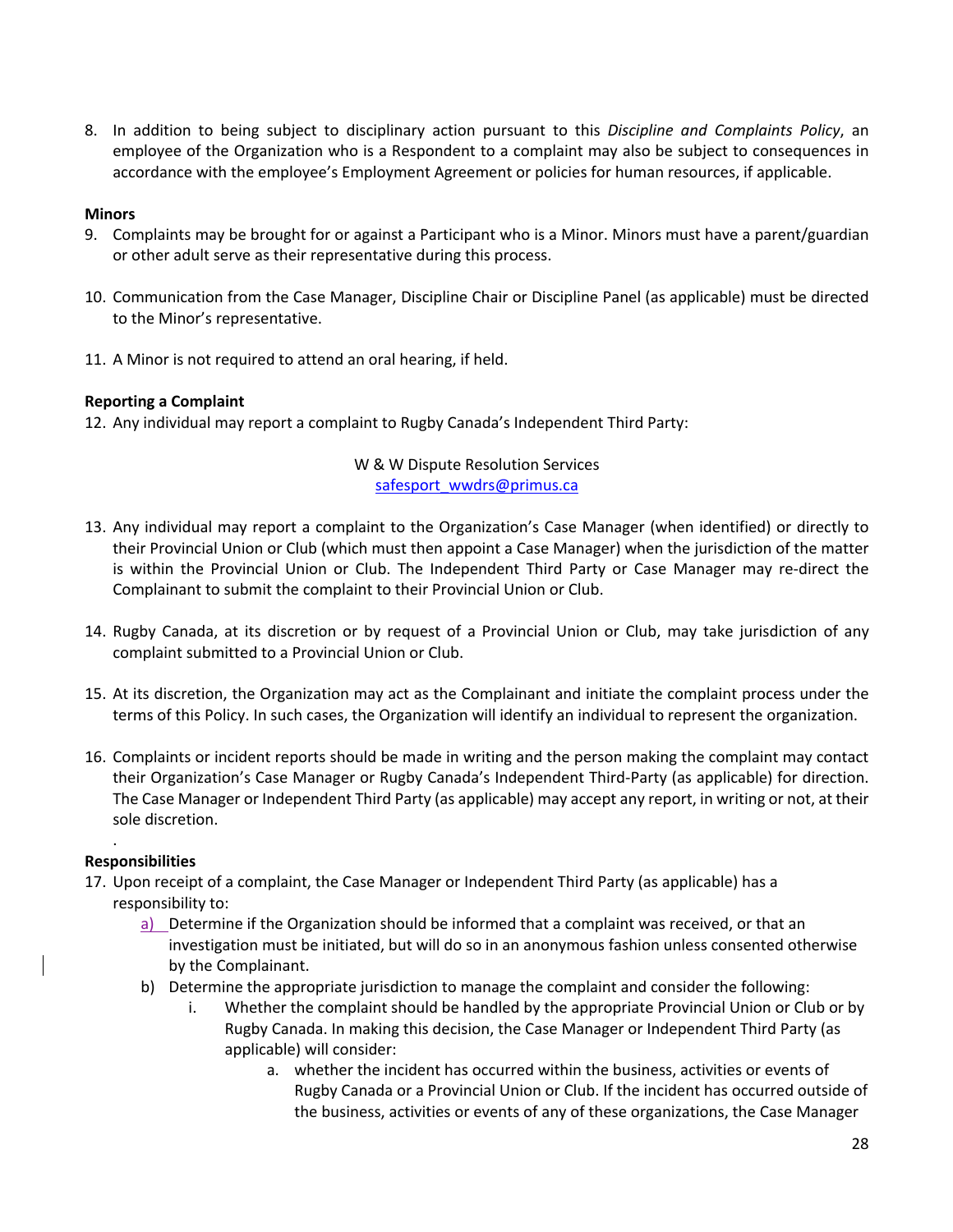8. In addition to being subject to disciplinary action pursuant to this *Discipline and Complaints Policy*, an employee of the Organization who is a Respondent to a complaint may also be subject to consequences in accordance with the employee's Employment Agreement or policies for human resources, if applicable.

#### **Minors**

- 9. Complaints may be brought for or against a Participant who is a Minor. Minors must have a parent/guardian or other adult serve as their representative during this process.
- 10. Communication from the Case Manager, Discipline Chair or Discipline Panel (as applicable) must be directed to the Minor's representative.
- 11. A Minor is not required to attend an oral hearing, if held.

#### **Reporting a Complaint**

12. Any individual may report a complaint to Rugby Canada's Independent Third Party:

W & W Dispute Resolution Services safesport\_wwdrs@primus.ca

- 13. Any individual may report a complaint to the Organization's Case Manager (when identified) or directly to their Provincial Union or Club (which must then appoint a Case Manager) when the jurisdiction of the matter is within the Provincial Union or Club. The Independent Third Party or Case Manager may re-direct the Complainant to submit the complaint to their Provincial Union or Club.
- 14. Rugby Canada, at its discretion or by request of a Provincial Union or Club, may take jurisdiction of any complaint submitted to a Provincial Union or Club.
- 15. At its discretion, the Organization may act as the Complainant and initiate the complaint process under the terms of this Policy. In such cases, the Organization will identify an individual to represent the organization.
- 16. Complaints or incident reports should be made in writing and the person making the complaint may contact their Organization's Case Manager or Rugby Canada's Independent Third-Party (as applicable) for direction. The Case Manager or Independent Third Party (as applicable) may accept any report, in writing or not, at their sole discretion.

#### **Responsibilities**

.

- 17. Upon receipt of a complaint, the Case Manager or Independent Third Party (as applicable) has a responsibility to:
	- a) Determine if the Organization should be informed that a complaint was received, or that an investigation must be initiated, but will do so in an anonymous fashion unless consented otherwise by the Complainant.
	- b) Determine the appropriate jurisdiction to manage the complaint and consider the following:
		- i. Whether the complaint should be handled by the appropriate Provincial Union or Club or by Rugby Canada. In making this decision, the Case Manager or Independent Third Party (as applicable) will consider:
			- a. whether the incident has occurred within the business, activities or events of Rugby Canada or a Provincial Union or Club. If the incident has occurred outside of the business, activities or events of any of these organizations, the Case Manager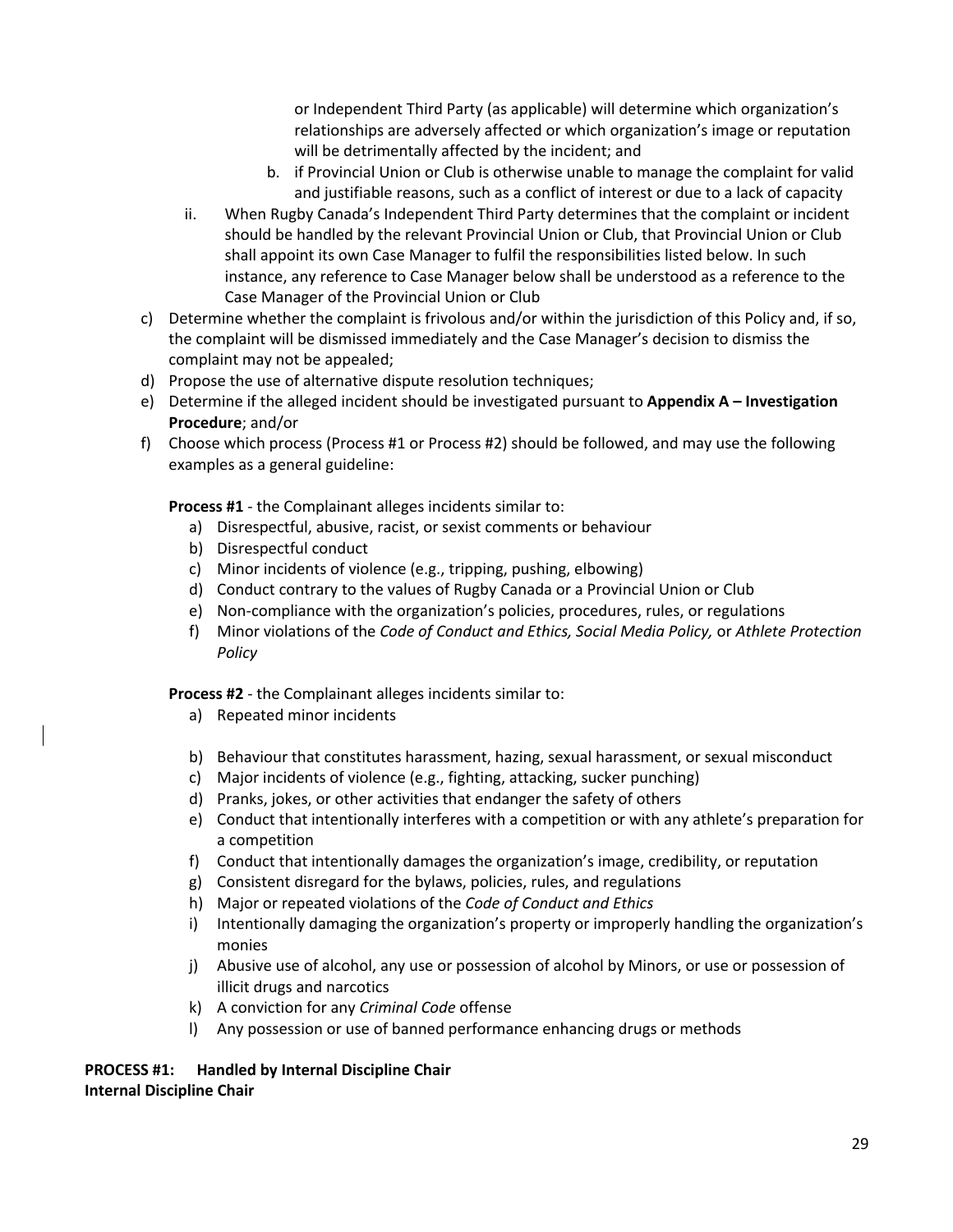or Independent Third Party (as applicable) will determine which organization's relationships are adversely affected or which organization's image or reputation will be detrimentally affected by the incident; and

- b. if Provincial Union or Club is otherwise unable to manage the complaint for valid and justifiable reasons, such as a conflict of interest or due to a lack of capacity
- ii. When Rugby Canada's Independent Third Party determines that the complaint or incident should be handled by the relevant Provincial Union or Club, that Provincial Union or Club shall appoint its own Case Manager to fulfil the responsibilities listed below. In such instance, any reference to Case Manager below shall be understood as a reference to the Case Manager of the Provincial Union or Club
- c) Determine whether the complaint is frivolous and/or within the jurisdiction of this Policy and, if so, the complaint will be dismissed immediately and the Case Manager's decision to dismiss the complaint may not be appealed;
- d) Propose the use of alternative dispute resolution techniques;
- e) Determine if the alleged incident should be investigated pursuant to **Appendix A – Investigation Procedure**; and/or
- f) Choose which process (Process #1 or Process #2) should be followed, and may use the following examples as a general guideline:

**Process #1** - the Complainant alleges incidents similar to:

- a) Disrespectful, abusive, racist, or sexist comments or behaviour
- b) Disrespectful conduct
- c) Minor incidents of violence (e.g., tripping, pushing, elbowing)
- d) Conduct contrary to the values of Rugby Canada or a Provincial Union or Club
- e) Non-compliance with the organization's policies, procedures, rules, or regulations
- f) Minor violations of the *Code of Conduct and Ethics, Social Media Policy,* or *Athlete Protection Policy*

**Process #2** - the Complainant alleges incidents similar to:

- a) Repeated minor incidents
- b) Behaviour that constitutes harassment, hazing, sexual harassment, or sexual misconduct
- c) Major incidents of violence (e.g., fighting, attacking, sucker punching)
- d) Pranks, jokes, or other activities that endanger the safety of others
- e) Conduct that intentionally interferes with a competition or with any athlete's preparation for a competition
- f) Conduct that intentionally damages the organization's image, credibility, or reputation
- g) Consistent disregard for the bylaws, policies, rules, and regulations
- h) Major or repeated violations of the *Code of Conduct and Ethics*
- i) Intentionally damaging the organization's property or improperly handling the organization's monies
- j) Abusive use of alcohol, any use or possession of alcohol by Minors, or use or possession of illicit drugs and narcotics
- k) A conviction for any *Criminal Code* offense
- l) Any possession or use of banned performance enhancing drugs or methods

#### **PROCESS #1: Handled by Internal Discipline Chair Internal Discipline Chair**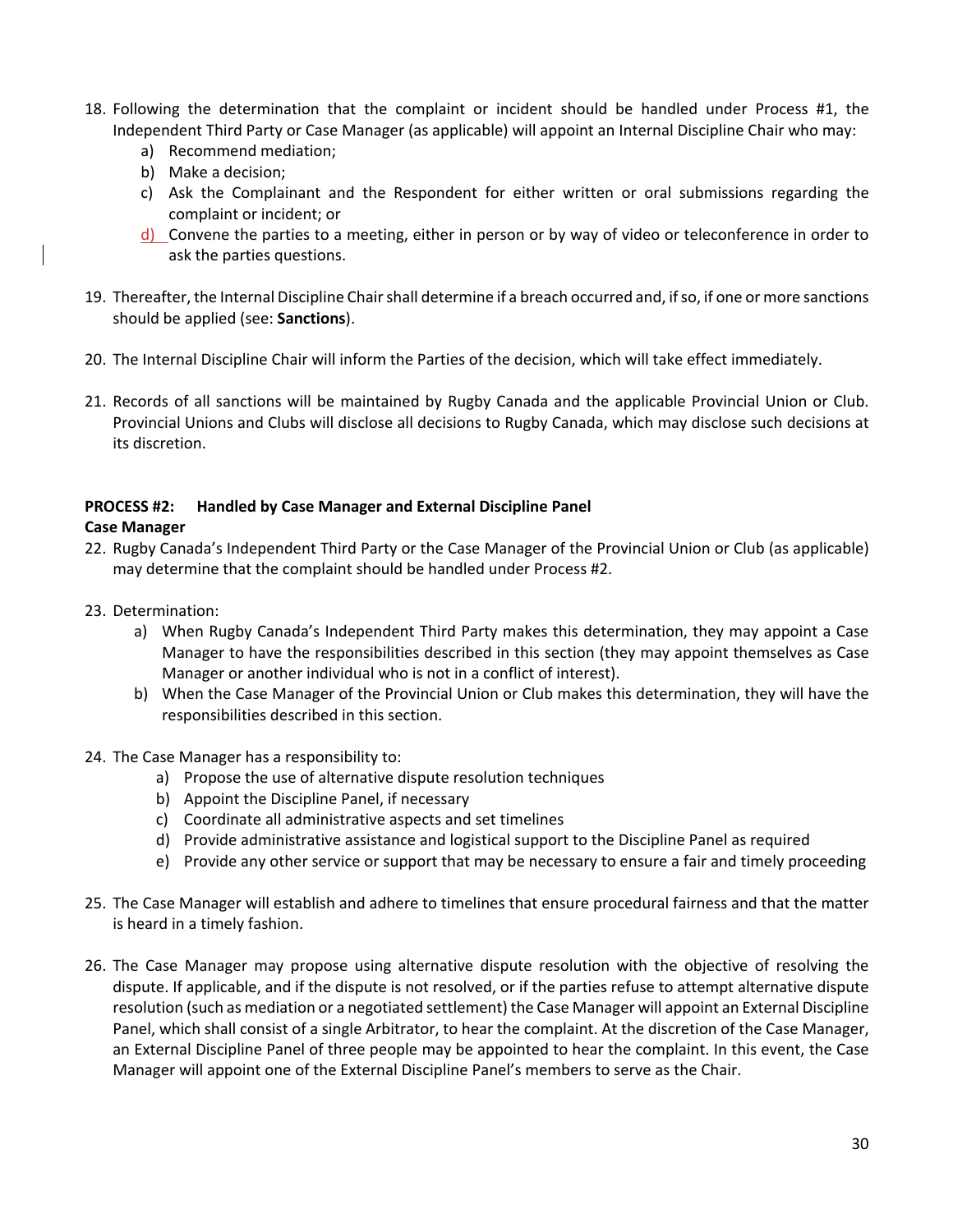- 18. Following the determination that the complaint or incident should be handled under Process #1, the Independent Third Party or Case Manager (as applicable) will appoint an Internal Discipline Chair who may:
	- a) Recommend mediation;
	- b) Make a decision;
	- c) Ask the Complainant and the Respondent for either written or oral submissions regarding the complaint or incident; or
	- d) Convene the parties to a meeting, either in person or by way of video or teleconference in order to ask the parties questions.
- 19. Thereafter, the Internal Discipline Chair shall determine if a breach occurred and, if so, if one or more sanctions should be applied (see: **Sanctions**).
- 20. The Internal Discipline Chair will inform the Parties of the decision, which will take effect immediately.
- 21. Records of all sanctions will be maintained by Rugby Canada and the applicable Provincial Union or Club. Provincial Unions and Clubs will disclose all decisions to Rugby Canada, which may disclose such decisions at its discretion.

#### **PROCESS #2: Handled by Case Manager and External Discipline Panel**

#### **Case Manager**

- 22. Rugby Canada's Independent Third Party or the Case Manager of the Provincial Union or Club (as applicable) may determine that the complaint should be handled under Process #2.
- 23. Determination:
	- a) When Rugby Canada's Independent Third Party makes this determination, they may appoint a Case Manager to have the responsibilities described in this section (they may appoint themselves as Case Manager or another individual who is not in a conflict of interest).
	- b) When the Case Manager of the Provincial Union or Club makes this determination, they will have the responsibilities described in this section.
- 24. The Case Manager has a responsibility to:
	- a) Propose the use of alternative dispute resolution techniques
	- b) Appoint the Discipline Panel, if necessary
	- c) Coordinate all administrative aspects and set timelines
	- d) Provide administrative assistance and logistical support to the Discipline Panel as required
	- e) Provide any other service or support that may be necessary to ensure a fair and timely proceeding
- 25. The Case Manager will establish and adhere to timelines that ensure procedural fairness and that the matter is heard in a timely fashion.
- 26. The Case Manager may propose using alternative dispute resolution with the objective of resolving the dispute. If applicable, and if the dispute is not resolved, or if the parties refuse to attempt alternative dispute resolution (such as mediation or a negotiated settlement) the Case Manager will appoint an External Discipline Panel, which shall consist of a single Arbitrator, to hear the complaint. At the discretion of the Case Manager, an External Discipline Panel of three people may be appointed to hear the complaint. In this event, the Case Manager will appoint one of the External Discipline Panel's members to serve as the Chair.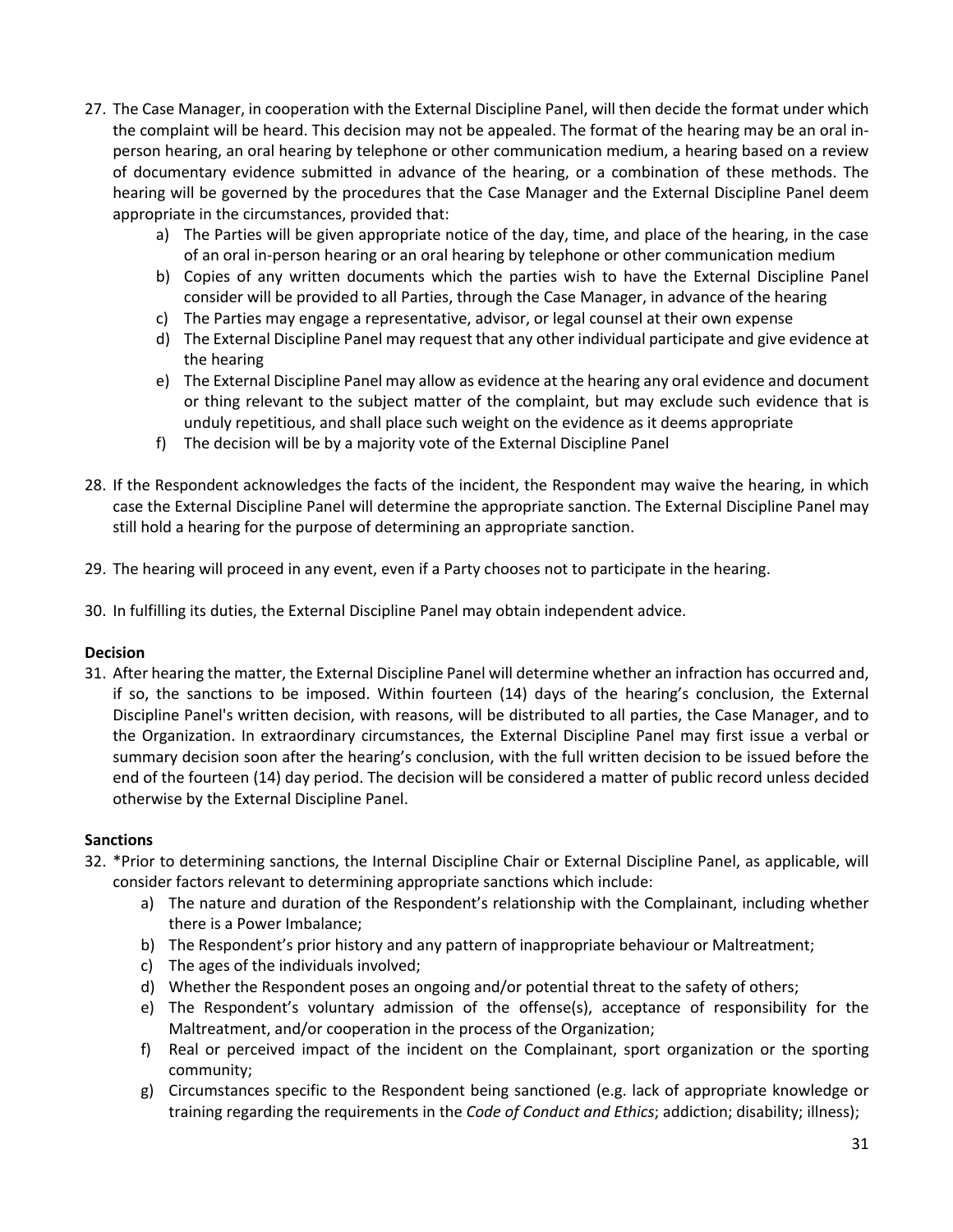- 27. The Case Manager, in cooperation with the External Discipline Panel, will then decide the format under which the complaint will be heard. This decision may not be appealed. The format of the hearing may be an oral inperson hearing, an oral hearing by telephone or other communication medium, a hearing based on a review of documentary evidence submitted in advance of the hearing, or a combination of these methods. The hearing will be governed by the procedures that the Case Manager and the External Discipline Panel deem appropriate in the circumstances, provided that:
	- a) The Parties will be given appropriate notice of the day, time, and place of the hearing, in the case of an oral in-person hearing or an oral hearing by telephone or other communication medium
	- b) Copies of any written documents which the parties wish to have the External Discipline Panel consider will be provided to all Parties, through the Case Manager, in advance of the hearing
	- c) The Parties may engage a representative, advisor, or legal counsel at their own expense
	- d) The External Discipline Panel may request that any other individual participate and give evidence at the hearing
	- e) The External Discipline Panel may allow as evidence at the hearing any oral evidence and document or thing relevant to the subject matter of the complaint, but may exclude such evidence that is unduly repetitious, and shall place such weight on the evidence as it deems appropriate
	- f) The decision will be by a majority vote of the External Discipline Panel
- 28. If the Respondent acknowledges the facts of the incident, the Respondent may waive the hearing, in which case the External Discipline Panel will determine the appropriate sanction. The External Discipline Panel may still hold a hearing for the purpose of determining an appropriate sanction.
- 29. The hearing will proceed in any event, even if a Party chooses not to participate in the hearing.
- 30. In fulfilling its duties, the External Discipline Panel may obtain independent advice.

#### **Decision**

31. After hearing the matter, the External Discipline Panel will determine whether an infraction has occurred and, if so, the sanctions to be imposed. Within fourteen (14) days of the hearing's conclusion, the External Discipline Panel's written decision, with reasons, will be distributed to all parties, the Case Manager, and to the Organization. In extraordinary circumstances, the External Discipline Panel may first issue a verbal or summary decision soon after the hearing's conclusion, with the full written decision to be issued before the end of the fourteen (14) day period. The decision will be considered a matter of public record unless decided otherwise by the External Discipline Panel.

#### **Sanctions**

- 32. \*Prior to determining sanctions, the Internal Discipline Chair or External Discipline Panel, as applicable, will consider factors relevant to determining appropriate sanctions which include:
	- a) The nature and duration of the Respondent's relationship with the Complainant, including whether there is a Power Imbalance;
	- b) The Respondent's prior history and any pattern of inappropriate behaviour or Maltreatment;
	- c) The ages of the individuals involved;
	- d) Whether the Respondent poses an ongoing and/or potential threat to the safety of others;
	- e) The Respondent's voluntary admission of the offense(s), acceptance of responsibility for the Maltreatment, and/or cooperation in the process of the Organization;
	- f) Real or perceived impact of the incident on the Complainant, sport organization or the sporting community;
	- g) Circumstances specific to the Respondent being sanctioned (e.g. lack of appropriate knowledge or training regarding the requirements in the *Code of Conduct and Ethics*; addiction; disability; illness);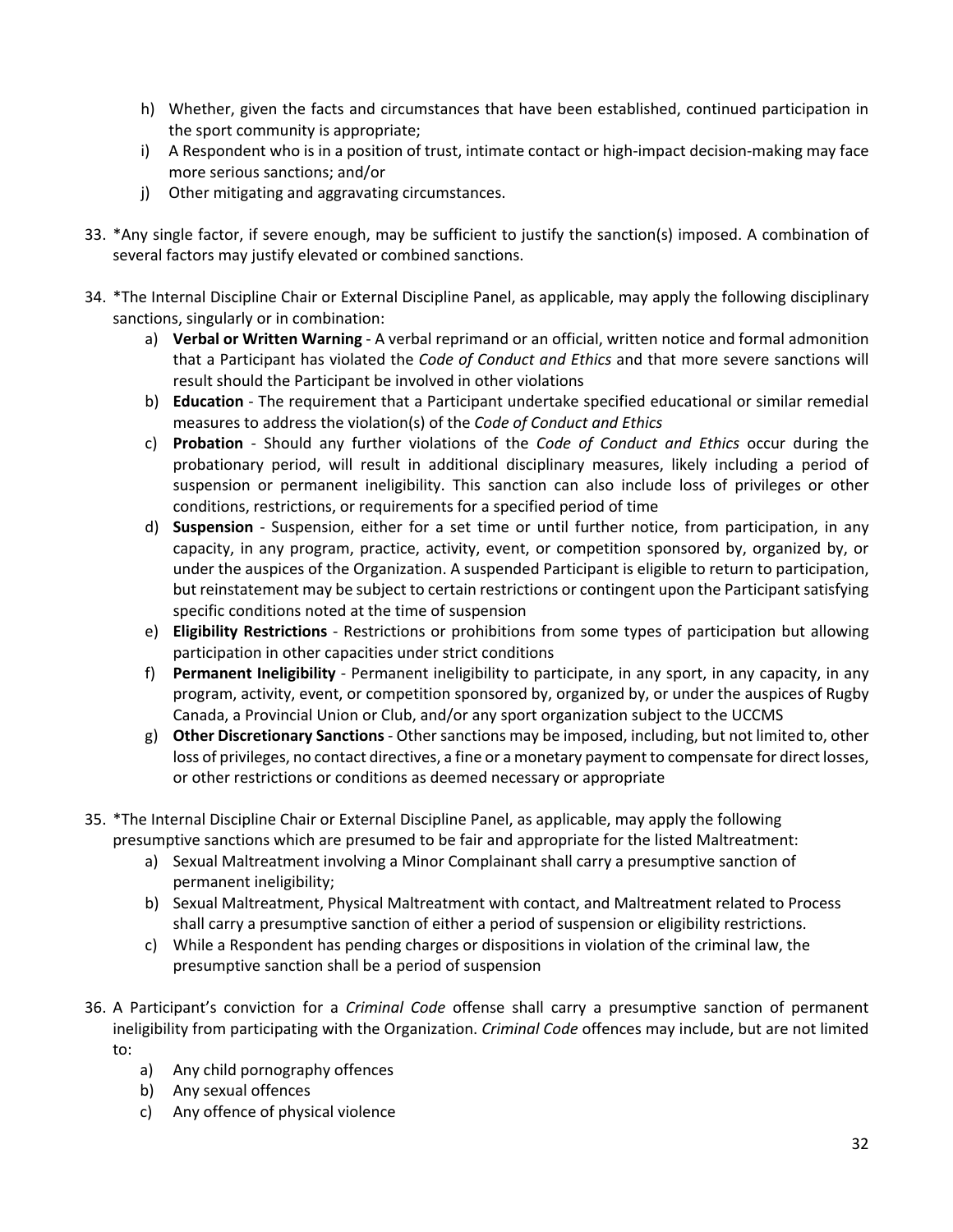- h) Whether, given the facts and circumstances that have been established, continued participation in the sport community is appropriate;
- i) A Respondent who is in a position of trust, intimate contact or high-impact decision-making may face more serious sanctions; and/or
- j) Other mitigating and aggravating circumstances.
- 33. \*Any single factor, if severe enough, may be sufficient to justify the sanction(s) imposed. A combination of several factors may justify elevated or combined sanctions.
- 34. \*The Internal Discipline Chair or External Discipline Panel, as applicable, may apply the following disciplinary sanctions, singularly or in combination:
	- a) **Verbal or Written Warning** A verbal reprimand or an official, written notice and formal admonition that a Participant has violated the *Code of Conduct and Ethics* and that more severe sanctions will result should the Participant be involved in other violations
	- b) **Education** The requirement that a Participant undertake specified educational or similar remedial measures to address the violation(s) of the *Code of Conduct and Ethics*
	- c) **Probation** Should any further violations of the *Code of Conduct and Ethics* occur during the probationary period, will result in additional disciplinary measures, likely including a period of suspension or permanent ineligibility. This sanction can also include loss of privileges or other conditions, restrictions, or requirements for a specified period of time
	- d) **Suspension** Suspension, either for a set time or until further notice, from participation, in any capacity, in any program, practice, activity, event, or competition sponsored by, organized by, or under the auspices of the Organization. A suspended Participant is eligible to return to participation, but reinstatement may be subject to certain restrictions or contingent upon the Participant satisfying specific conditions noted at the time of suspension
	- e) **Eligibility Restrictions** Restrictions or prohibitions from some types of participation but allowing participation in other capacities under strict conditions
	- f) **Permanent Ineligibility** Permanent ineligibility to participate, in any sport, in any capacity, in any program, activity, event, or competition sponsored by, organized by, or under the auspices of Rugby Canada, a Provincial Union or Club, and/or any sport organization subject to the UCCMS
	- g) **Other Discretionary Sanctions** Other sanctions may be imposed, including, but not limited to, other loss of privileges, no contact directives, a fine or a monetary payment to compensate for direct losses, or other restrictions or conditions as deemed necessary or appropriate
- 35. \*The Internal Discipline Chair or External Discipline Panel, as applicable, may apply the following presumptive sanctions which are presumed to be fair and appropriate for the listed Maltreatment:
	- a) Sexual Maltreatment involving a Minor Complainant shall carry a presumptive sanction of permanent ineligibility;
	- b) Sexual Maltreatment, Physical Maltreatment with contact, and Maltreatment related to Process shall carry a presumptive sanction of either a period of suspension or eligibility restrictions.
	- c) While a Respondent has pending charges or dispositions in violation of the criminal law, the presumptive sanction shall be a period of suspension
- 36. A Participant's conviction for a *Criminal Code* offense shall carry a presumptive sanction of permanent ineligibility from participating with the Organization. *Criminal Code* offences may include, but are not limited to:
	- a) Any child pornography offences
	- b) Any sexual offences
	- c) Any offence of physical violence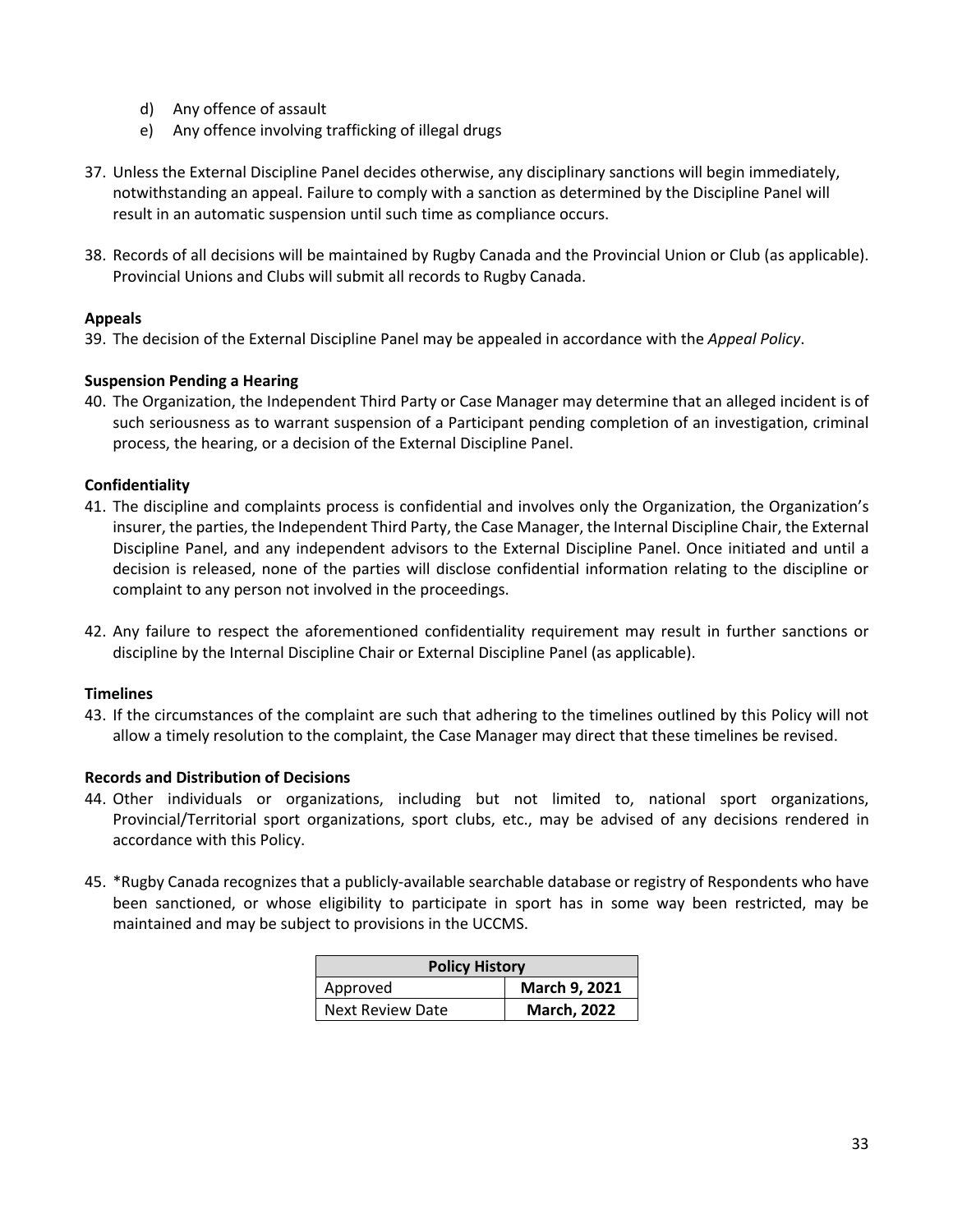- d) Any offence of assault
- e) Any offence involving trafficking of illegal drugs
- 37. Unless the External Discipline Panel decides otherwise, any disciplinary sanctions will begin immediately, notwithstanding an appeal. Failure to comply with a sanction as determined by the Discipline Panel will result in an automatic suspension until such time as compliance occurs.
- 38. Records of all decisions will be maintained by Rugby Canada and the Provincial Union or Club (as applicable). Provincial Unions and Clubs will submit all records to Rugby Canada.

#### **Appeals**

39. The decision of the External Discipline Panel may be appealed in accordance with the *Appeal Policy*.

#### **Suspension Pending a Hearing**

40. The Organization, the Independent Third Party or Case Manager may determine that an alleged incident is of such seriousness as to warrant suspension of a Participant pending completion of an investigation, criminal process, the hearing, or a decision of the External Discipline Panel.

#### **Confidentiality**

- 41. The discipline and complaints process is confidential and involves only the Organization, the Organization's insurer, the parties, the Independent Third Party, the Case Manager, the Internal Discipline Chair, the External Discipline Panel, and any independent advisors to the External Discipline Panel. Once initiated and until a decision is released, none of the parties will disclose confidential information relating to the discipline or complaint to any person not involved in the proceedings.
- 42. Any failure to respect the aforementioned confidentiality requirement may result in further sanctions or discipline by the Internal Discipline Chair or External Discipline Panel (as applicable).

#### **Timelines**

43. If the circumstances of the complaint are such that adhering to the timelines outlined by this Policy will not allow a timely resolution to the complaint, the Case Manager may direct that these timelines be revised.

#### **Records and Distribution of Decisions**

- 44. Other individuals or organizations, including but not limited to, national sport organizations, Provincial/Territorial sport organizations, sport clubs, etc., may be advised of any decisions rendered in accordance with this Policy.
- 45. \*Rugby Canada recognizes that a publicly-available searchable database or registry of Respondents who have been sanctioned, or whose eligibility to participate in sport has in some way been restricted, may be maintained and may be subject to provisions in the UCCMS.

| <b>Policy History</b>   |                    |  |
|-------------------------|--------------------|--|
| Approved                | March 9, 2021      |  |
| <b>Next Review Date</b> | <b>March, 2022</b> |  |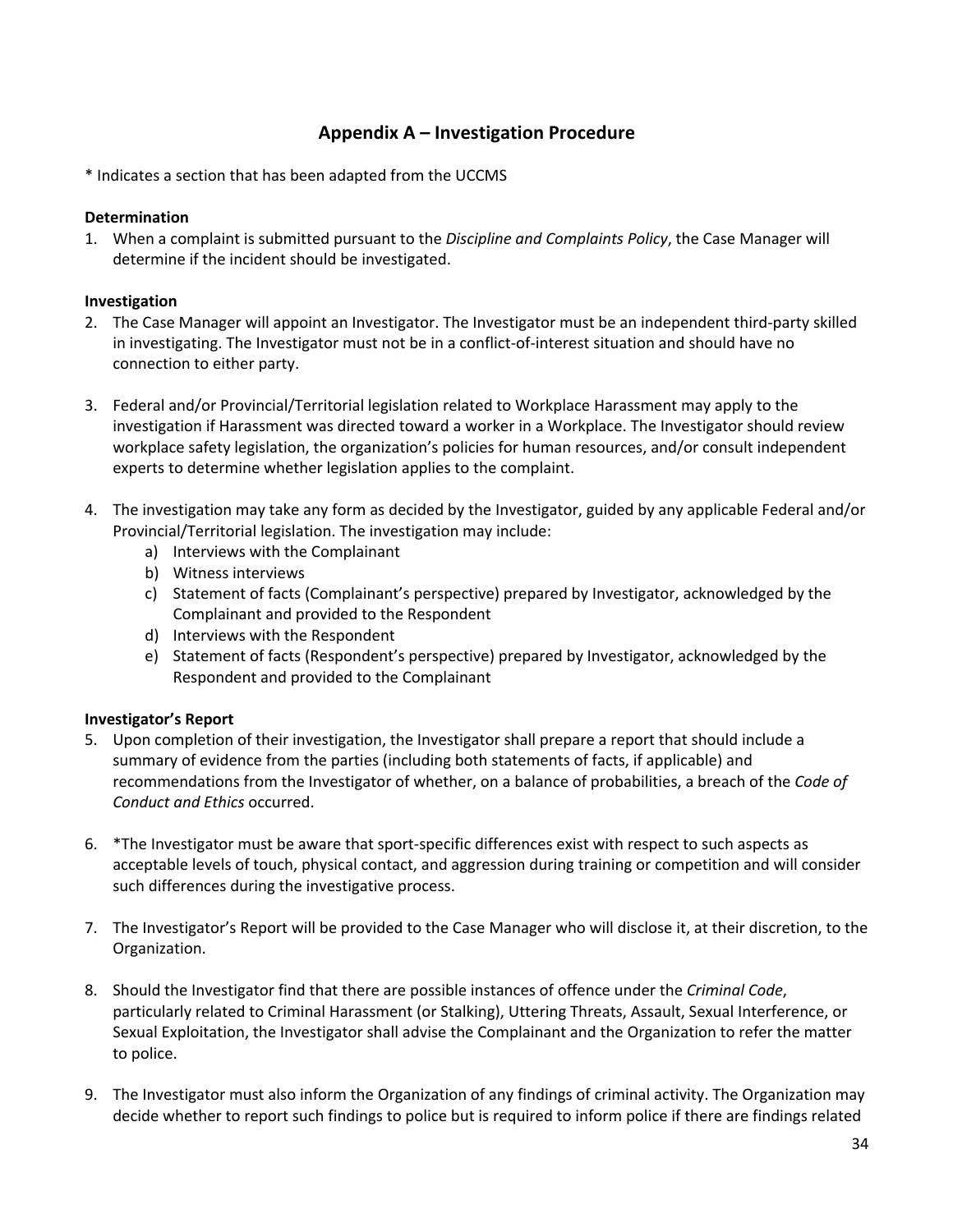#### **Appendix A – Investigation Procedure**

\* Indicates a section that has been adapted from the UCCMS

#### **Determination**

1. When a complaint is submitted pursuant to the *Discipline and Complaints Policy*, the Case Manager will determine if the incident should be investigated.

#### **Investigation**

- 2. The Case Manager will appoint an Investigator. The Investigator must be an independent third-party skilled in investigating. The Investigator must not be in a conflict-of-interest situation and should have no connection to either party.
- 3. Federal and/or Provincial/Territorial legislation related to Workplace Harassment may apply to the investigation if Harassment was directed toward a worker in a Workplace. The Investigator should review workplace safety legislation, the organization's policies for human resources, and/or consult independent experts to determine whether legislation applies to the complaint.
- 4. The investigation may take any form as decided by the Investigator, guided by any applicable Federal and/or Provincial/Territorial legislation. The investigation may include:
	- a) Interviews with the Complainant
	- b) Witness interviews
	- c) Statement of facts (Complainant's perspective) prepared by Investigator, acknowledged by the Complainant and provided to the Respondent
	- d) Interviews with the Respondent
	- e) Statement of facts (Respondent's perspective) prepared by Investigator, acknowledged by the Respondent and provided to the Complainant

#### **Investigator's Report**

- 5. Upon completion of their investigation, the Investigator shall prepare a report that should include a summary of evidence from the parties (including both statements of facts, if applicable) and recommendations from the Investigator of whether, on a balance of probabilities, a breach of the *Code of Conduct and Ethics* occurred.
- 6. \*The Investigator must be aware that sport-specific differences exist with respect to such aspects as acceptable levels of touch, physical contact, and aggression during training or competition and will consider such differences during the investigative process.
- 7. The Investigator's Report will be provided to the Case Manager who will disclose it, at their discretion, to the Organization.
- 8. Should the Investigator find that there are possible instances of offence under the *Criminal Code*, particularly related to Criminal Harassment (or Stalking), Uttering Threats, Assault, Sexual Interference, or Sexual Exploitation, the Investigator shall advise the Complainant and the Organization to refer the matter to police.
- 9. The Investigator must also inform the Organization of any findings of criminal activity. The Organization may decide whether to report such findings to police but is required to inform police if there are findings related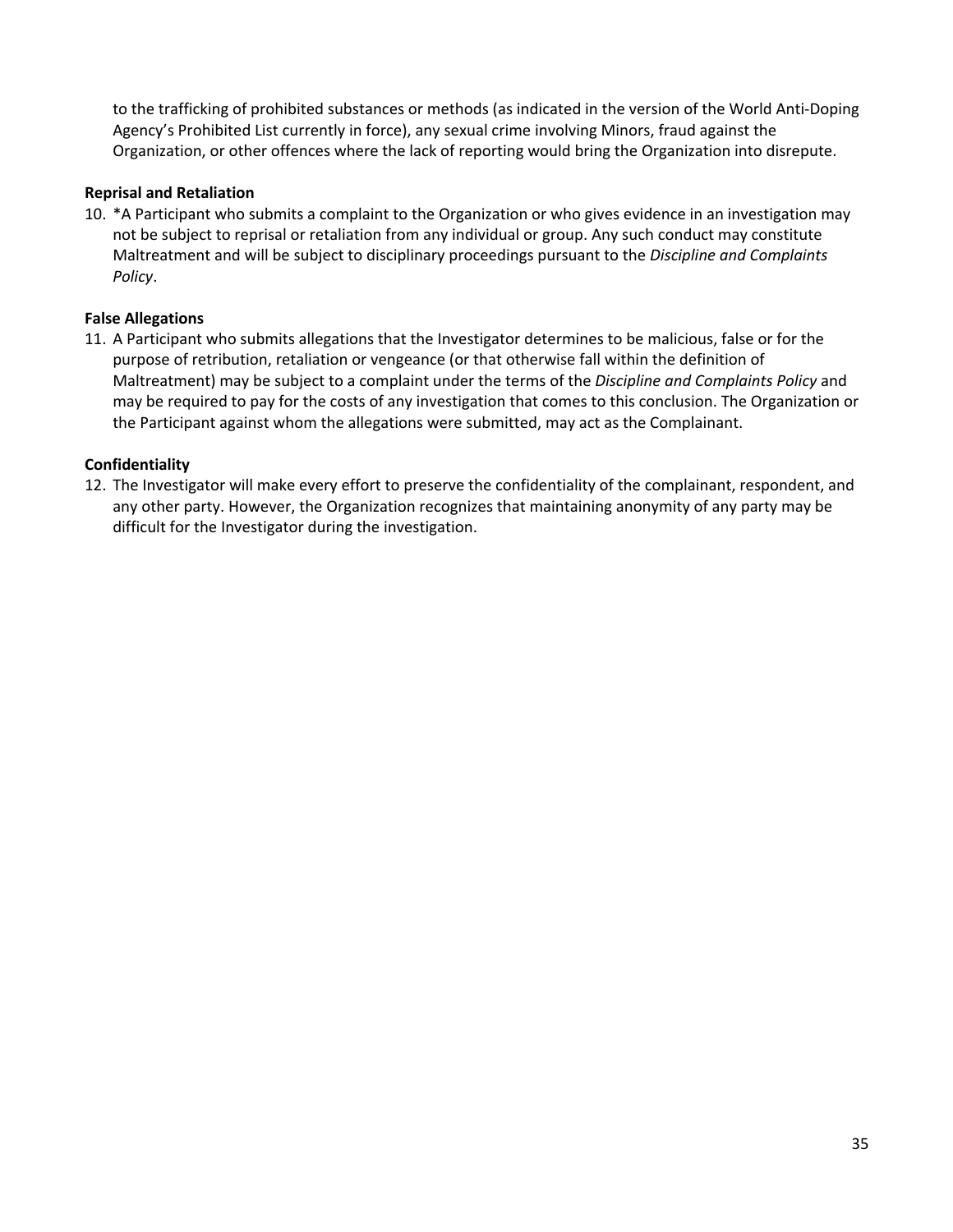to the trafficking of prohibited substances or methods (as indicated in the version of the World Anti-Doping Agency's Prohibited List currently in force), any sexual crime involving Minors, fraud against the Organization, or other offences where the lack of reporting would bring the Organization into disrepute.

#### **Reprisal and Retaliation**

10. \*A Participant who submits a complaint to the Organization or who gives evidence in an investigation may not be subject to reprisal or retaliation from any individual or group. Any such conduct may constitute Maltreatment and will be subject to disciplinary proceedings pursuant to the *Discipline and Complaints Policy*.

#### **False Allegations**

11. A Participant who submits allegations that the Investigator determines to be malicious, false or for the purpose of retribution, retaliation or vengeance (or that otherwise fall within the definition of Maltreatment) may be subject to a complaint under the terms of the *Discipline and Complaints Policy* and may be required to pay for the costs of any investigation that comes to this conclusion. The Organization or the Participant against whom the allegations were submitted, may act as the Complainant.

#### **Confidentiality**

12. The Investigator will make every effort to preserve the confidentiality of the complainant, respondent, and any other party. However, the Organization recognizes that maintaining anonymity of any party may be difficult for the Investigator during the investigation.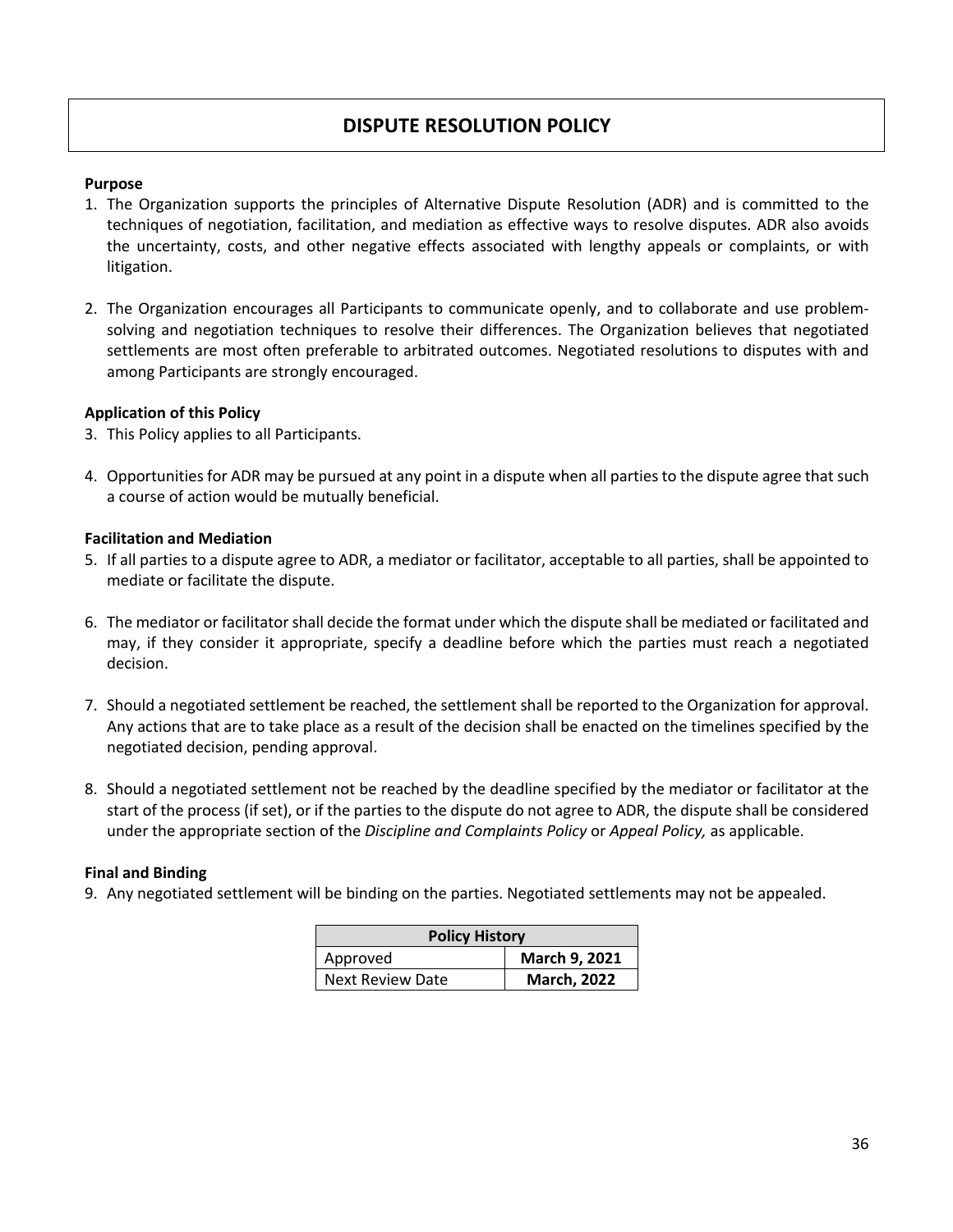#### **DISPUTE RESOLUTION POLICY**

#### **Purpose**

- 1. The Organization supports the principles of Alternative Dispute Resolution (ADR) and is committed to the techniques of negotiation, facilitation, and mediation as effective ways to resolve disputes. ADR also avoids the uncertainty, costs, and other negative effects associated with lengthy appeals or complaints, or with litigation.
- 2. The Organization encourages all Participants to communicate openly, and to collaborate and use problemsolving and negotiation techniques to resolve their differences. The Organization believes that negotiated settlements are most often preferable to arbitrated outcomes. Negotiated resolutions to disputes with and among Participants are strongly encouraged.

#### **Application of this Policy**

- 3. This Policy applies to all Participants.
- 4. Opportunities for ADR may be pursued at any point in a dispute when all parties to the dispute agree that such a course of action would be mutually beneficial.

#### **Facilitation and Mediation**

- 5. If all parties to a dispute agree to ADR, a mediator or facilitator, acceptable to all parties, shall be appointed to mediate or facilitate the dispute.
- 6. The mediator or facilitator shall decide the format under which the dispute shall be mediated or facilitated and may, if they consider it appropriate, specify a deadline before which the parties must reach a negotiated decision.
- 7. Should a negotiated settlement be reached, the settlement shall be reported to the Organization for approval. Any actions that are to take place as a result of the decision shall be enacted on the timelines specified by the negotiated decision, pending approval.
- 8. Should a negotiated settlement not be reached by the deadline specified by the mediator or facilitator at the start of the process (if set), or if the parties to the dispute do not agree to ADR, the dispute shall be considered under the appropriate section of the *Discipline and Complaints Policy* or *Appeal Policy,* as applicable.

#### **Final and Binding**

9. Any negotiated settlement will be binding on the parties. Negotiated settlements may not be appealed.

| <b>Policy History</b> |                    |  |
|-----------------------|--------------------|--|
| Approved              | March 9, 2021      |  |
| Next Review Date      | <b>March, 2022</b> |  |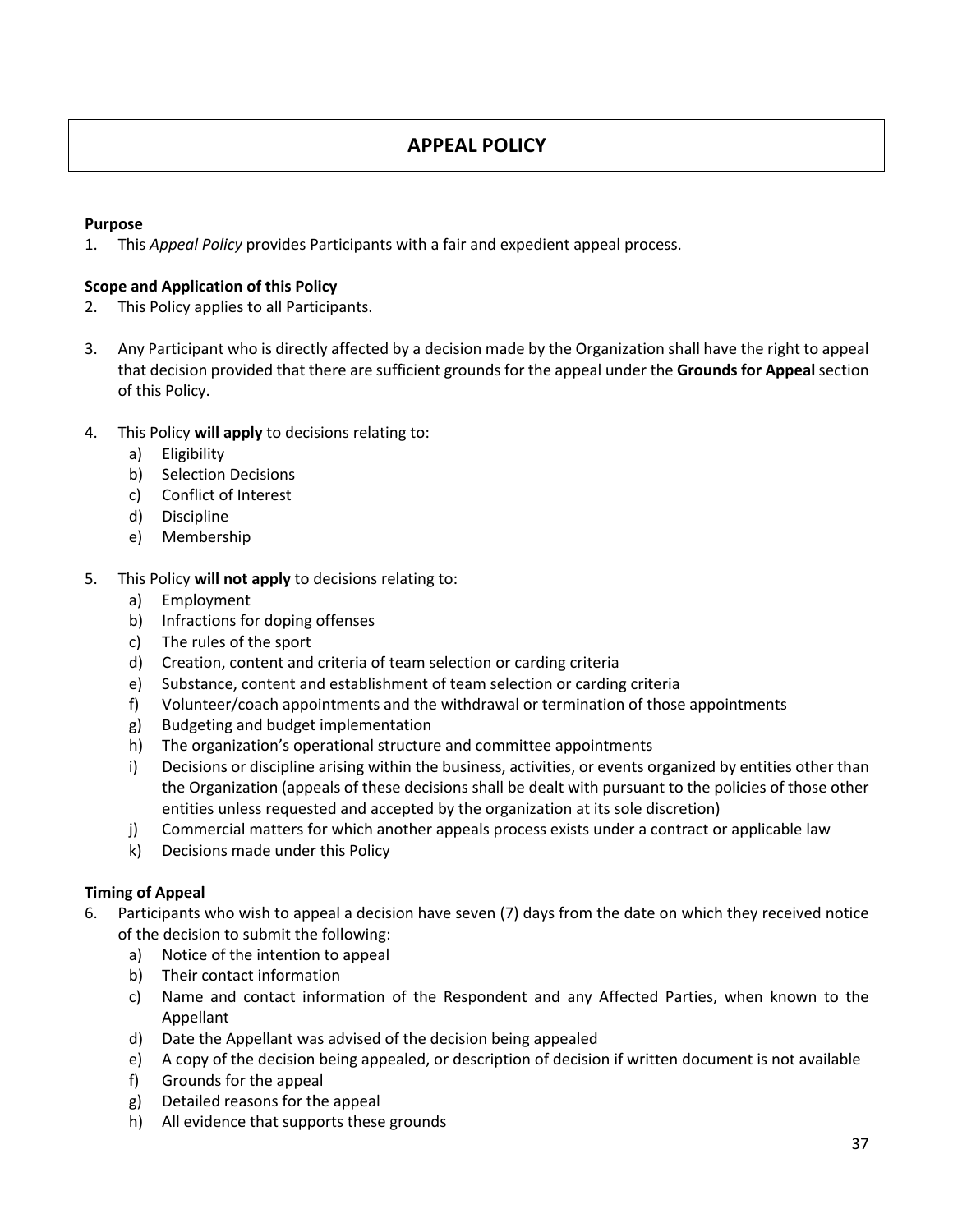#### **APPEAL POLICY**

#### **Purpose**

1. This *Appeal Policy* provides Participants with a fair and expedient appeal process.

#### **Scope and Application of this Policy**

- 2. This Policy applies to all Participants.
- 3. Any Participant who is directly affected by a decision made by the Organization shall have the right to appeal that decision provided that there are sufficient grounds for the appeal under the **Grounds for Appeal** section of this Policy.
- 4. This Policy **will apply** to decisions relating to:
	- a) Eligibility
	- b) Selection Decisions
	- c) Conflict of Interest
	- d) Discipline
	- e) Membership

#### 5. This Policy **will not apply** to decisions relating to:

- a) Employment
- b) Infractions for doping offenses
- c) The rules of the sport
- d) Creation, content and criteria of team selection or carding criteria
- e) Substance, content and establishment of team selection or carding criteria
- f) Volunteer/coach appointments and the withdrawal or termination of those appointments
- g) Budgeting and budget implementation
- h) The organization's operational structure and committee appointments
- i) Decisions or discipline arising within the business, activities, or events organized by entities other than the Organization (appeals of these decisions shall be dealt with pursuant to the policies of those other entities unless requested and accepted by the organization at its sole discretion)
- j) Commercial matters for which another appeals process exists under a contract or applicable law
- k) Decisions made under this Policy

#### **Timing of Appeal**

- 6. Participants who wish to appeal a decision have seven (7) days from the date on which they received notice of the decision to submit the following:
	- a) Notice of the intention to appeal
	- b) Their contact information
	- c) Name and contact information of the Respondent and any Affected Parties, when known to the Appellant
	- d) Date the Appellant was advised of the decision being appealed
	- e) A copy of the decision being appealed, or description of decision if written document is not available
	- f) Grounds for the appeal
	- g) Detailed reasons for the appeal
	- h) All evidence that supports these grounds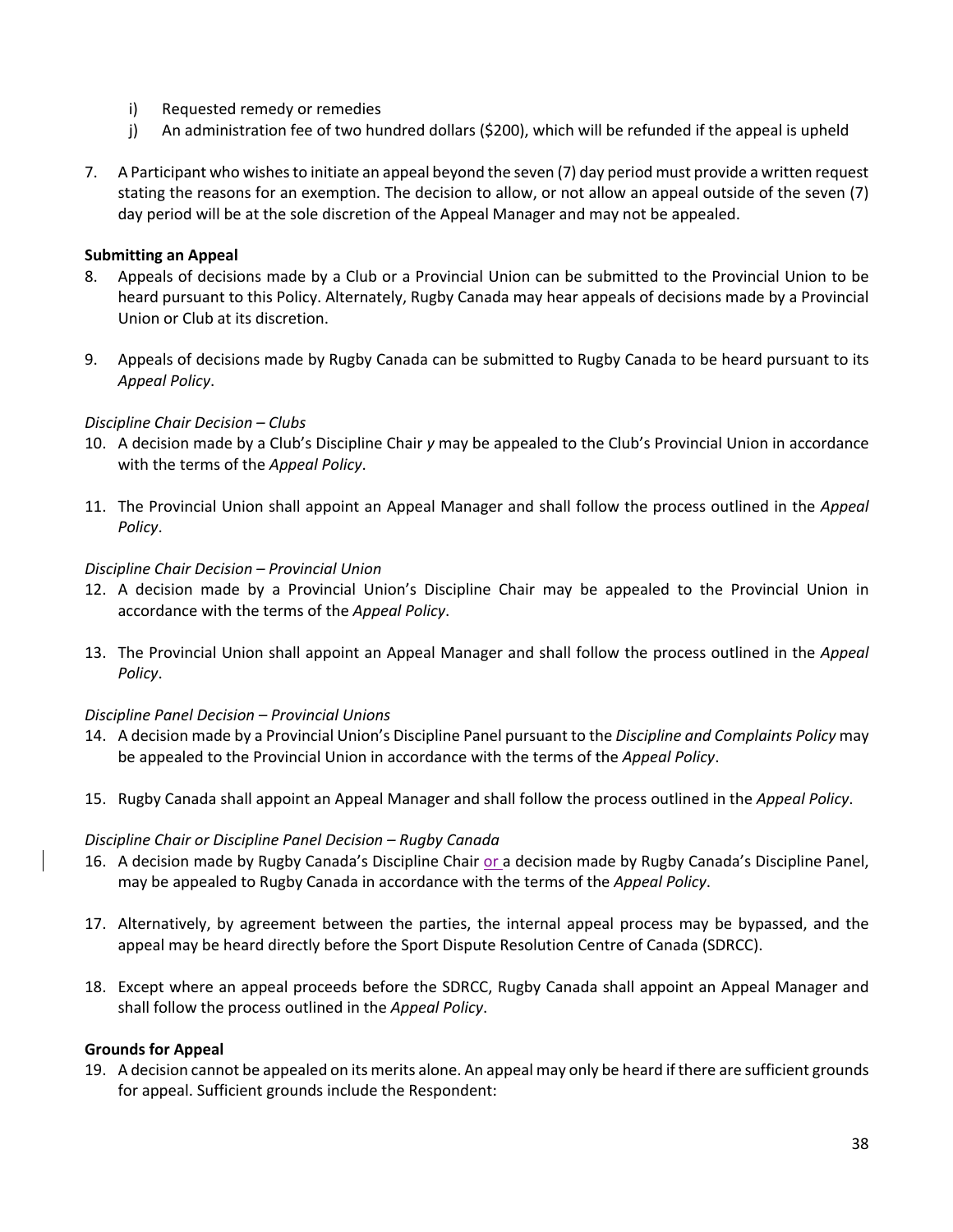- i) Requested remedy or remedies
- j) An administration fee of two hundred dollars (\$200), which will be refunded if the appeal is upheld
- 7. A Participant who wishes to initiate an appeal beyond the seven (7) day period must provide a written request stating the reasons for an exemption. The decision to allow, or not allow an appeal outside of the seven (7) day period will be at the sole discretion of the Appeal Manager and may not be appealed.

#### **Submitting an Appeal**

- 8. Appeals of decisions made by a Club or a Provincial Union can be submitted to the Provincial Union to be heard pursuant to this Policy. Alternately, Rugby Canada may hear appeals of decisions made by a Provincial Union or Club at its discretion.
- 9. Appeals of decisions made by Rugby Canada can be submitted to Rugby Canada to be heard pursuant to its *Appeal Policy*.

#### *Discipline Chair Decision – Clubs*

- 10. A decision made by a Club's Discipline Chair *y* may be appealed to the Club's Provincial Union in accordance with the terms of the *Appeal Policy*.
- 11. The Provincial Union shall appoint an Appeal Manager and shall follow the process outlined in the *Appeal Policy*.

#### *Discipline Chair Decision – Provincial Union*

- 12. A decision made by a Provincial Union's Discipline Chair may be appealed to the Provincial Union in accordance with the terms of the *Appeal Policy*.
- 13. The Provincial Union shall appoint an Appeal Manager and shall follow the process outlined in the *Appeal Policy*.

#### *Discipline Panel Decision – Provincial Unions*

- 14. A decision made by a Provincial Union's Discipline Panel pursuant to the *Discipline and Complaints Policy* may be appealed to the Provincial Union in accordance with the terms of the *Appeal Policy*.
- 15. Rugby Canada shall appoint an Appeal Manager and shall follow the process outlined in the *Appeal Policy*.

#### *Discipline Chair or Discipline Panel Decision – Rugby Canada*

- 16. A decision made by Rugby Canada's Discipline Chair or a decision made by Rugby Canada's Discipline Panel, may be appealed to Rugby Canada in accordance with the terms of the *Appeal Policy*.
- 17. Alternatively, by agreement between the parties, the internal appeal process may be bypassed, and the appeal may be heard directly before the Sport Dispute Resolution Centre of Canada (SDRCC).
- 18. Except where an appeal proceeds before the SDRCC, Rugby Canada shall appoint an Appeal Manager and shall follow the process outlined in the *Appeal Policy*.

#### **Grounds for Appeal**

19. A decision cannot be appealed on its merits alone. An appeal may only be heard if there are sufficient grounds for appeal. Sufficient grounds include the Respondent: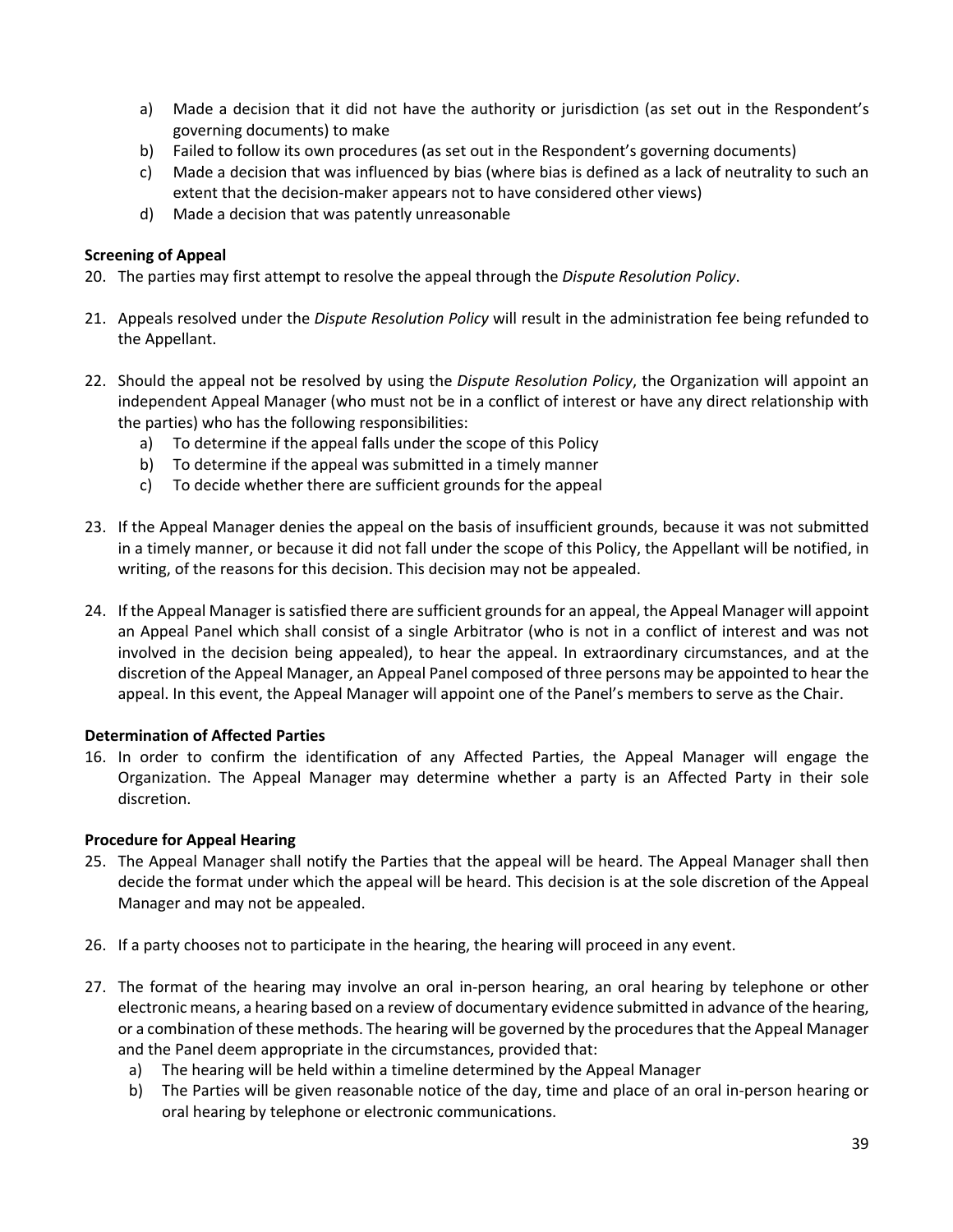- a) Made a decision that it did not have the authority or jurisdiction (as set out in the Respondent's governing documents) to make
- b) Failed to follow its own procedures (as set out in the Respondent's governing documents)
- c) Made a decision that was influenced by bias (where bias is defined as a lack of neutrality to such an extent that the decision-maker appears not to have considered other views)
- d) Made a decision that was patently unreasonable

#### **Screening of Appeal**

- 20. The parties may first attempt to resolve the appeal through the *Dispute Resolution Policy*.
- 21. Appeals resolved under the *Dispute Resolution Policy* will result in the administration fee being refunded to the Appellant.
- 22. Should the appeal not be resolved by using the *Dispute Resolution Policy*, the Organization will appoint an independent Appeal Manager (who must not be in a conflict of interest or have any direct relationship with the parties) who has the following responsibilities:
	- a) To determine if the appeal falls under the scope of this Policy
	- b) To determine if the appeal was submitted in a timely manner
	- c) To decide whether there are sufficient grounds for the appeal
- 23. If the Appeal Manager denies the appeal on the basis of insufficient grounds, because it was not submitted in a timely manner, or because it did not fall under the scope of this Policy, the Appellant will be notified, in writing, of the reasons for this decision. This decision may not be appealed.
- 24. If the Appeal Manager is satisfied there are sufficient grounds for an appeal, the Appeal Manager will appoint an Appeal Panel which shall consist of a single Arbitrator (who is not in a conflict of interest and was not involved in the decision being appealed), to hear the appeal. In extraordinary circumstances, and at the discretion of the Appeal Manager, an Appeal Panel composed of three persons may be appointed to hear the appeal. In this event, the Appeal Manager will appoint one of the Panel's members to serve as the Chair.

#### **Determination of Affected Parties**

16. In order to confirm the identification of any Affected Parties, the Appeal Manager will engage the Organization. The Appeal Manager may determine whether a party is an Affected Party in their sole discretion.

#### **Procedure for Appeal Hearing**

- 25. The Appeal Manager shall notify the Parties that the appeal will be heard. The Appeal Manager shall then decide the format under which the appeal will be heard. This decision is at the sole discretion of the Appeal Manager and may not be appealed.
- 26. If a party chooses not to participate in the hearing, the hearing will proceed in any event.
- 27. The format of the hearing may involve an oral in-person hearing, an oral hearing by telephone or other electronic means, a hearing based on a review of documentary evidence submitted in advance of the hearing, or a combination of these methods. The hearing will be governed by the procedures that the Appeal Manager and the Panel deem appropriate in the circumstances, provided that:
	- a) The hearing will be held within a timeline determined by the Appeal Manager
	- b) The Parties will be given reasonable notice of the day, time and place of an oral in-person hearing or oral hearing by telephone or electronic communications.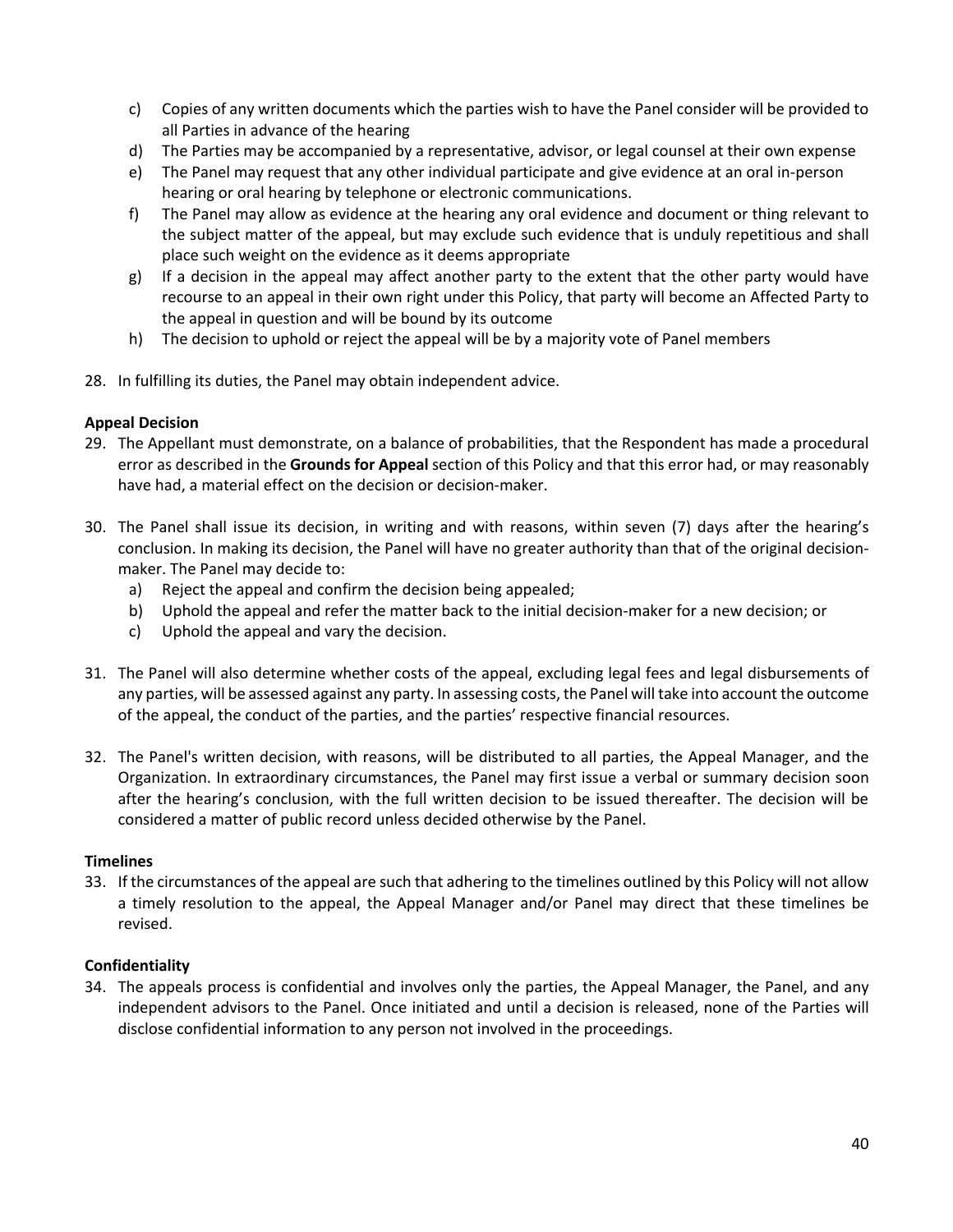- c) Copies of any written documents which the parties wish to have the Panel consider will be provided to all Parties in advance of the hearing
- d) The Parties may be accompanied by a representative, advisor, or legal counsel at their own expense
- e) The Panel may request that any other individual participate and give evidence at an oral in-person hearing or oral hearing by telephone or electronic communications.
- f) The Panel may allow as evidence at the hearing any oral evidence and document or thing relevant to the subject matter of the appeal, but may exclude such evidence that is unduly repetitious and shall place such weight on the evidence as it deems appropriate
- g) If a decision in the appeal may affect another party to the extent that the other party would have recourse to an appeal in their own right under this Policy, that party will become an Affected Party to the appeal in question and will be bound by its outcome
- h) The decision to uphold or reject the appeal will be by a majority vote of Panel members
- 28. In fulfilling its duties, the Panel may obtain independent advice.

#### **Appeal Decision**

- 29. The Appellant must demonstrate, on a balance of probabilities, that the Respondent has made a procedural error as described in the **Grounds for Appeal** section of this Policy and that this error had, or may reasonably have had, a material effect on the decision or decision-maker.
- 30. The Panel shall issue its decision, in writing and with reasons, within seven (7) days after the hearing's conclusion. In making its decision, the Panel will have no greater authority than that of the original decisionmaker. The Panel may decide to:
	- a) Reject the appeal and confirm the decision being appealed;
	- b) Uphold the appeal and refer the matter back to the initial decision-maker for a new decision; or
	- c) Uphold the appeal and vary the decision.
- 31. The Panel will also determine whether costs of the appeal, excluding legal fees and legal disbursements of any parties, will be assessed against any party. In assessing costs, the Panel will take into account the outcome of the appeal, the conduct of the parties, and the parties' respective financial resources.
- 32. The Panel's written decision, with reasons, will be distributed to all parties, the Appeal Manager, and the Organization. In extraordinary circumstances, the Panel may first issue a verbal or summary decision soon after the hearing's conclusion, with the full written decision to be issued thereafter. The decision will be considered a matter of public record unless decided otherwise by the Panel.

#### **Timelines**

33. If the circumstances of the appeal are such that adhering to the timelines outlined by this Policy will not allow a timely resolution to the appeal, the Appeal Manager and/or Panel may direct that these timelines be revised.

#### **Confidentiality**

34. The appeals process is confidential and involves only the parties, the Appeal Manager, the Panel, and any independent advisors to the Panel. Once initiated and until a decision is released, none of the Parties will disclose confidential information to any person not involved in the proceedings.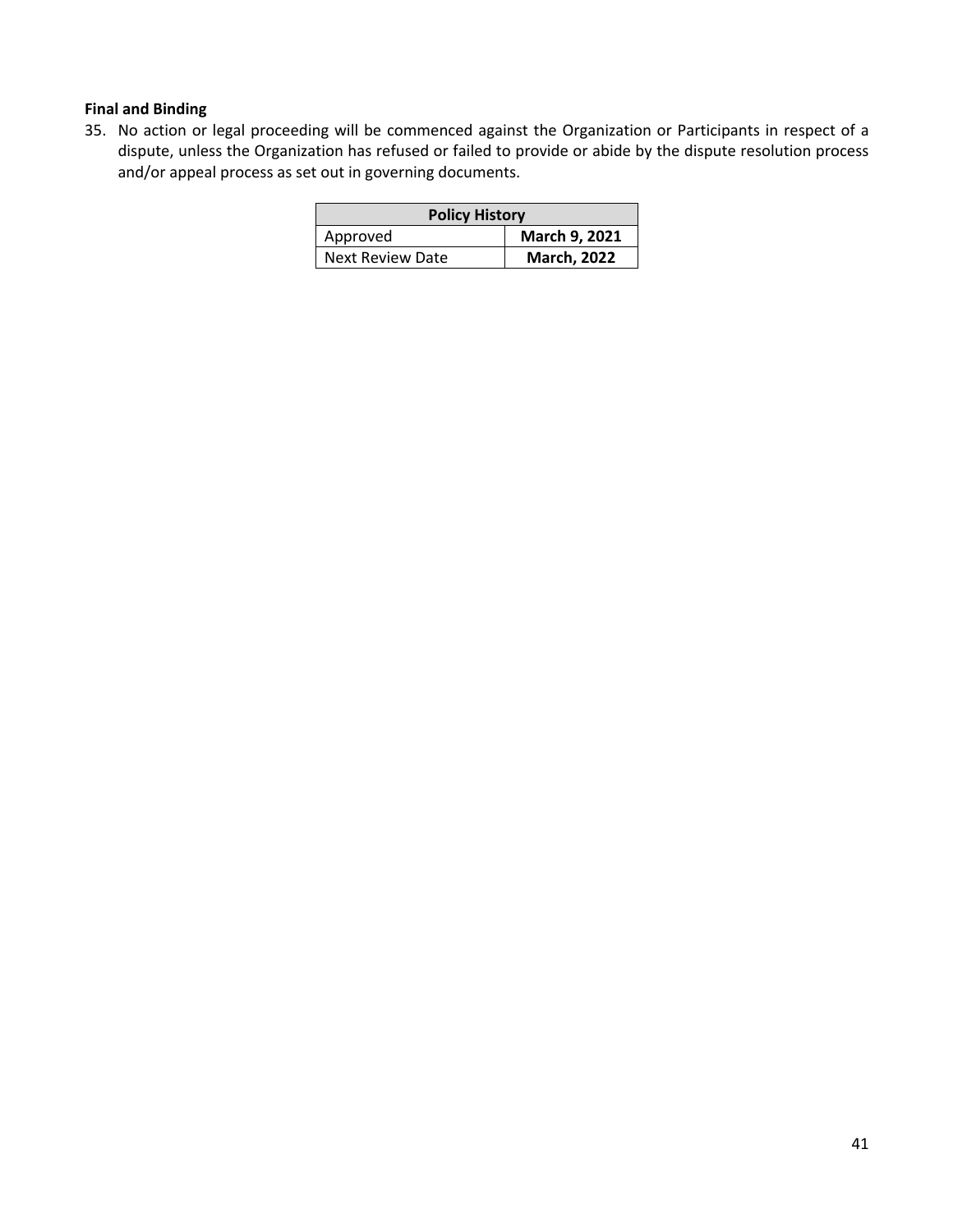#### **Final and Binding**

35. No action or legal proceeding will be commenced against the Organization or Participants in respect of a dispute, unless the Organization has refused or failed to provide or abide by the dispute resolution process and/or appeal process as set out in governing documents.

| <b>Policy History</b>   |                    |  |
|-------------------------|--------------------|--|
| Approved                | March 9, 2021      |  |
| <b>Next Review Date</b> | <b>March, 2022</b> |  |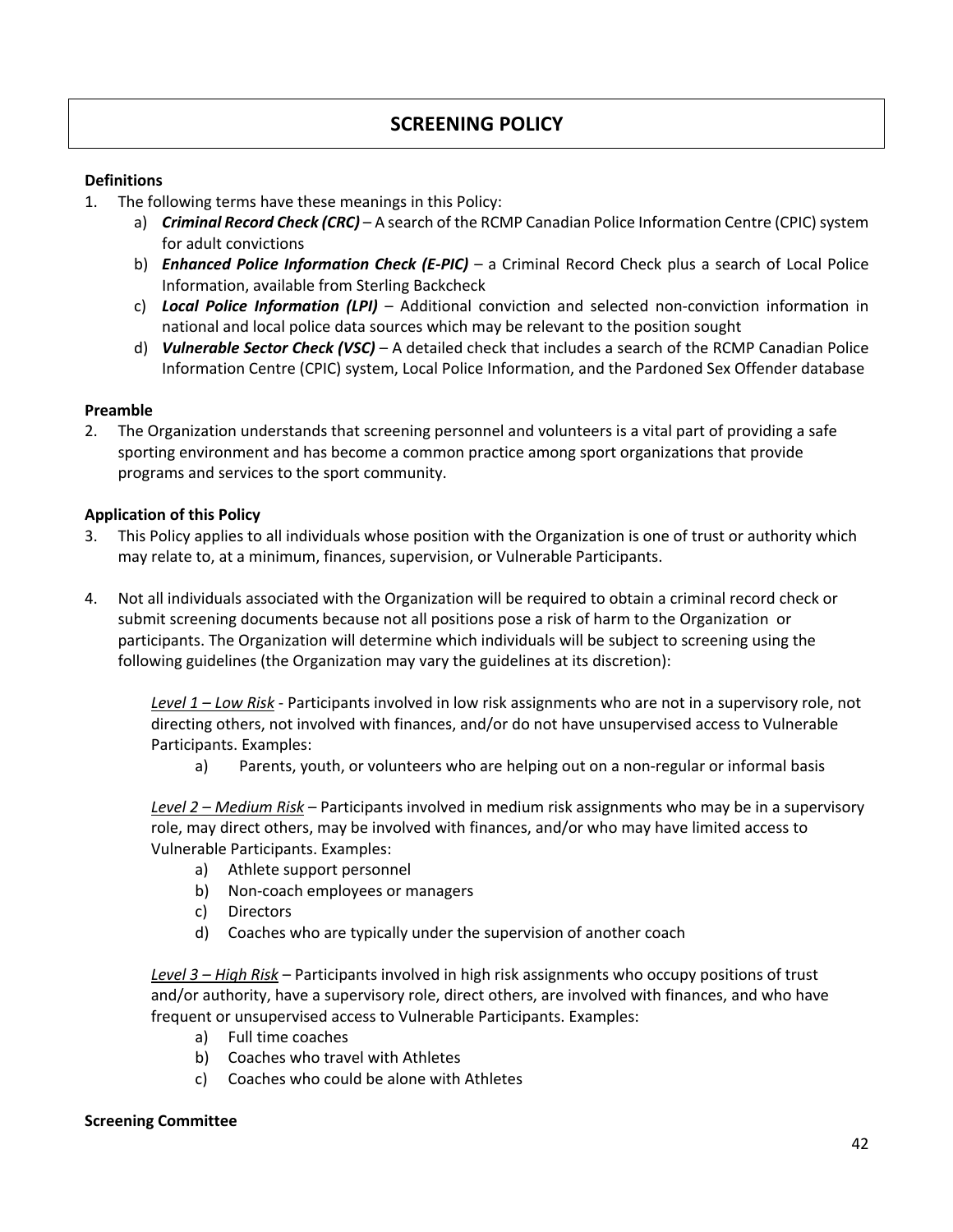#### **Definitions**

- 1. The following terms have these meanings in this Policy:
	- a) *Criminal Record Check (CRC)* A search of the RCMP Canadian Police Information Centre (CPIC) system for adult convictions
	- b) *Enhanced Police Information Check (E-PIC)* a Criminal Record Check plus a search of Local Police Information, available from Sterling Backcheck
	- c) *Local Police Information (LPI)* Additional conviction and selected non-conviction information in national and local police data sources which may be relevant to the position sought
	- d) *Vulnerable Sector Check (VSC)* A detailed check that includes a search of the RCMP Canadian Police Information Centre (CPIC) system, Local Police Information, and the Pardoned Sex Offender database

#### **Preamble**

2. The Organization understands that screening personnel and volunteers is a vital part of providing a safe sporting environment and has become a common practice among sport organizations that provide programs and services to the sport community.

#### **Application of this Policy**

- 3. This Policy applies to all individuals whose position with the Organization is one of trust or authority which may relate to, at a minimum, finances, supervision, or Vulnerable Participants.
- 4. Not all individuals associated with the Organization will be required to obtain a criminal record check or submit screening documents because not all positions pose a risk of harm to the Organization or participants. The Organization will determine which individuals will be subject to screening using the following guidelines (the Organization may vary the guidelines at its discretion):

*Level 1 – Low Risk* - Participants involved in low risk assignments who are not in a supervisory role, not directing others, not involved with finances, and/or do not have unsupervised access to Vulnerable Participants. Examples:

a) Parents, youth, or volunteers who are helping out on a non-regular or informal basis

*Level 2 – Medium Risk* – Participants involved in medium risk assignments who may be in a supervisory role, may direct others, may be involved with finances, and/or who may have limited access to Vulnerable Participants. Examples:

- a) Athlete support personnel
- b) Non-coach employees or managers
- c) Directors
- d) Coaches who are typically under the supervision of another coach

*Level 3 – High Risk* – Participants involved in high risk assignments who occupy positions of trust and/or authority, have a supervisory role, direct others, are involved with finances, and who have frequent or unsupervised access to Vulnerable Participants. Examples:

- a) Full time coaches
- b) Coaches who travel with Athletes
- c) Coaches who could be alone with Athletes

#### **Screening Committee**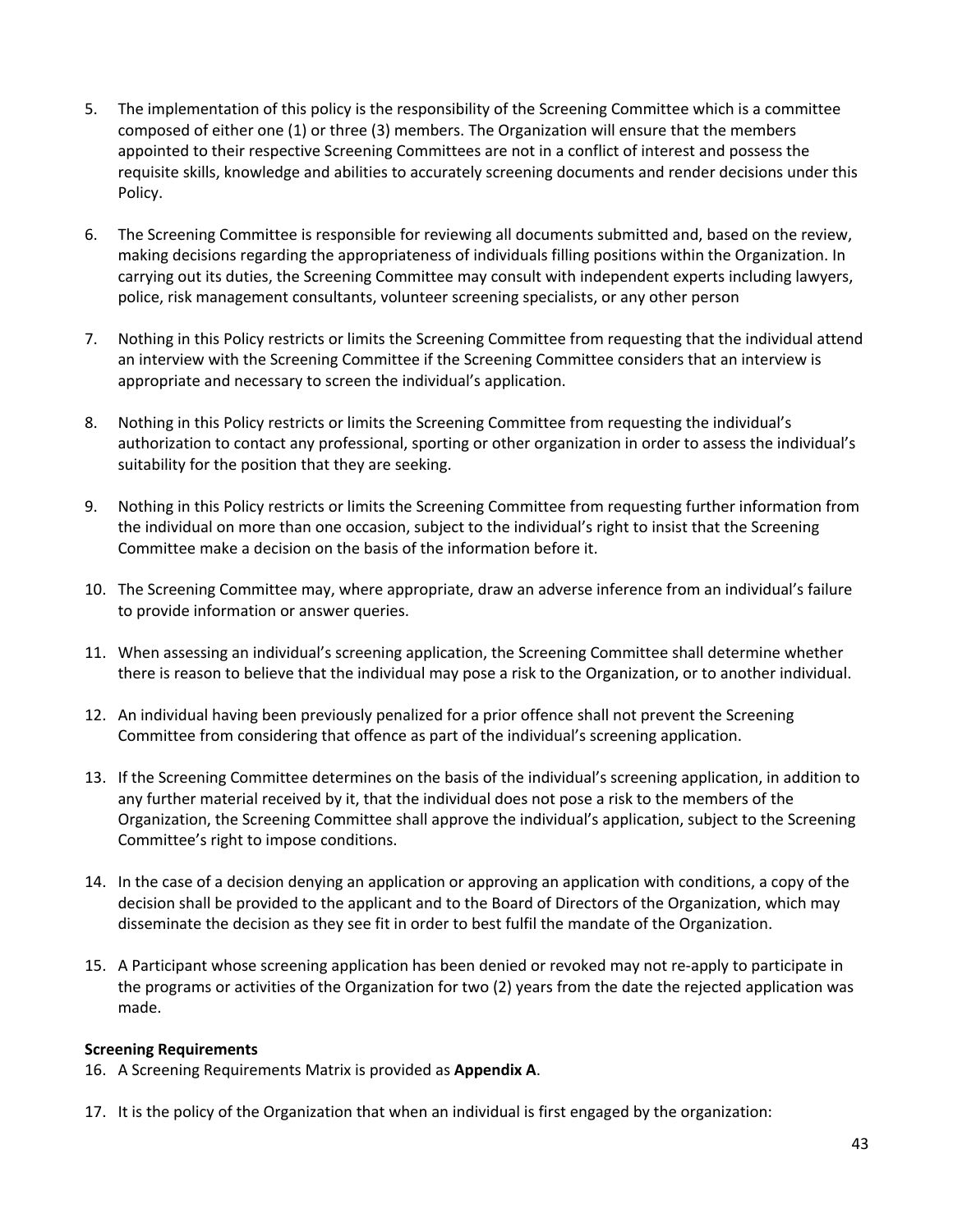- 5. The implementation of this policy is the responsibility of the Screening Committee which is a committee composed of either one (1) or three (3) members. The Organization will ensure that the members appointed to their respective Screening Committees are not in a conflict of interest and possess the requisite skills, knowledge and abilities to accurately screening documents and render decisions under this Policy.
- 6. The Screening Committee is responsible for reviewing all documents submitted and, based on the review, making decisions regarding the appropriateness of individuals filling positions within the Organization. In carrying out its duties, the Screening Committee may consult with independent experts including lawyers, police, risk management consultants, volunteer screening specialists, or any other person
- 7. Nothing in this Policy restricts or limits the Screening Committee from requesting that the individual attend an interview with the Screening Committee if the Screening Committee considers that an interview is appropriate and necessary to screen the individual's application.
- 8. Nothing in this Policy restricts or limits the Screening Committee from requesting the individual's authorization to contact any professional, sporting or other organization in order to assess the individual's suitability for the position that they are seeking.
- 9. Nothing in this Policy restricts or limits the Screening Committee from requesting further information from the individual on more than one occasion, subject to the individual's right to insist that the Screening Committee make a decision on the basis of the information before it.
- 10. The Screening Committee may, where appropriate, draw an adverse inference from an individual's failure to provide information or answer queries.
- 11. When assessing an individual's screening application, the Screening Committee shall determine whether there is reason to believe that the individual may pose a risk to the Organization, or to another individual.
- 12. An individual having been previously penalized for a prior offence shall not prevent the Screening Committee from considering that offence as part of the individual's screening application.
- 13. If the Screening Committee determines on the basis of the individual's screening application, in addition to any further material received by it, that the individual does not pose a risk to the members of the Organization, the Screening Committee shall approve the individual's application, subject to the Screening Committee's right to impose conditions.
- 14. In the case of a decision denying an application or approving an application with conditions, a copy of the decision shall be provided to the applicant and to the Board of Directors of the Organization, which may disseminate the decision as they see fit in order to best fulfil the mandate of the Organization.
- 15. A Participant whose screening application has been denied or revoked may not re-apply to participate in the programs or activities of the Organization for two (2) years from the date the rejected application was made.

#### **Screening Requirements**

- 16. A Screening Requirements Matrix is provided as **Appendix A**.
- 17. It is the policy of the Organization that when an individual is first engaged by the organization: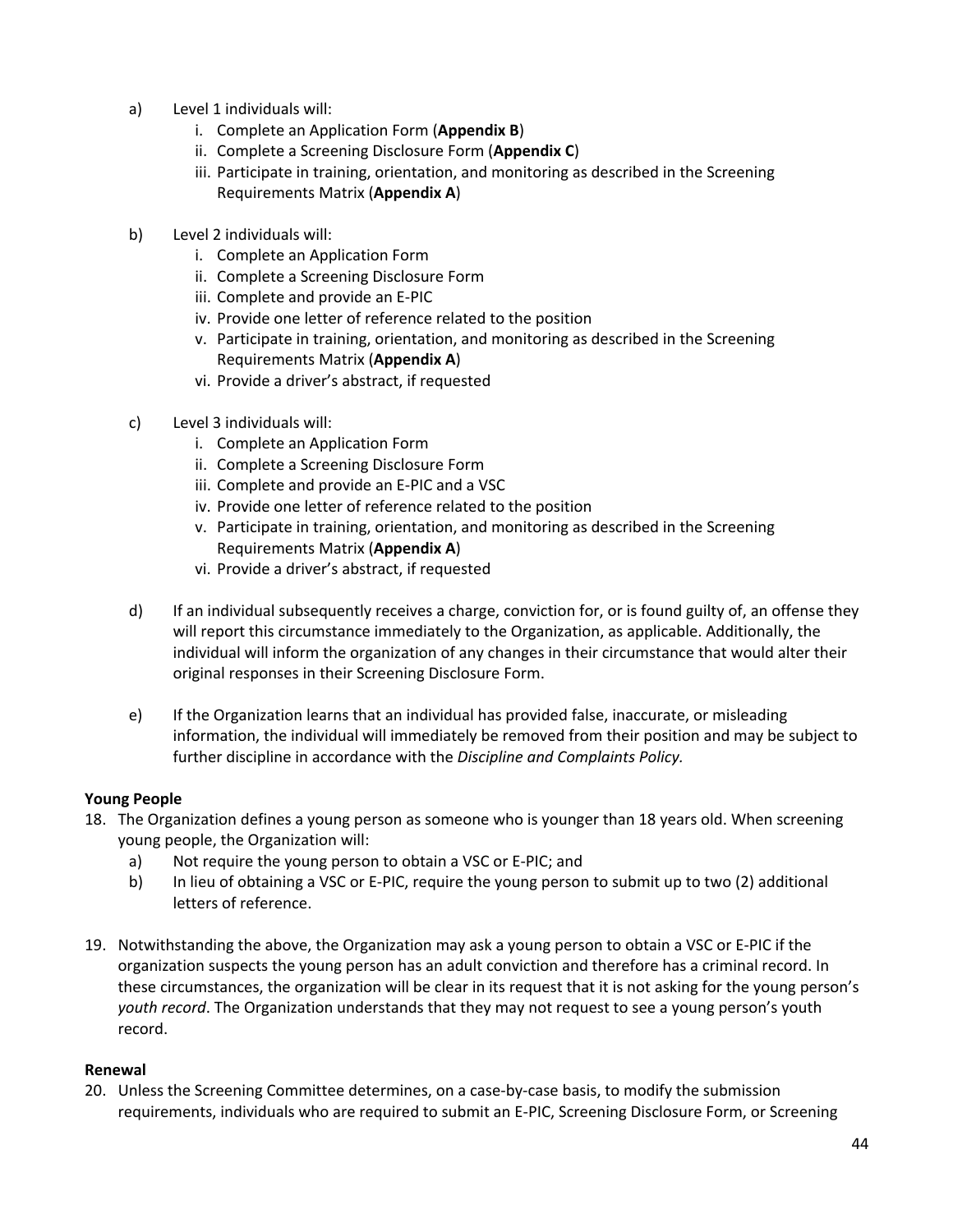- a) Level 1 individuals will:
	- i. Complete an Application Form (**Appendix B**)
	- ii. Complete a Screening Disclosure Form (**Appendix C**)
	- iii. Participate in training, orientation, and monitoring as described in the Screening Requirements Matrix (**Appendix A**)
- b) Level 2 individuals will:
	- i. Complete an Application Form
	- ii. Complete a Screening Disclosure Form
	- iii. Complete and provide an E-PIC
	- iv. Provide one letter of reference related to the position
	- v. Participate in training, orientation, and monitoring as described in the Screening Requirements Matrix (**Appendix A**)
	- vi. Provide a driver's abstract, if requested
- c) Level 3 individuals will:
	- i. Complete an Application Form
	- ii. Complete a Screening Disclosure Form
	- iii. Complete and provide an E-PIC and a VSC
	- iv. Provide one letter of reference related to the position
	- v. Participate in training, orientation, and monitoring as described in the Screening Requirements Matrix (**Appendix A**)
	- vi. Provide a driver's abstract, if requested
- d) If an individual subsequently receives a charge, conviction for, or is found guilty of, an offense they will report this circumstance immediately to the Organization, as applicable. Additionally, the individual will inform the organization of any changes in their circumstance that would alter their original responses in their Screening Disclosure Form.
- e) If the Organization learns that an individual has provided false, inaccurate, or misleading information, the individual will immediately be removed from their position and may be subject to further discipline in accordance with the *Discipline and Complaints Policy.*

#### **Young People**

- 18. The Organization defines a young person as someone who is younger than 18 years old. When screening young people, the Organization will:
	- a) Not require the young person to obtain a VSC or E-PIC; and
	- b) In lieu of obtaining a VSC or E-PIC, require the young person to submit up to two (2) additional letters of reference.
- 19. Notwithstanding the above, the Organization may ask a young person to obtain a VSC or E-PIC if the organization suspects the young person has an adult conviction and therefore has a criminal record. In these circumstances, the organization will be clear in its request that it is not asking for the young person's *youth record*. The Organization understands that they may not request to see a young person's youth record.

#### **Renewal**

20. Unless the Screening Committee determines, on a case-by-case basis, to modify the submission requirements, individuals who are required to submit an E-PIC, Screening Disclosure Form, or Screening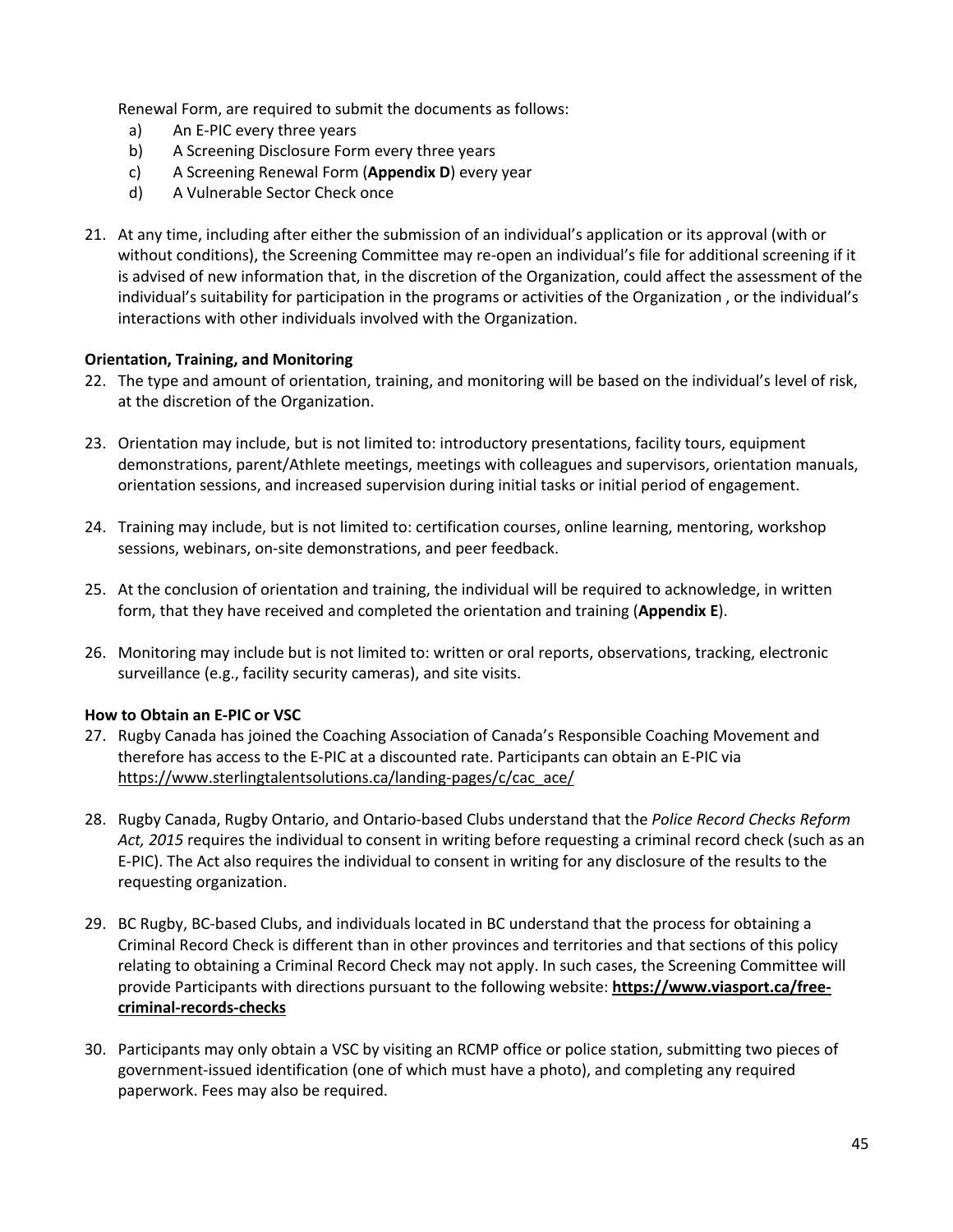Renewal Form, are required to submit the documents as follows:

- a) An E-PIC every three years
- b) A Screening Disclosure Form every three years
- c) A Screening Renewal Form (**Appendix D**) every year
- d) A Vulnerable Sector Check once
- 21. At any time, including after either the submission of an individual's application or its approval (with or without conditions), the Screening Committee may re-open an individual's file for additional screening if it is advised of new information that, in the discretion of the Organization, could affect the assessment of the individual's suitability for participation in the programs or activities of the Organization , or the individual's interactions with other individuals involved with the Organization.

#### **Orientation, Training, and Monitoring**

- 22. The type and amount of orientation, training, and monitoring will be based on the individual's level of risk, at the discretion of the Organization.
- 23. Orientation may include, but is not limited to: introductory presentations, facility tours, equipment demonstrations, parent/Athlete meetings, meetings with colleagues and supervisors, orientation manuals, orientation sessions, and increased supervision during initial tasks or initial period of engagement.
- 24. Training may include, but is not limited to: certification courses, online learning, mentoring, workshop sessions, webinars, on-site demonstrations, and peer feedback.
- 25. At the conclusion of orientation and training, the individual will be required to acknowledge, in written form, that they have received and completed the orientation and training (**Appendix E**).
- 26. Monitoring may include but is not limited to: written or oral reports, observations, tracking, electronic surveillance (e.g., facility security cameras), and site visits.

#### **How to Obtain an E-PIC or VSC**

- 27. Rugby Canada has joined the Coaching Association of Canada's Responsible Coaching Movement and therefore has access to the E-PIC at a discounted rate. Participants can obtain an E-PIC via https://www.sterlingtalentsolutions.ca/landing-pages/c/cac\_ace/
- 28. Rugby Canada, Rugby Ontario, and Ontario-based Clubs understand that the *Police Record Checks Reform Act, 2015* requires the individual to consent in writing before requesting a criminal record check (such as an E-PIC). The Act also requires the individual to consent in writing for any disclosure of the results to the requesting organization.
- 29. BC Rugby, BC-based Clubs, and individuals located in BC understand that the process for obtaining a Criminal Record Check is different than in other provinces and territories and that sections of this policy relating to obtaining a Criminal Record Check may not apply. In such cases, the Screening Committee will provide Participants with directions pursuant to the following website: **https://www.viasport.ca/freecriminal-records-checks**
- 30. Participants may only obtain a VSC by visiting an RCMP office or police station, submitting two pieces of government-issued identification (one of which must have a photo), and completing any required paperwork. Fees may also be required.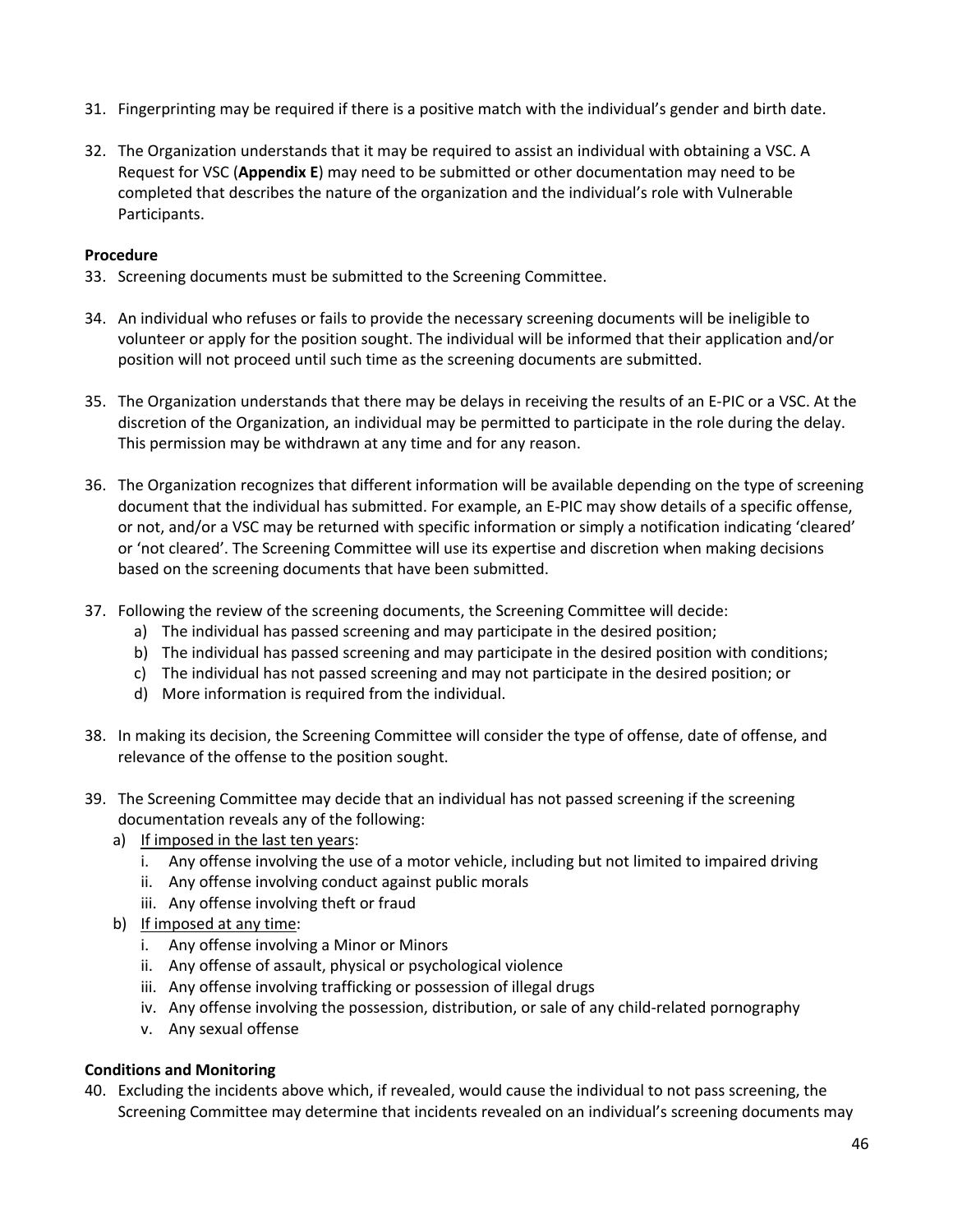- 31. Fingerprinting may be required if there is a positive match with the individual's gender and birth date.
- 32. The Organization understands that it may be required to assist an individual with obtaining a VSC. A Request for VSC (**Appendix E**) may need to be submitted or other documentation may need to be completed that describes the nature of the organization and the individual's role with Vulnerable Participants.

#### **Procedure**

- 33. Screening documents must be submitted to the Screening Committee.
- 34. An individual who refuses or fails to provide the necessary screening documents will be ineligible to volunteer or apply for the position sought. The individual will be informed that their application and/or position will not proceed until such time as the screening documents are submitted.
- 35. The Organization understands that there may be delays in receiving the results of an E-PIC or a VSC. At the discretion of the Organization, an individual may be permitted to participate in the role during the delay. This permission may be withdrawn at any time and for any reason.
- 36. The Organization recognizes that different information will be available depending on the type of screening document that the individual has submitted. For example, an E-PIC may show details of a specific offense, or not, and/or a VSC may be returned with specific information or simply a notification indicating 'cleared' or 'not cleared'. The Screening Committee will use its expertise and discretion when making decisions based on the screening documents that have been submitted.
- 37. Following the review of the screening documents, the Screening Committee will decide:
	- a) The individual has passed screening and may participate in the desired position;
	- b) The individual has passed screening and may participate in the desired position with conditions;
	- c) The individual has not passed screening and may not participate in the desired position; or
	- d) More information is required from the individual.
- 38. In making its decision, the Screening Committee will consider the type of offense, date of offense, and relevance of the offense to the position sought.
- 39. The Screening Committee may decide that an individual has not passed screening if the screening documentation reveals any of the following:
	- a) If imposed in the last ten years:
		- i. Any offense involving the use of a motor vehicle, including but not limited to impaired driving
		- ii. Any offense involving conduct against public morals
		- iii. Any offense involving theft or fraud
	- b) If imposed at any time:
		- i. Any offense involving a Minor or Minors
		- ii. Any offense of assault, physical or psychological violence
		- iii. Any offense involving trafficking or possession of illegal drugs
		- iv. Any offense involving the possession, distribution, or sale of any child-related pornography
		- v. Any sexual offense

#### **Conditions and Monitoring**

40. Excluding the incidents above which, if revealed, would cause the individual to not pass screening, the Screening Committee may determine that incidents revealed on an individual's screening documents may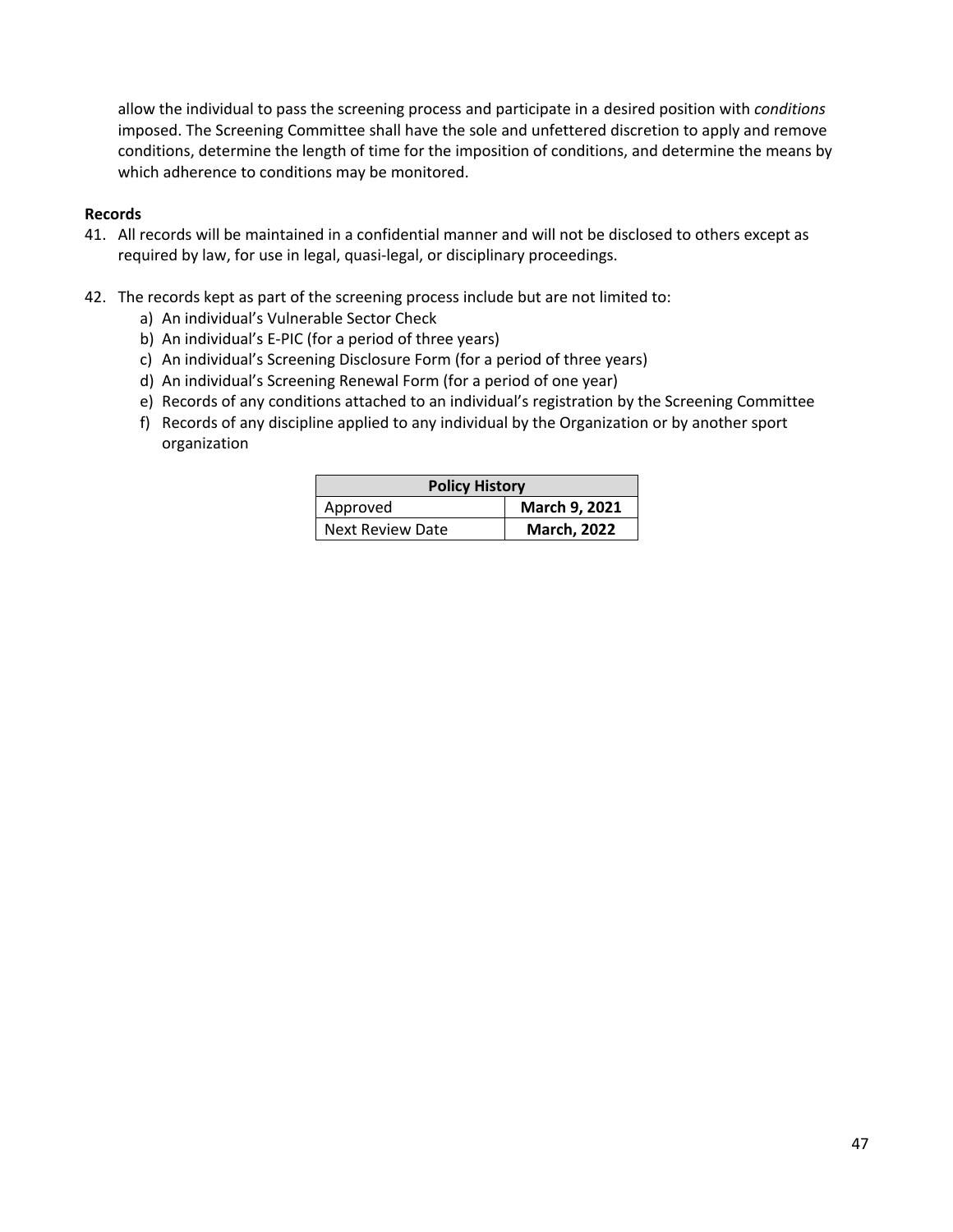allow the individual to pass the screening process and participate in a desired position with *conditions* imposed. The Screening Committee shall have the sole and unfettered discretion to apply and remove conditions, determine the length of time for the imposition of conditions, and determine the means by which adherence to conditions may be monitored.

#### **Records**

- 41. All records will be maintained in a confidential manner and will not be disclosed to others except as required by law, for use in legal, quasi-legal, or disciplinary proceedings.
- 42. The records kept as part of the screening process include but are not limited to:
	- a) An individual's Vulnerable Sector Check
	- b) An individual's E-PIC (for a period of three years)
	- c) An individual's Screening Disclosure Form (for a period of three years)
	- d) An individual's Screening Renewal Form (for a period of one year)
	- e) Records of any conditions attached to an individual's registration by the Screening Committee
	- f) Records of any discipline applied to any individual by the Organization or by another sport organization

| <b>Policy History</b>   |                    |  |
|-------------------------|--------------------|--|
| Approved                | March 9, 2021      |  |
| <b>Next Review Date</b> | <b>March, 2022</b> |  |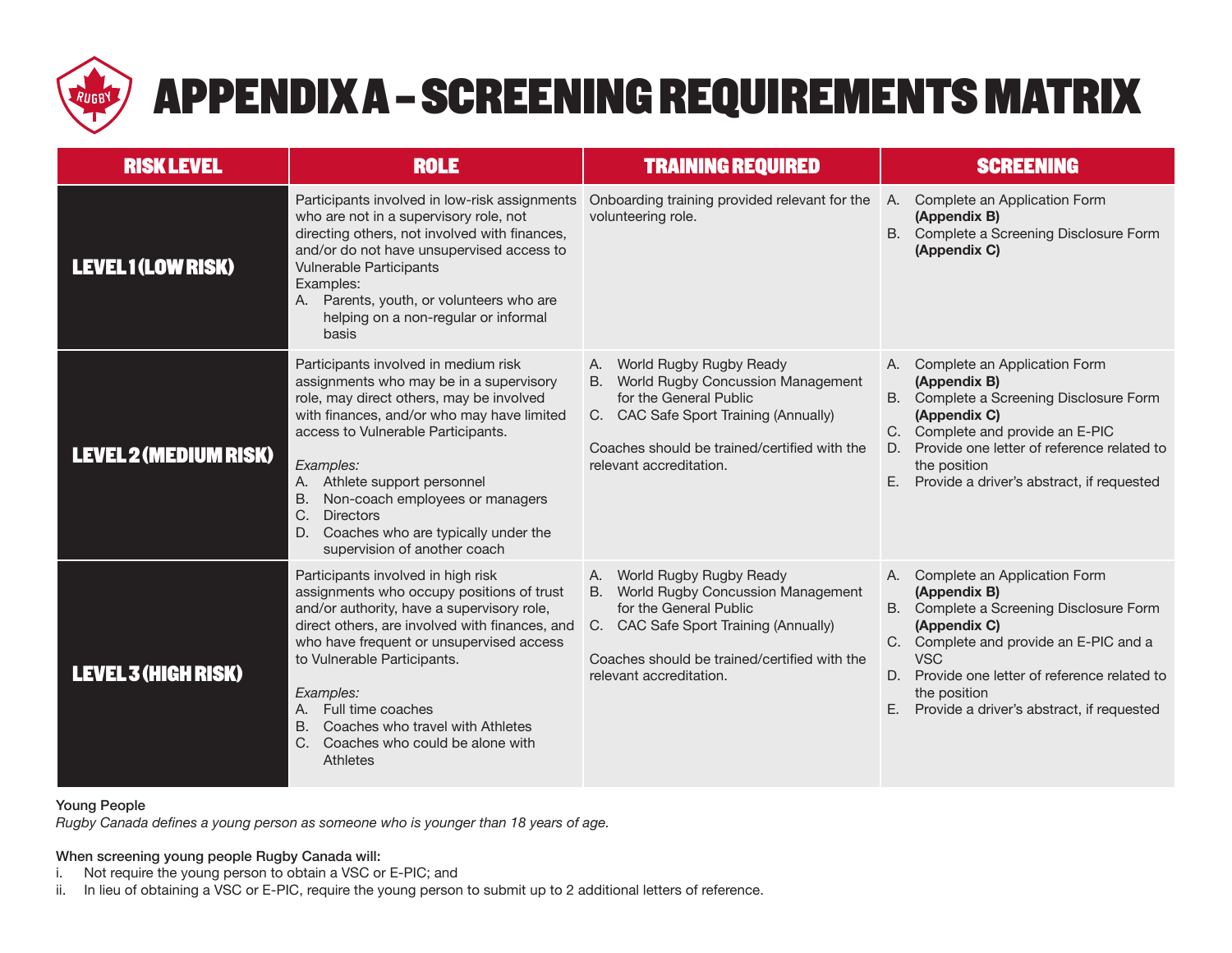

# APPENDIX A – SCREENING REQUIREMENTS MATRIX

| <b>RISK LEVEL</b>            | <b>ROLE</b>                                                                                                                                                                                                                                                                                                                                                                                                         | <b>TRAINING REQUIRED</b>                                                                                                                                                                                                   | <b>SCREENING</b>                                                                                                                                                                                                                                                                                 |
|------------------------------|---------------------------------------------------------------------------------------------------------------------------------------------------------------------------------------------------------------------------------------------------------------------------------------------------------------------------------------------------------------------------------------------------------------------|----------------------------------------------------------------------------------------------------------------------------------------------------------------------------------------------------------------------------|--------------------------------------------------------------------------------------------------------------------------------------------------------------------------------------------------------------------------------------------------------------------------------------------------|
| <b>LEVEL1(LOW RISK)</b>      | Participants involved in low-risk assignments<br>who are not in a supervisory role, not<br>directing others, not involved with finances,<br>and/or do not have unsupervised access to<br><b>Vulnerable Participants</b><br>Examples:<br>Parents, youth, or volunteers who are<br>A.<br>helping on a non-regular or informal<br>basis                                                                                | Onboarding training provided relevant for the<br>volunteering role.                                                                                                                                                        | Complete an Application Form<br>A.<br>(Appendix B)<br>B. Complete a Screening Disclosure Form<br>(Appendix C)                                                                                                                                                                                    |
| <b>LEVEL 2 (MEDIUM RISK)</b> | Participants involved in medium risk<br>assignments who may be in a supervisory<br>role, may direct others, may be involved<br>with finances, and/or who may have limited<br>access to Vulnerable Participants.<br>Examples:<br>A. Athlete support personnel<br><b>B.</b><br>Non-coach employees or managers<br>C.<br><b>Directors</b><br>D.<br>Coaches who are typically under the<br>supervision of another coach | A. World Rugby Rugby Ready<br>World Rugby Concussion Management<br><b>B.</b><br>for the General Public<br>C. CAC Safe Sport Training (Annually)<br>Coaches should be trained/certified with the<br>relevant accreditation. | Complete an Application Form<br>A.<br>(Appendix B)<br><b>B.</b><br>Complete a Screening Disclosure Form<br>(Appendix C)<br>C. Complete and provide an E-PIC<br>Provide one letter of reference related to<br>D.<br>the position<br>E.<br>Provide a driver's abstract, if requested               |
| <b>LEVEL 3 (HIGH RISK)</b>   | Participants involved in high risk<br>assignments who occupy positions of trust<br>and/or authority, have a supervisory role,<br>direct others, are involved with finances, and<br>who have frequent or unsupervised access<br>to Vulnerable Participants.<br>Examples:<br>A. Full time coaches<br>Coaches who travel with Athletes<br><b>B.</b><br>C.<br>Coaches who could be alone with<br>Athletes               | A. World Rugby Rugby Ready<br>World Rugby Concussion Management<br><b>B.</b><br>for the General Public<br>C. CAC Safe Sport Training (Annually)<br>Coaches should be trained/certified with the<br>relevant accreditation. | A. Complete an Application Form<br>(Appendix B)<br>B. Complete a Screening Disclosure Form<br>(Appendix C)<br>C. Complete and provide an E-PIC and a<br><b>VSC</b><br>D. Provide one letter of reference related to<br>the position<br>$E_{\rm{r}}$<br>Provide a driver's abstract, if requested |

#### Young People

*Rugby Canada defines a young person as someone who is younger than 18 years of age.*

#### When screening young people Rugby Canada will:

- i. Not require the young person to obtain a VSC or E-PIC; and<br>ii. In lieu of obtaining a VSC or E-PIC, require the young person
- In lieu of obtaining a VSC or E-PIC, require the young person to submit up to 2 additional letters of reference.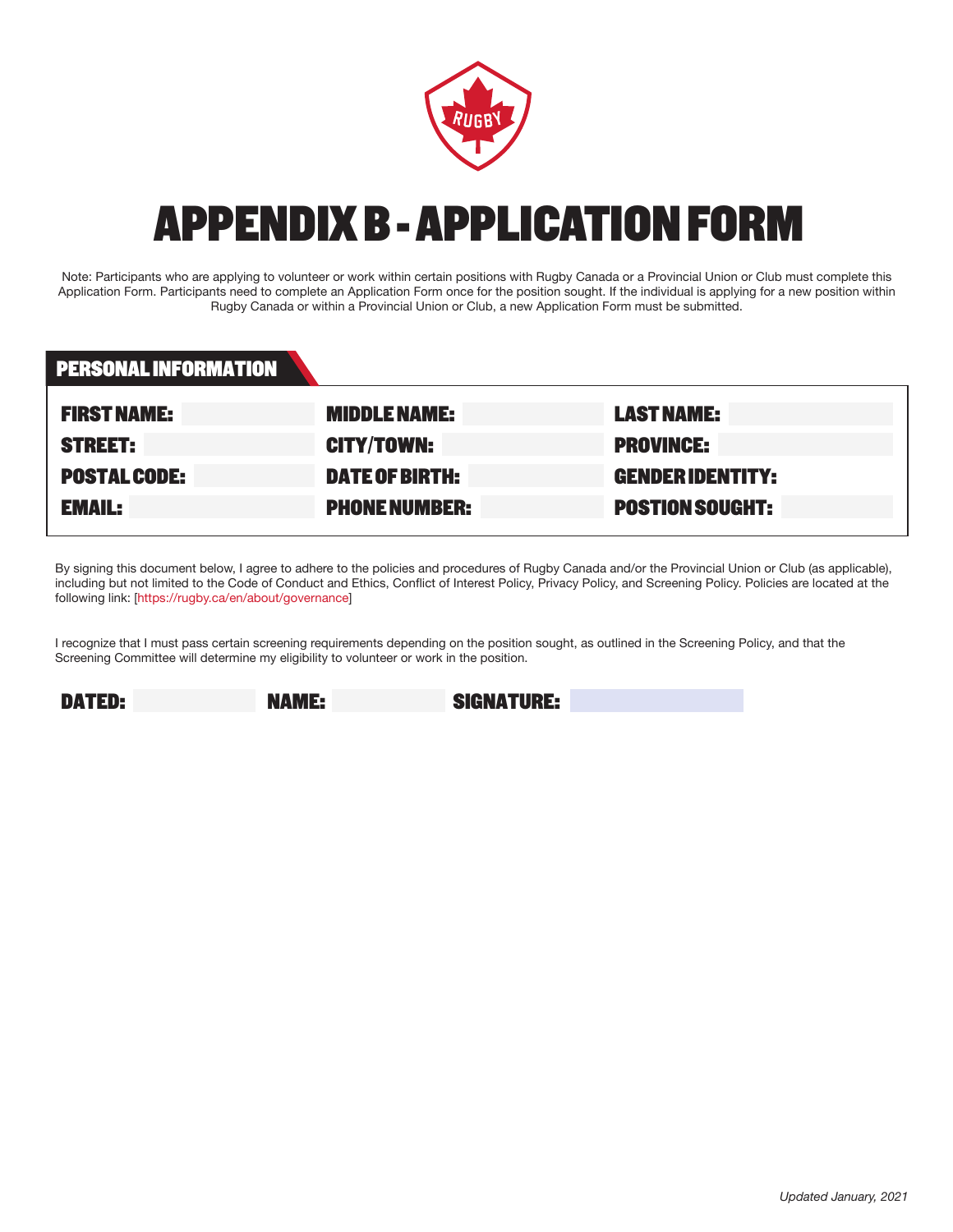

# APPENDIX B - APPLICATION FORM

Note: Participants who are applying to volunteer or work within certain positions with Rugby Canada or a Provincial Union or Club must complete this Application Form. Participants need to complete an Application Form once for the position sought. If the individual is applying for a new position within Rugby Canada or within a Provincial Union or Club, a new Application Form must be submitted.

| PERSONAL INFORMATION |                       |                         |
|----------------------|-----------------------|-------------------------|
| <b>FIRST NAME:</b>   | <b>MIDDLE NAME:</b>   | <b>LAST NAME:</b>       |
| <b>STREET:</b>       | <b>CITY/TOWN:</b>     | <b>PROVINCE:</b>        |
| <b>POSTAL CODE:</b>  | <b>DATE OF BIRTH:</b> | <b>GENDER IDENTITY:</b> |
| <b>EMAIL:</b>        | <b>PHONE NUMBER:</b>  | <b>POSTION SOUGHT:</b>  |

By signing this document below, I agree to adhere to the policies and procedures of Rugby Canada and/or the Provincial Union or Club (as applicable), including but not limited to the Code of Conduct and Ethics, Conflict of Interest Policy, Privacy Policy, and Screening Policy. Policies are located at the following link: [https://rugby.ca/en/about/governance]

I recognize that I must pass certain screening requirements depending on the position sought, as outlined in the Screening Policy, and that the Screening Committee will determine my eligibility to volunteer or work in the position.

DATED: NAME: SIGNATURE: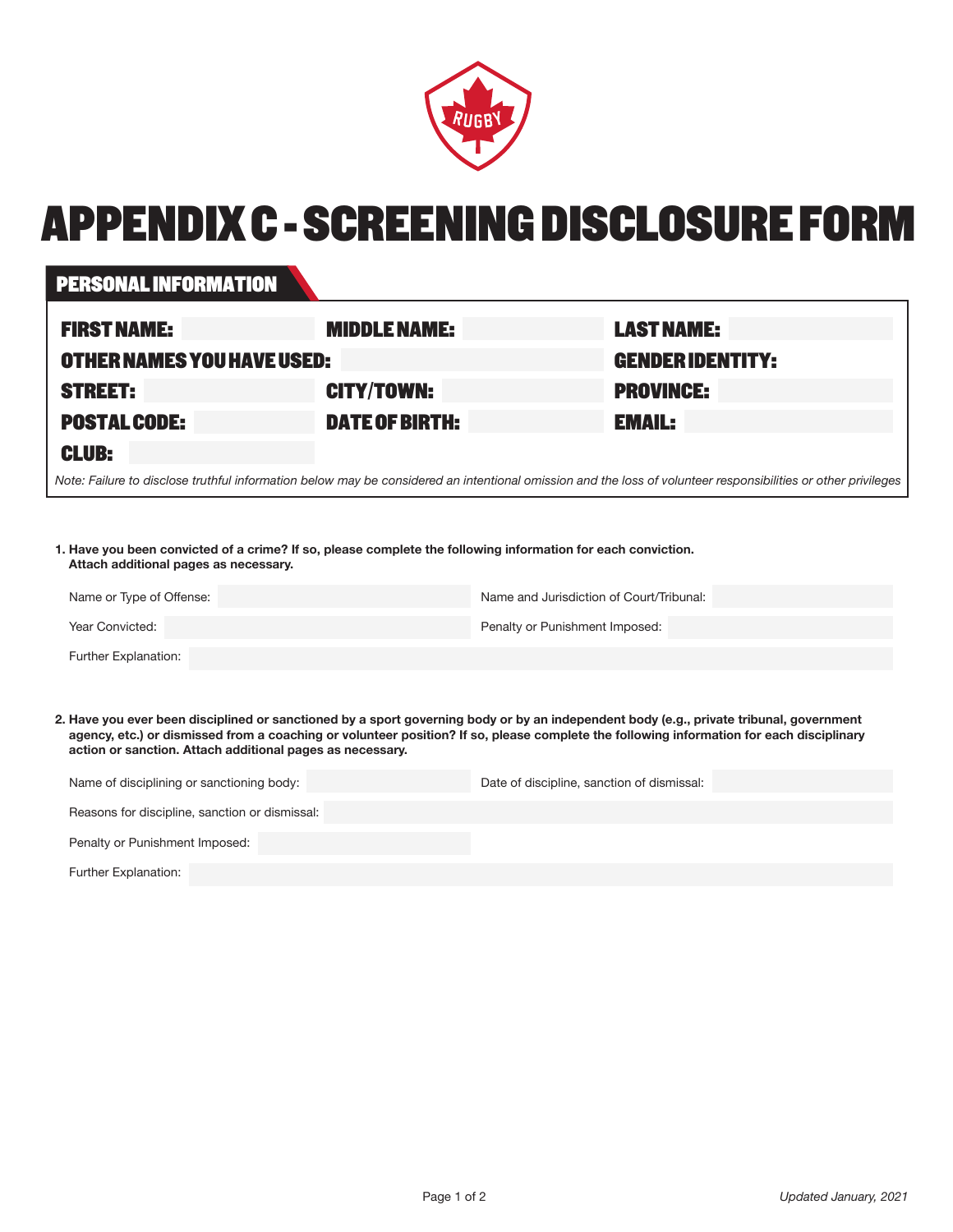

# APPENDIX C - SCREENING DISCLOSURE FORM

#### PERSONAL INFORMATION

| <b>FIRST NAME:</b>                                                                                                                                            | <b>MIDDLE NAME:</b>   | <b>LAST NAME:</b>       |  |
|---------------------------------------------------------------------------------------------------------------------------------------------------------------|-----------------------|-------------------------|--|
| OTHER NAMES YOU HAVE USED:                                                                                                                                    |                       | <b>GENDER IDENTITY:</b> |  |
| <b>STREET:</b>                                                                                                                                                | <b>CITY/TOWN:</b>     | <b>PROVINCE:</b>        |  |
| <b>POSTAL CODE:</b>                                                                                                                                           | <b>DATE OF BIRTH:</b> | <b>EMAIL:</b>           |  |
| <b>CLUB:</b>                                                                                                                                                  |                       |                         |  |
| Note: Failure to disclose truthful information below may be considered an intentional omission and the loss of volunteer responsibilities or other privileges |                       |                         |  |

**1. Have you been convicted of a crime? If so, please complete the following information for each conviction. Attach additional pages as necessary.**

| Name or Type of Offense: | Name and Jurisdiction of Court/Tribunal: |
|--------------------------|------------------------------------------|
| Year Convicted:          | Penalty or Punishment Imposed:           |
| Further Explanation:     |                                          |

**2. Have you ever been disciplined or sanctioned by a sport governing body or by an independent body (e.g., private tribunal, government agency, etc.) or dismissed from a coaching or volunteer position? If so, please complete the following information for each disciplinary action or sanction. Attach additional pages as necessary.**

| Name of disciplining or sanctioning body:      | Date of discipline, sanction of dismissal: |
|------------------------------------------------|--------------------------------------------|
| Reasons for discipline, sanction or dismissal: |                                            |
| Penalty or Punishment Imposed:                 |                                            |
| Further Explanation:                           |                                            |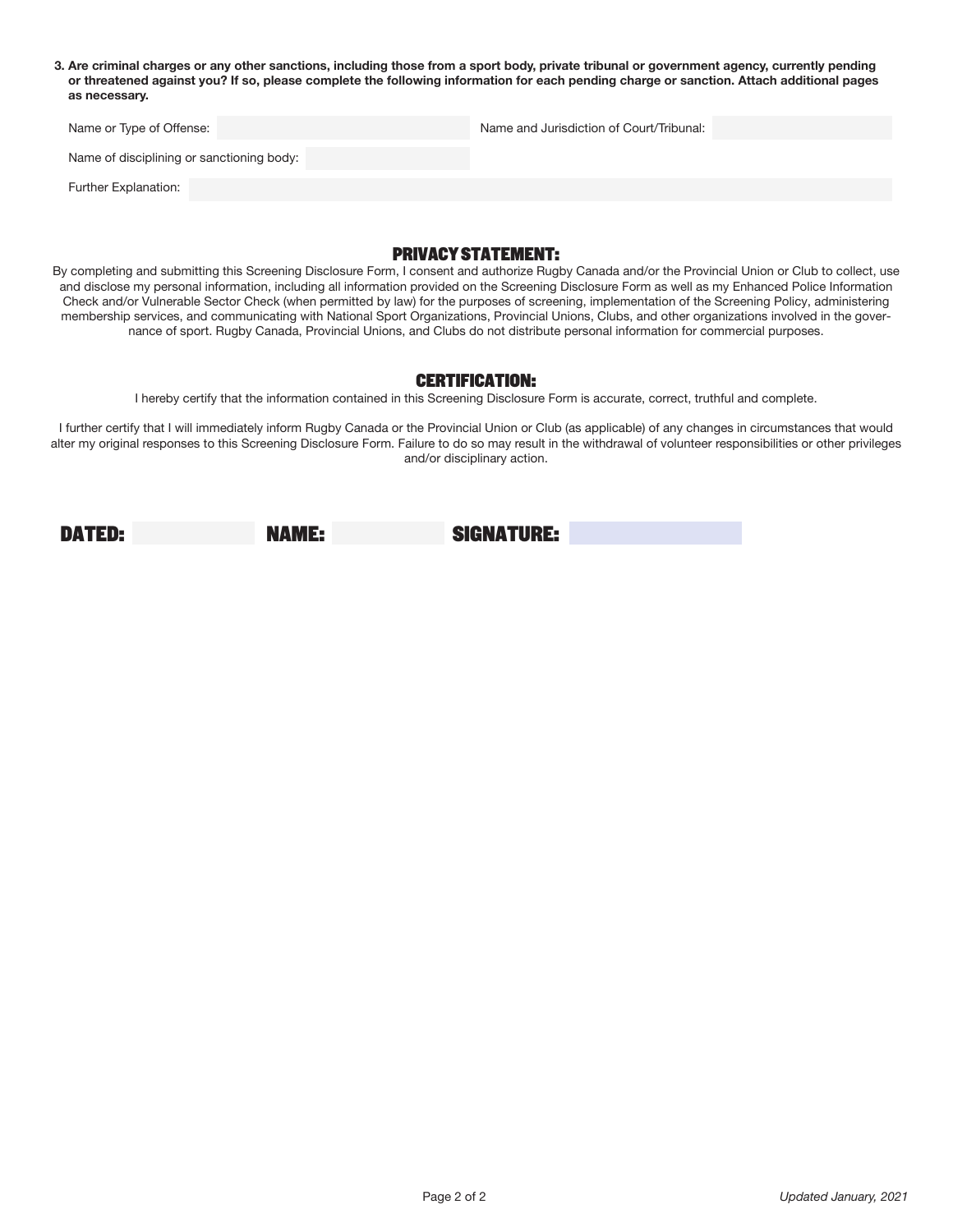**3. Are criminal charges or any other sanctions, including those from a sport body, private tribunal or government agency, currently pending or threatened against you? If so, please complete the following information for each pending charge or sanction. Attach additional pages as necessary.**

| Name or Type of Offense:                  | Name and Jurisdiction of Court/Tribunal: |  |
|-------------------------------------------|------------------------------------------|--|
| Name of disciplining or sanctioning body: |                                          |  |

Further Explanation:

#### PRIVACY STATEMENT:

By completing and submitting this Screening Disclosure Form, I consent and authorize Rugby Canada and/or the Provincial Union or Club to collect, use and disclose my personal information, including all information provided on the Screening Disclosure Form as well as my Enhanced Police Information Check and/or Vulnerable Sector Check (when permitted by law) for the purposes of screening, implementation of the Screening Policy, administering membership services, and communicating with National Sport Organizations, Provincial Unions, Clubs, and other organizations involved in the governance of sport. Rugby Canada, Provincial Unions, and Clubs do not distribute personal information for commercial purposes.

#### CERTIFICATION:

I hereby certify that the information contained in this Screening Disclosure Form is accurate, correct, truthful and complete.

I further certify that I will immediately inform Rugby Canada or the Provincial Union or Club (as applicable) of any changes in circumstances that would alter my original responses to this Screening Disclosure Form. Failure to do so may result in the withdrawal of volunteer responsibilities or other privileges and/or disciplinary action.

DATED: NAME: SIGNATURE: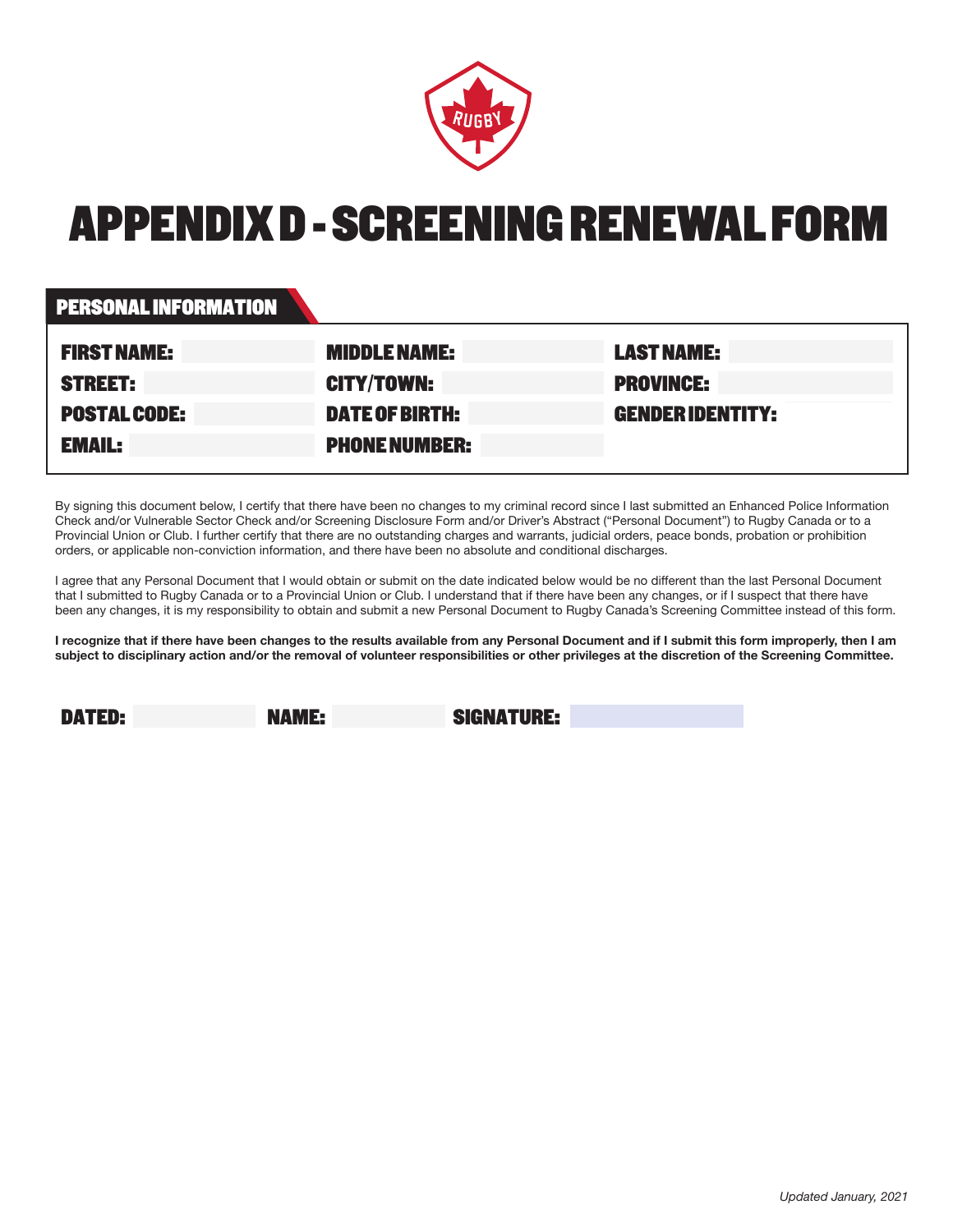

# APPENDIX D - SCREENING RENEWAL FORM

#### PERSONAL INFORMATION

| <b>FIRST NAME:</b>  | <b>MIDDLE NAME:</b>   | <b>LAST NAME:</b>       |
|---------------------|-----------------------|-------------------------|
| <b>STREET:</b>      | <b>CITY/TOWN:</b>     | <b>PROVINCE:</b>        |
| <b>POSTAL CODE:</b> | <b>DATE OF BIRTH:</b> | <b>GENDER IDENTITY:</b> |
| <b>EMAIL:</b>       | <b>PHONE NUMBER:</b>  |                         |

By signing this document below, I certify that there have been no changes to my criminal record since I last submitted an Enhanced Police Information Check and/or Vulnerable Sector Check and/or Screening Disclosure Form and/or Driver's Abstract ("Personal Document") to Rugby Canada or to a Provincial Union or Club. I further certify that there are no outstanding charges and warrants, judicial orders, peace bonds, probation or prohibition orders, or applicable non-conviction information, and there have been no absolute and conditional discharges.

I agree that any Personal Document that I would obtain or submit on the date indicated below would be no different than the last Personal Document that I submitted to Rugby Canada or to a Provincial Union or Club. I understand that if there have been any changes, or if I suspect that there have been any changes, it is my responsibility to obtain and submit a new Personal Document to Rugby Canada's Screening Committee instead of this form.

**I recognize that if there have been changes to the results available from any Personal Document and if I submit this form improperly, then I am subject to disciplinary action and/or the removal of volunteer responsibilities or other privileges at the discretion of the Screening Committee.**

DATED: NAME: SIGNATURE: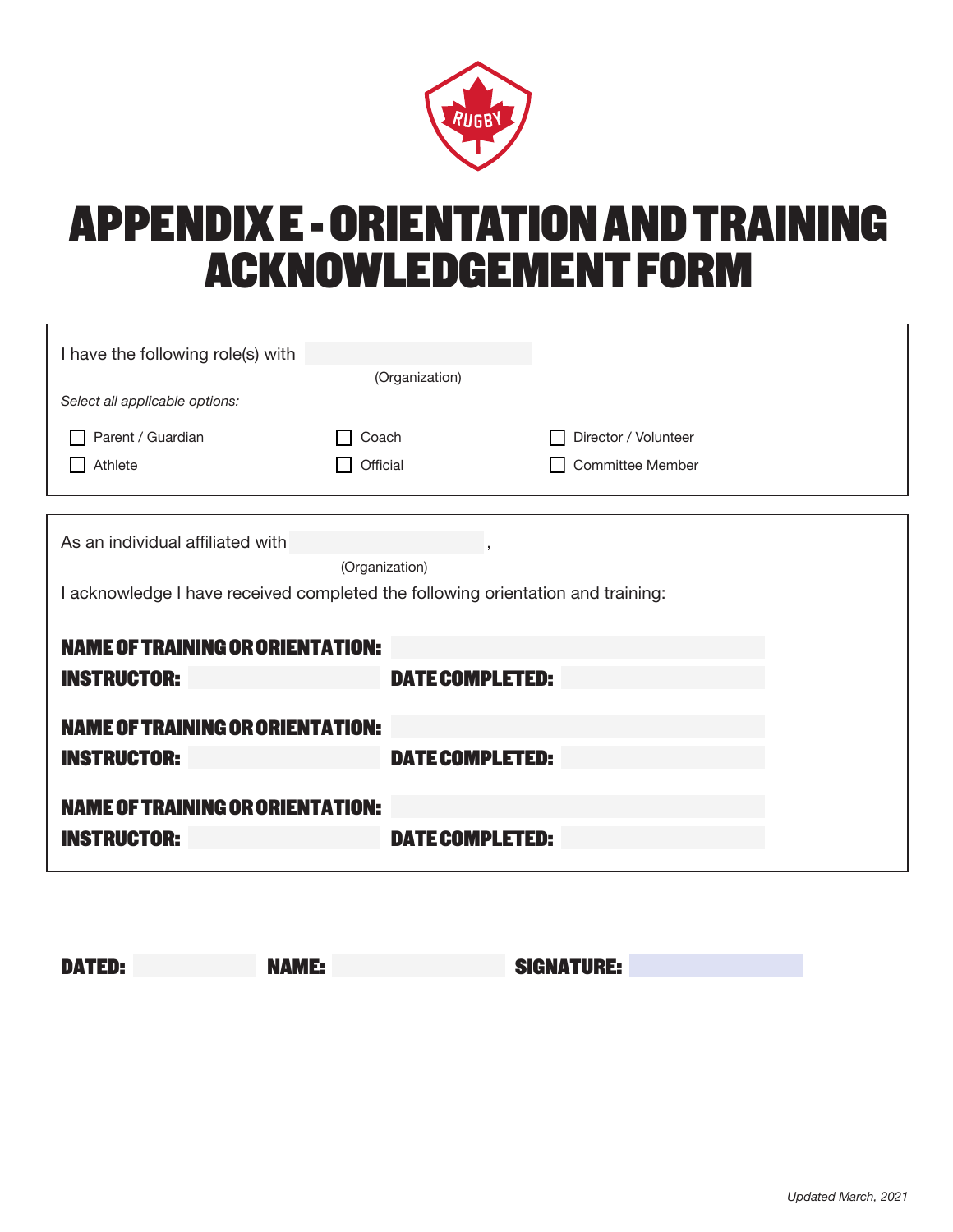

# APPENDIX E - ORIENTATION AND TRAINING ACKNOWLEDGEMENT FORM

| I have the following role(s) with                                               | (Organization)         |                         |  |
|---------------------------------------------------------------------------------|------------------------|-------------------------|--|
| Select all applicable options:                                                  |                        |                         |  |
| Parent / Guardian                                                               | Coach                  | Director / Volunteer    |  |
| Athlete                                                                         | Official               | <b>Committee Member</b> |  |
|                                                                                 |                        |                         |  |
| As an individual affiliated with                                                |                        |                         |  |
|                                                                                 | (Organization)         |                         |  |
| I acknowledge I have received completed the following orientation and training: |                        |                         |  |
|                                                                                 |                        |                         |  |
| <b>NAME OF TRAINING OR ORIENTATION:</b>                                         |                        |                         |  |
| <b>INSTRUCTOR:</b>                                                              | <b>DATE COMPLETED:</b> |                         |  |
|                                                                                 |                        |                         |  |
| <b>NAME OF TRAINING OR ORIENTATION:</b>                                         |                        |                         |  |
| <b>INSTRUCTOR:</b>                                                              | <b>DATE COMPLETED:</b> |                         |  |
| <b>NAME OF TRAINING OR ORIENTATION:</b>                                         |                        |                         |  |
|                                                                                 |                        |                         |  |
| <b>INSTRUCTOR:</b>                                                              | <b>DATE COMPLETED:</b> |                         |  |

| <b>DATED:</b> | <b>NAME:</b> | <b>SIGNATURE:</b> |
|---------------|--------------|-------------------|
|               |              |                   |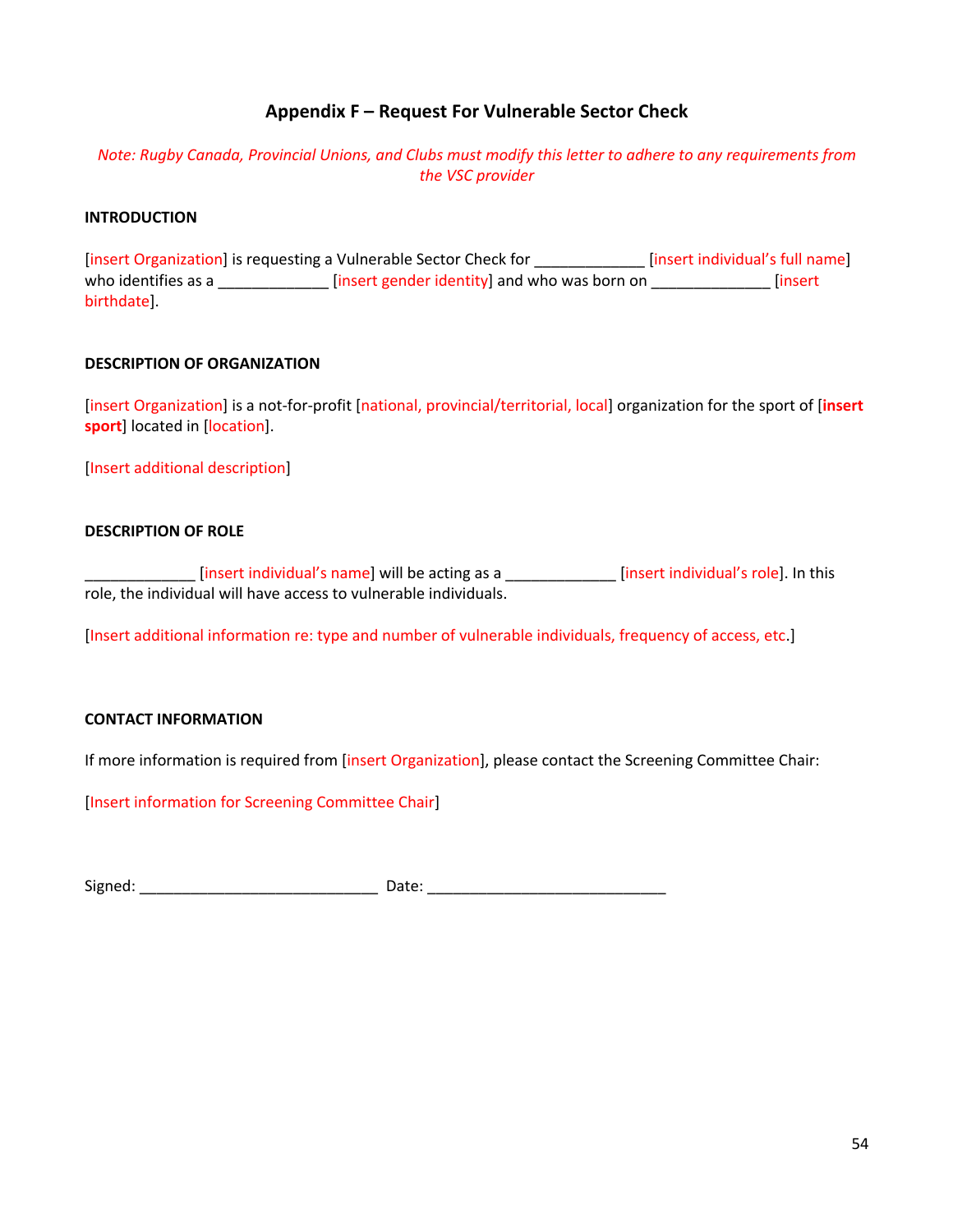#### **Appendix F – Request For Vulnerable Sector Check**

#### *Note: Rugby Canada, Provincial Unions, and Clubs must modify this letter to adhere to any requirements from the VSC provider*

#### **INTRODUCTION**

[insert Organization] is requesting a Vulnerable Sector Check for \_\_\_\_\_\_\_\_\_\_\_\_\_ [insert individual's full name] who identifies as a \_\_\_\_\_\_\_\_\_\_\_\_\_\_\_ [insert gender identity] and who was born on \_\_\_\_\_\_\_\_\_\_\_\_\_\_\_\_\_ [insert birthdate].

#### **DESCRIPTION OF ORGANIZATION**

[insert Organization] is a not-for-profit [national, provincial/territorial, local] organization for the sport of [**insert sport**] located in [location].

[Insert additional description]

#### **DESCRIPTION OF ROLE**

\_\_\_\_\_\_\_\_\_\_\_\_\_ [insert individual's name] will be acting as a \_\_\_\_\_\_\_\_\_\_\_\_\_ [insert individual's role]. In this role, the individual will have access to vulnerable individuals.

[Insert additional information re: type and number of vulnerable individuals, frequency of access, etc.]

#### **CONTACT INFORMATION**

If more information is required from [insert Organization], please contact the Screening Committee Chair:

[Insert information for Screening Committee Chair]

Signed: \_\_\_\_\_\_\_\_\_\_\_\_\_\_\_\_\_\_\_\_\_\_\_\_\_\_\_\_ Date: \_\_\_\_\_\_\_\_\_\_\_\_\_\_\_\_\_\_\_\_\_\_\_\_\_\_\_\_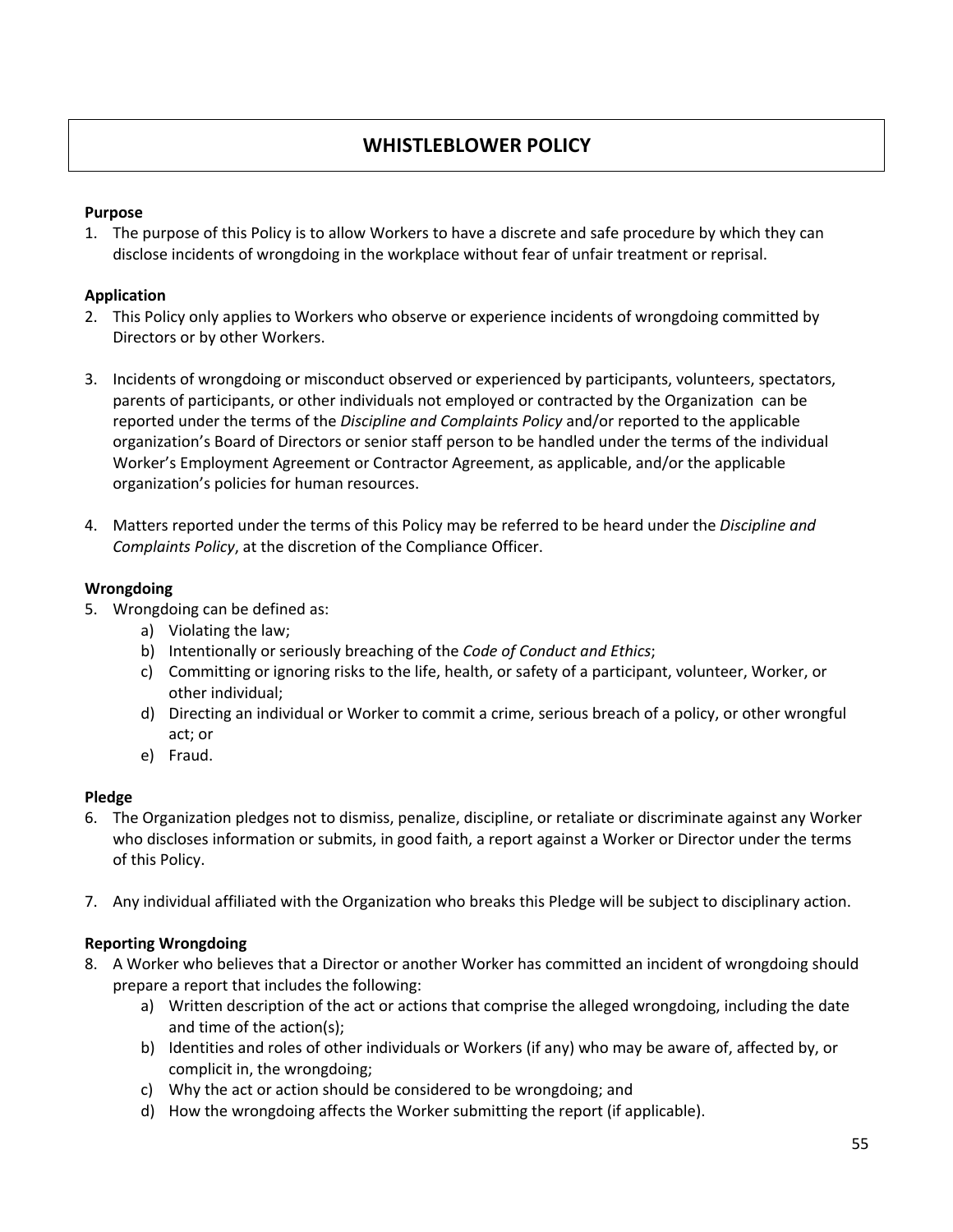#### **WHISTLEBLOWER POLICY**

#### **Purpose**

1. The purpose of this Policy is to allow Workers to have a discrete and safe procedure by which they can disclose incidents of wrongdoing in the workplace without fear of unfair treatment or reprisal.

#### **Application**

- 2. This Policy only applies to Workers who observe or experience incidents of wrongdoing committed by Directors or by other Workers.
- 3. Incidents of wrongdoing or misconduct observed or experienced by participants, volunteers, spectators, parents of participants, or other individuals not employed or contracted by the Organization can be reported under the terms of the *Discipline and Complaints Policy* and/or reported to the applicable organization's Board of Directors or senior staff person to be handled under the terms of the individual Worker's Employment Agreement or Contractor Agreement, as applicable, and/or the applicable organization's policies for human resources.
- 4. Matters reported under the terms of this Policy may be referred to be heard under the *Discipline and Complaints Policy*, at the discretion of the Compliance Officer.

#### **Wrongdoing**

- 5. Wrongdoing can be defined as:
	- a) Violating the law;
	- b) Intentionally or seriously breaching of the *Code of Conduct and Ethics*;
	- c) Committing or ignoring risks to the life, health, or safety of a participant, volunteer, Worker, or other individual;
	- d) Directing an individual or Worker to commit a crime, serious breach of a policy, or other wrongful act; or
	- e) Fraud.

#### **Pledge**

- 6. The Organization pledges not to dismiss, penalize, discipline, or retaliate or discriminate against any Worker who discloses information or submits, in good faith, a report against a Worker or Director under the terms of this Policy.
- 7. Any individual affiliated with the Organization who breaks this Pledge will be subject to disciplinary action.

#### **Reporting Wrongdoing**

- 8. A Worker who believes that a Director or another Worker has committed an incident of wrongdoing should prepare a report that includes the following:
	- a) Written description of the act or actions that comprise the alleged wrongdoing, including the date and time of the action(s);
	- b) Identities and roles of other individuals or Workers (if any) who may be aware of, affected by, or complicit in, the wrongdoing;
	- c) Why the act or action should be considered to be wrongdoing; and
	- d) How the wrongdoing affects the Worker submitting the report (if applicable).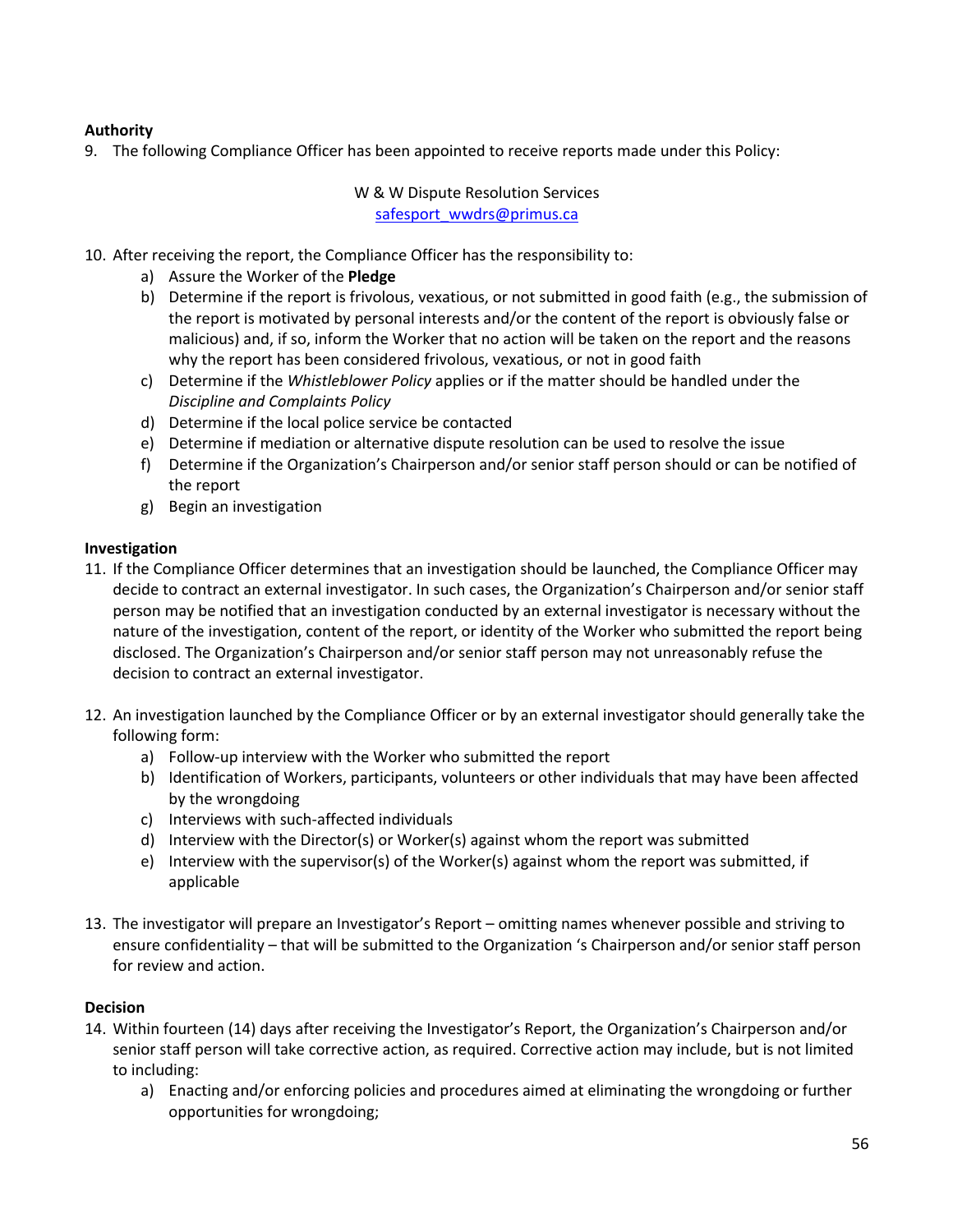#### **Authority**

9. The following Compliance Officer has been appointed to receive reports made under this Policy:

W & W Dispute Resolution Services safesport\_wwdrs@primus.ca

- 10. After receiving the report, the Compliance Officer has the responsibility to:
	- a) Assure the Worker of the **Pledge**
	- b) Determine if the report is frivolous, vexatious, or not submitted in good faith (e.g., the submission of the report is motivated by personal interests and/or the content of the report is obviously false or malicious) and, if so, inform the Worker that no action will be taken on the report and the reasons why the report has been considered frivolous, vexatious, or not in good faith
	- c) Determine if the *Whistleblower Policy* applies or if the matter should be handled under the *Discipline and Complaints Policy*
	- d) Determine if the local police service be contacted
	- e) Determine if mediation or alternative dispute resolution can be used to resolve the issue
	- f) Determine if the Organization's Chairperson and/or senior staff person should or can be notified of the report
	- g) Begin an investigation

#### **Investigation**

- 11. If the Compliance Officer determines that an investigation should be launched, the Compliance Officer may decide to contract an external investigator. In such cases, the Organization's Chairperson and/or senior staff person may be notified that an investigation conducted by an external investigator is necessary without the nature of the investigation, content of the report, or identity of the Worker who submitted the report being disclosed. The Organization's Chairperson and/or senior staff person may not unreasonably refuse the decision to contract an external investigator.
- 12. An investigation launched by the Compliance Officer or by an external investigator should generally take the following form:
	- a) Follow-up interview with the Worker who submitted the report
	- b) Identification of Workers, participants, volunteers or other individuals that may have been affected by the wrongdoing
	- c) Interviews with such-affected individuals
	- d) Interview with the Director(s) or Worker(s) against whom the report was submitted
	- e) Interview with the supervisor(s) of the Worker(s) against whom the report was submitted, if applicable
- 13. The investigator will prepare an Investigator's Report omitting names whenever possible and striving to ensure confidentiality – that will be submitted to the Organization 's Chairperson and/or senior staff person for review and action.

#### **Decision**

- 14. Within fourteen (14) days after receiving the Investigator's Report, the Organization's Chairperson and/or senior staff person will take corrective action, as required. Corrective action may include, but is not limited to including:
	- a) Enacting and/or enforcing policies and procedures aimed at eliminating the wrongdoing or further opportunities for wrongdoing;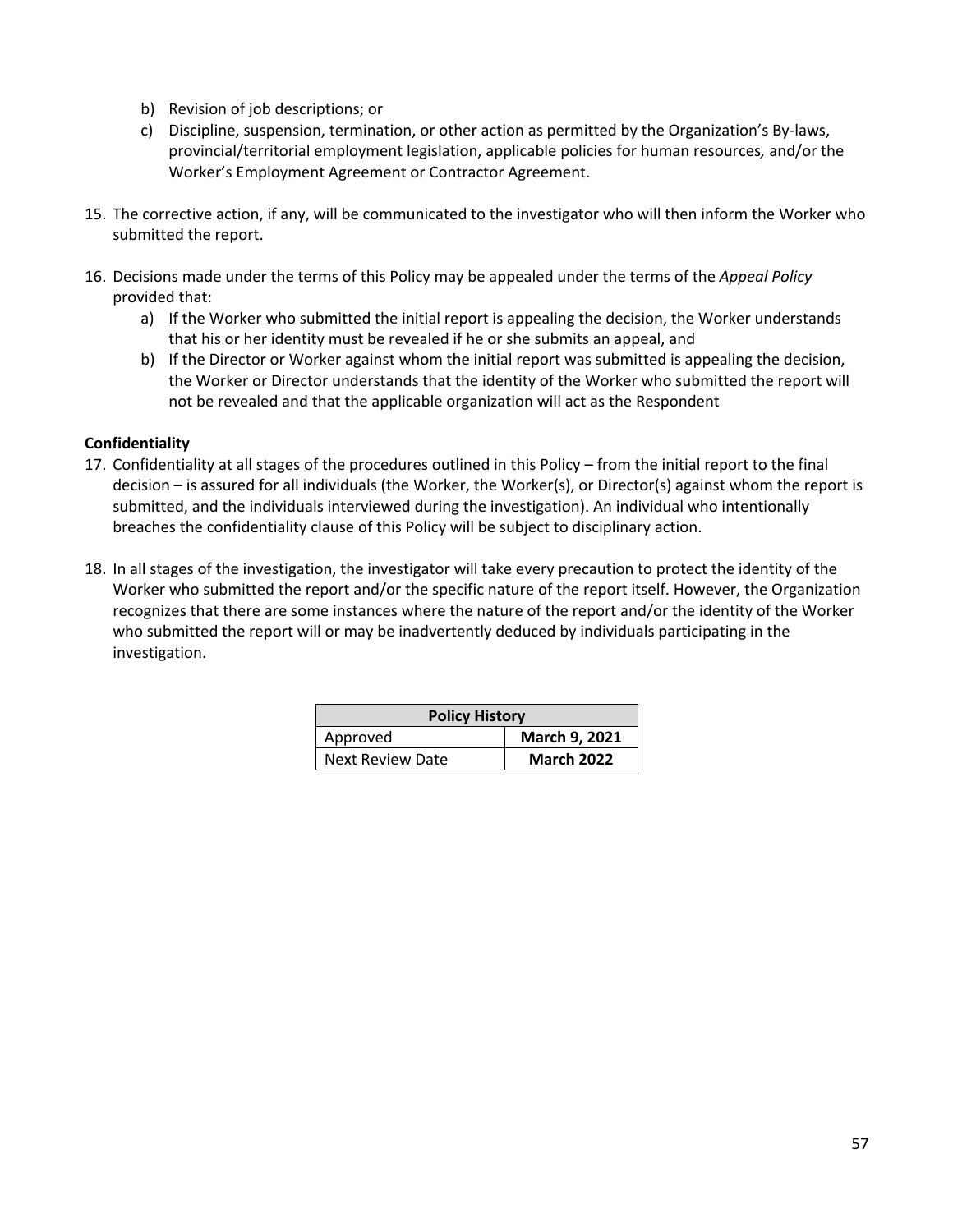- b) Revision of job descriptions; or
- c) Discipline, suspension, termination, or other action as permitted by the Organization's By-laws, provincial/territorial employment legislation, applicable policies for human resources*,* and/or the Worker's Employment Agreement or Contractor Agreement.
- 15. The corrective action, if any, will be communicated to the investigator who will then inform the Worker who submitted the report.
- 16. Decisions made under the terms of this Policy may be appealed under the terms of the *Appeal Policy* provided that:
	- a) If the Worker who submitted the initial report is appealing the decision, the Worker understands that his or her identity must be revealed if he or she submits an appeal, and
	- b) If the Director or Worker against whom the initial report was submitted is appealing the decision, the Worker or Director understands that the identity of the Worker who submitted the report will not be revealed and that the applicable organization will act as the Respondent

#### **Confidentiality**

- 17. Confidentiality at all stages of the procedures outlined in this Policy from the initial report to the final decision – is assured for all individuals (the Worker, the Worker(s), or Director(s) against whom the report is submitted, and the individuals interviewed during the investigation). An individual who intentionally breaches the confidentiality clause of this Policy will be subject to disciplinary action.
- 18. In all stages of the investigation, the investigator will take every precaution to protect the identity of the Worker who submitted the report and/or the specific nature of the report itself. However, the Organization recognizes that there are some instances where the nature of the report and/or the identity of the Worker who submitted the report will or may be inadvertently deduced by individuals participating in the investigation.

| <b>Policy History</b> |                   |
|-----------------------|-------------------|
| Approved              | March 9, 2021     |
| Next Review Date      | <b>March 2022</b> |